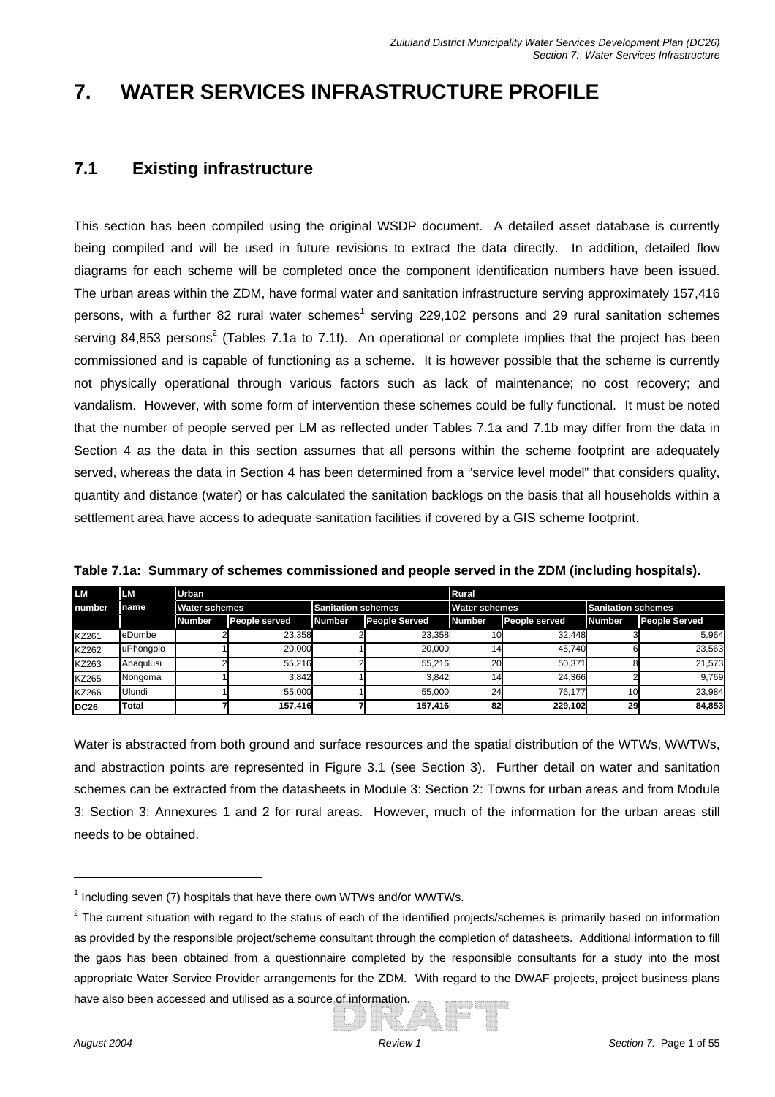# **7. WATER SERVICES INFRASTRUCTURE PROFILE**

# **7.1 Existing infrastructure**

This section has been compiled using the original WSDP document. A detailed asset database is currently being compiled and will be used in future revisions to extract the data directly. In addition, detailed flow diagrams for each scheme will be completed once the component identification numbers have been issued. The urban areas within the ZDM, have formal water and sanitation infrastructure serving approximately 157,416 persons, with a further 82 rural water schemes<sup>1</sup> serving 229,102 persons and 29 rural sanitation schemes serving 84,853 persons<sup>2</sup> (Tables 7.1a to 7.1f). An operational or complete implies that the project has been commissioned and is capable of functioning as a scheme. It is however possible that the scheme is currently not physically operational through various factors such as lack of maintenance; no cost recovery; and vandalism. However, with some form of intervention these schemes could be fully functional. It must be noted that the number of people served per LM as reflected under Tables 7.1a and 7.1b may differ from the data in Section 4 as the data in this section assumes that all persons within the scheme footprint are adequately served, whereas the data in Section 4 has been determined from a "service level model" that considers quality, quantity and distance (water) or has calculated the sanitation backlogs on the basis that all households within a settlement area have access to adequate sanitation facilities if covered by a GIS scheme footprint.

| <b>LM</b>    | <b>LM</b>    | Urban         |                      |               |                           | Rural                |               |                           |                      |  |  |
|--------------|--------------|---------------|----------------------|---------------|---------------------------|----------------------|---------------|---------------------------|----------------------|--|--|
| number       | name         |               | <b>Water schemes</b> |               | <b>Sanitation schemes</b> | <b>Water schemes</b> |               | <b>Sanitation schemes</b> |                      |  |  |
|              |              | <b>Number</b> | People served        | <b>Number</b> | <b>People Served</b>      | <b>Number</b>        | People served | <b>Number</b>             | <b>People Served</b> |  |  |
| <b>KZ261</b> | eDumbe       |               | 23.358               |               | 23.358                    |                      | 32.448        |                           | 5.964                |  |  |
| <b>KZ262</b> | uPhongolo    |               | 20.000               |               | 20.000                    |                      | 45.740        |                           | 23,563               |  |  |
| KZ263        | Abagulusi    |               | 55.216               |               | 55.216                    | 20                   | 50.371        |                           | 21.573               |  |  |
| <b>KZ265</b> | Nongoma      |               | 3.842                |               | 3.842                     |                      | 24.366        |                           | 9.769                |  |  |
| <b>KZ266</b> | Ulundi       |               | 55.000               |               | 55.000                    | 24                   | 76.177        | 10 <sub>h</sub>           | 23.984               |  |  |
| <b>DC26</b>  | <b>Total</b> |               | 157.416              |               | 157.416                   | 82                   | 229.102       | 29                        | 84,853               |  |  |

**Table 7.1a: Summary of schemes commissioned and people served in the ZDM (including hospitals).** 

Water is abstracted from both ground and surface resources and the spatial distribution of the WTWs, WWTWs, needs to be obtained. and abstraction points are represented in Figure 3.1 (see Section 3). Further detail on water and sanitation schemes can be extracted from the datasheets in Module 3: Section 2: Towns for urban areas and from Module 3: Section 3: Annexures 1 and 2 for rural areas. However, much of the information for the urban areas still

l

 $1$  Including seven (7) hospitals that have there own WTWs and/or WWTWs.

 $2$  The current situation with regard to the status of each of the identified projects/schemes is primarily based on information as provided by the responsible project/scheme consultant through the completion of datasheets. Additional information to fill the gaps has been obtained from a questionnaire completed by the responsible consultants for a study into the most appropriate Water Service Provider arrangements for the ZDM. With regard to the DWAF projects, project business plans have also been accessed and utilised as a source of information.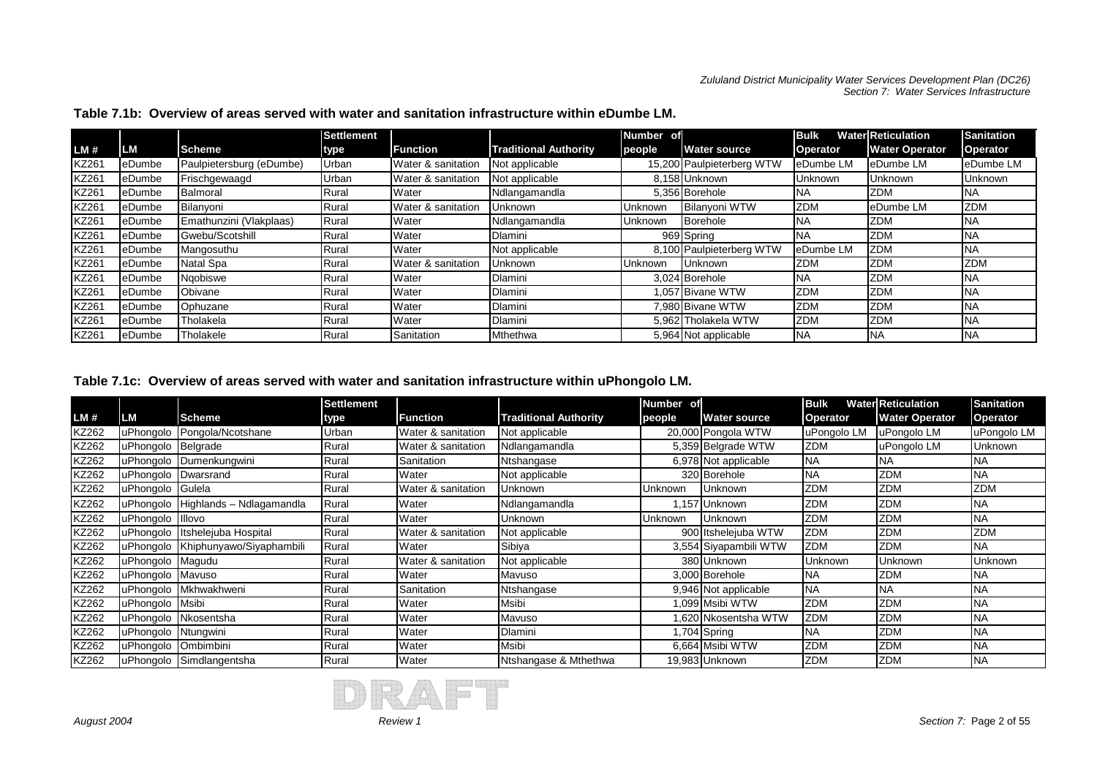|       |           |                          | Settlement |                    |                              | <b>Number</b> of |                           | <b>Bulk</b> | <b>Water Reticulation</b> | <b>Sanitation</b> |
|-------|-----------|--------------------------|------------|--------------------|------------------------------|------------------|---------------------------|-------------|---------------------------|-------------------|
| LM#   | <b>LM</b> | <b>Scheme</b>            | type       | Function           | <b>Traditional Authority</b> | people           | <b>Water source</b>       | Operator    | <b>Water Operator</b>     | Operator          |
| KZ261 | eDumbe    | Paulpietersburg (eDumbe) | Urban      | Water & sanitation | Not applicable               |                  | 15,200 Paulpieterberg WTW | eDumbe LM   | eDumbe LM                 | eDumbe LM         |
| KZ261 | eDumbe    | Frischgewaagd            | Urban      | Water & sanitation | Not applicable               |                  | 8,158 Unknown             | Unknown     | <b>Unknown</b>            | <b>Unknown</b>    |
| KZ261 | eDumbe    | <b>Balmoral</b>          | Rural      | Water              | Ndlangamandla                |                  | 5.356 Borehole            | INA         | ZDM                       | <b>NA</b>         |
| KZ261 | eDumbe    | Bilanyoni                | Rural      | Water & sanitation | <b>Unknown</b>               | Jnknown          | <b>Bilanyoni WTW</b>      | <b>ZDM</b>  | eDumbe LM                 | ZDM               |
| KZ261 | eDumbe    | Emathunzini (Vlakplaas)  | Rural      | <b>Water</b>       | Ndlangamandla                | Unknown          | Borehole                  | <b>INA</b>  | ZDM                       | <b>NA</b>         |
| KZ261 | eDumbe    | Gwebu/Scotshill          | Rural      | Water              | <b>Dlamini</b>               |                  | 969 Spring                | <b>INA</b>  | ZDM                       | <b>NA</b>         |
| KZ261 | eDumbe    | Mangosuthu               | Rural      | Water              | Not applicable               |                  | 8,100 Paulpieterberg WTW  | eDumbe LM   | ZDM                       | <b>NA</b>         |
| KZ261 | eDumbe    | Natal Spa                | Rural      | Water & sanitation | <b>Unknown</b>               | Unknown          | Unknown                   | <b>ZDM</b>  | ZDM                       | ZDM               |
| KZ261 | eDumbe    | Ngobiswe                 | Rural      | Water              | Dlamini                      |                  | 3.024 Borehole            | <b>INA</b>  | ZDM                       | <b>NA</b>         |
| KZ261 | eDumbe    | Obivane                  | Rural      | Water              | Dlamini                      |                  | 1,057 Bivane WTW          | <b>ZDM</b>  | ZDM                       | <b>NA</b>         |
| KZ261 | eDumbe    | Ophuzane                 | Rural      | Water              | Dlamini                      |                  | 7.980 Bivane WTW          | <b>ZDM</b>  | ZDM                       | <b>NA</b>         |
| KZ261 | eDumbe    | Tholakela                | Rural      | Water              | Dlamini                      |                  | 5.962 Tholakela WTW       | <b>ZDM</b>  | ZDM                       | <b>NA</b>         |
| KZ261 | eDumbe    | Tholakele                | Rural      | Sanitation         | Mthethwa                     |                  | 5,964 Not applicable      | <b>INA</b>  | <b>NA</b>                 | <b>NA</b>         |

**Table 7.1b: Overview of areas served with water and sanitation infrastructure within eDumbe LM.** 

**Table 7.1c: Overview of areas served with water and sanitation infrastructure within uPhongolo LM.** 

|              |                     |                                    | <b>Settlement</b> |                    |                              | Number of |                       | <b>Bulk</b>    | <b>Water Reticulation</b> | <b>Sanitation</b> |
|--------------|---------------------|------------------------------------|-------------------|--------------------|------------------------------|-----------|-----------------------|----------------|---------------------------|-------------------|
| LM#          | <b>LM</b>           | <b>Scheme</b>                      | type              | <b>Function</b>    | <b>Traditional Authority</b> | people    | <b>Water source</b>   | Operator       | <b>Water Operator</b>     | Operator          |
| KZ262        |                     | uPhongolo Pongola/Ncotshane        | Jrban             | Water & sanitation | Not applicable               |           | 20,000 Pongola WTW    | uPongolo LM    | uPongolo LM               | uPongolo LM       |
| KZ262        | uPhongolo Belgrade  |                                    | Rural             | Water & sanitation | Ndlangamandla                |           | 5,359 Belgrade WTW    | <b>ZDM</b>     | uPongolo LM               | Unknown           |
| KZ262        |                     | uPhongolo Dumenkungwini            | Rural             | Sanitation         | Ntshangase                   |           | 6,978 Not applicable  | <b>INA</b>     | <b>NA</b>                 | <b>INA</b>        |
| KZ262        | uPhongolo Dwarsrand |                                    | Rural             | Water              | Not applicable               |           | 320 Borehole          | <b>INA</b>     | <b>ZDM</b>                | <b>INA</b>        |
| KZ262        | uPhongolo Gulela    |                                    | Rural             | Water & sanitation | Unknown                      | Unknown   | Jnknown               | <b>ZDM</b>     | <b>ZDM</b>                | <b>ZDM</b>        |
| KZ262        |                     | uPhongolo Highlands - Ndlagamandla | Rural             | Water              | Ndlangamandla                | .157      | Unknown               | <b>ZDM</b>     | <b>ZDM</b>                | <b>INA</b>        |
| KZ262        | uPhongolo Illovo    |                                    | Rural             | Water              | Unknown                      | Unknown   | Jnknown               | <b>ZDM</b>     | <b>ZDM</b>                | <b>INA</b>        |
| KZ262        |                     | uPhongolo Itshelejuba Hospital     | Rural             | Water & sanitation | Not applicable               |           | 900 Itshelejuba WTW   | <b>ZDM</b>     | <b>ZDM</b>                | <b>ZDM</b>        |
| KZ262        |                     | uPhongolo Khiphunyawo/Siyaphambili | Rural             | Water              | Sibiya                       |           | 3,554 Siyapambili WTW | <b>ZDM</b>     | <b>ZDM</b>                | <b>INA</b>        |
| KZ262        | uPhongolo Magudu    |                                    | Rural             | Water & sanitation | Not applicable               |           | 380 Unknown           | <b>Unknown</b> | <b>Unknown</b>            | <b>Unknown</b>    |
| KZ262        | uPhongolo Mavuso    |                                    | Rural             | Water              | Mavuso                       |           | 3,000 Borehole        | <b>NA</b>      | <b>ZDM</b>                | <b>INA</b>        |
| <b>KZ262</b> |                     | uPhongolo Mkhwakhweni              | Rural             | Sanitation         | Ntshangase                   |           | 9,946 Not applicable  | <b>NA</b>      | <b>NA</b>                 | <b>INA</b>        |
| KZ262        | uPhongolo Msibi     |                                    | Rural             | Water              | Msibi                        |           | 1,099 Msibi WTW       | <b>ZDM</b>     | <b>ZDM</b>                | <b>INA</b>        |
| KZ262        |                     | uPhongolo Nkosentsha               | Rural             | Water              | Mavuso                       |           | ,620 Nkosentsha WTW   | <b>ZDM</b>     | <b>ZDM</b>                | <b>INA</b>        |
| KZ262        | uPhongolo Ntungwini |                                    | Rural             | Water              | Dlamini                      |           | Spring                | <b>INA</b>     | <b>ZDM</b>                | <b>INA</b>        |
| KZ262        | uPhongolo Ombimbini |                                    | Rural             | Water              | Msibi                        |           | 6,664 Msibi WTW       | <b>ZDM</b>     | <b>ZDM</b>                | <b>INA</b>        |
| KZ262        |                     | uPhongolo Simdlangentsha           | Rural             | Water              | Ntshangase & Mthethwa        |           | 19,983 Unknown        | <b>ZDM</b>     | ZDM                       | <b>INA</b>        |

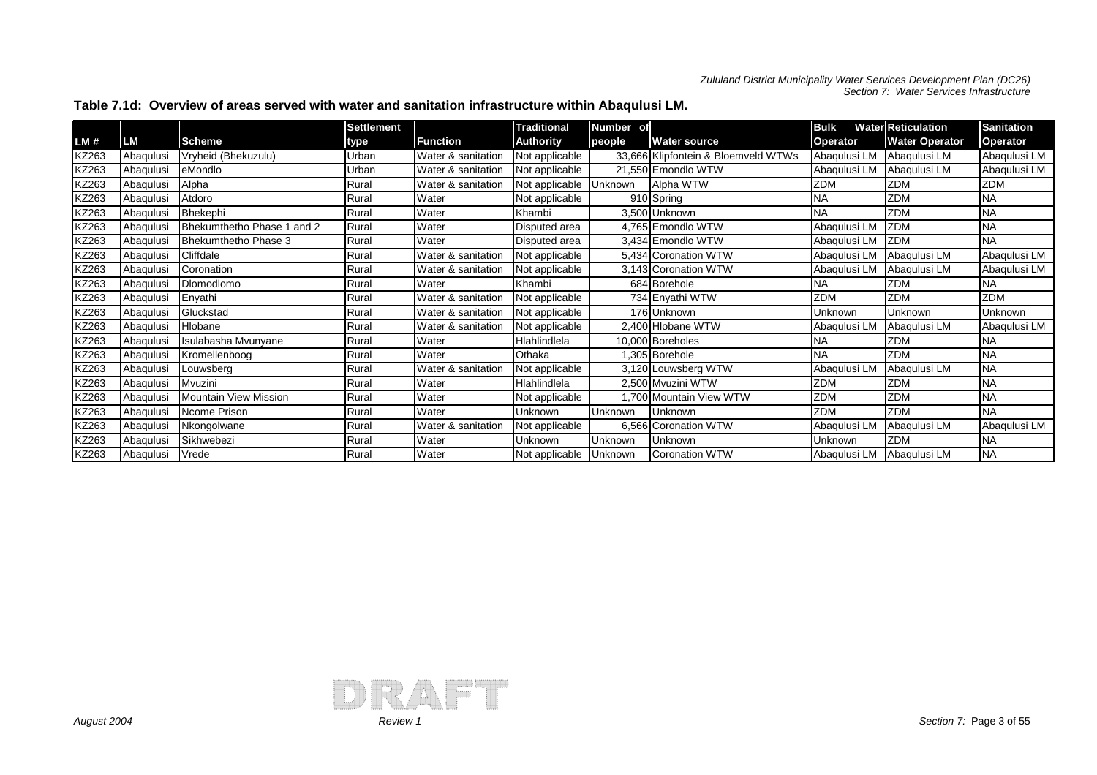# *Zululand District Municipality Water Services Development Plan (DC26) Section 7: Water Services Infrastructure*

|                             |           |                            | <b>Settlement</b> |                    | <b>Traditional</b> | Number of |                                     | <b>Bulk</b>  | <b>Water Reticulation</b> | <b>Sanitation</b> |
|-----------------------------|-----------|----------------------------|-------------------|--------------------|--------------------|-----------|-------------------------------------|--------------|---------------------------|-------------------|
| LM#                         | <b>LM</b> | <b>Scheme</b>              | type              | <b>Function</b>    | <b>Authority</b>   | people    | <b>Water source</b>                 | Operator     | <b>Water Operator</b>     | Operator          |
| KZ263                       | Abaqulusi | Vryheid (Bhekuzulu)        | Urban             | Water & sanitation | Not applicable     |           | 33,666 Klipfontein & Bloemveld WTWs | Abaqulusi LM | Abaqulusi LM              | Abaqulusi LM      |
| KZ263                       | Abaqulusi | eMondlo                    | Urban             | Water & sanitation | Not applicable     |           | 21,550 Emondlo WTW                  | Abaqulusi LM | Abaqulusi LM              | Abaqulusi LM      |
| KZ263                       | Abaqulusi | Alpha                      | Rural             | Water & sanitation | Not applicable     | Unknown   | Alpha WTW                           | ZDM          | <b>ZDM</b>                | <b>ZDM</b>        |
| KZ263                       | Abaqulusi | Atdoro                     | Rural             | Water              | Not applicable     |           | 910 Spring                          | <b>NA</b>    | <b>ZDM</b>                | <b>NA</b>         |
| $\langle$ Z263              | Abagulusi | Bhekephi                   | Rural             | Water              | Khambi             |           | 3,500 Unknown                       | <b>NA</b>    | <b>ZDM</b>                | <b>NA</b>         |
| <b><z263< b=""></z263<></b> | Abaqulusi | Bhekumthetho Phase 1 and 2 | Rural             | Water              | Disputed area      |           | 4,765 Emondlo WTW                   | Abaqulusi LM | <b>ZDM</b>                | <b>NA</b>         |
| KZ263                       | Abaqulusi | Bhekumthetho Phase 3       | Rural             | Water              | Disputed area      |           | 3,434 Emondlo WTW                   | Abaqulusi LM | <b>ZDM</b>                | <b>NA</b>         |
| KZ263                       | Abaqulusi | Cliffdale                  | Rural             | Water & sanitation | Not applicable     |           | 5,434 Coronation WTW                | Abaqulusi LM | Abaqulusi LM              | Abaqulusi LM      |
| KZ263                       | Abaqulusi | Coronation                 | Rural             | Water & sanitation | Not applicable     |           | 3,143 Coronation WTW                | Abaqulusi LM | Abaqulusi LM              | Abaqulusi LM      |
| KZ263                       | Abaqulusi | Dlomodlomo                 | Rural             | Water              | Khambi             |           | 684 Borehole                        | <b>NA</b>    | ZDM                       | <b>NA</b>         |
| KZ263                       | Abaqulusi | Enyathi                    | Rural             | Water & sanitation | Not applicable     |           | 734 Enyathi WTW                     | ZDM          | ZDM                       | <b>ZDM</b>        |
| KZ263                       | Abaqulusi | Gluckstad                  | Rural             | Water & sanitation | Not applicable     |           | 176 Unknown                         | Unknown      | <b>Unknown</b>            | Unknown           |
| KZ263                       | Abaqulusi | Hlobane                    | Rural             | Water & sanitation | Not applicable     |           | 2,400 Hlobane WTW                   | Abaqulusi LM | Abaqulusi LM              | Abaqulusi LM      |
| KZ263                       | Abaqulusi | Isulabasha Mvunyane        | Rural             | Water              | Hlahlindlela       |           | 10,000 Boreholes                    | <b>NA</b>    | <b>ZDM</b>                | <b>NA</b>         |
| <b><z263< b=""></z263<></b> | Abaqulusi | Kromellenboog              | Rural             | Water              | Othaka             |           | 1,305 Borehole                      | <b>NA</b>    | <b>ZDM</b>                | <b>NA</b>         |
| KZ263                       | Abaqulusi | Louwsberg                  | Rural             | Water & sanitation | Not applicable     |           | 3,120 Louwsberg WTW                 | Abaqulusi LM | Abaqulusi LM              | <b>NA</b>         |
| <b><z263< b=""></z263<></b> | Abaqulusi | Mvuzini                    | Rural             | Water              | Hlahlindlela       |           | 2,500 Mvuzini WTW                   | ZDM          | <b>ZDM</b>                | <b>NA</b>         |
| <b><z263< b=""></z263<></b> | Abaqulusi | Mountain View Mission      | Rural             | Water              | Not applicable     |           | 1.700 Mountain View WTW             | ZDM          | <b>ZDM</b>                | <b>NA</b>         |
| KZ263                       | Abaqulusi | Ncome Prison               | Rural             | Water              | Unknown            | Unknown   | <b>Unknown</b>                      | ZDM          | ZDM                       | <b>NA</b>         |
| KZ263                       | Abaqulusi | Nkongolwane                | Rural             | Water & sanitation | Not applicable     |           | 6,566 Coronation WTW                | Abaqulusi LM | Abaqulusi LM              | Abaqulusi LM      |
| KZ263                       | Abaqulusi | Sikhwebezi                 | Rural             | Water              | Unknown            | Unknown   | Unknown                             | Unknown      | ZDM                       | <b>NA</b>         |
| KZ263                       | Abaqulusi | Vrede                      | Rural             | Water              | Not applicable     | Unknown   | Coronation WTW                      | Abaqulusi LM | Abaqulusi LM              | <b>NA</b>         |

#### **Table 7.1d: Overview of areas served with water and sanitation infrastructure within Abaqulusi LM.**

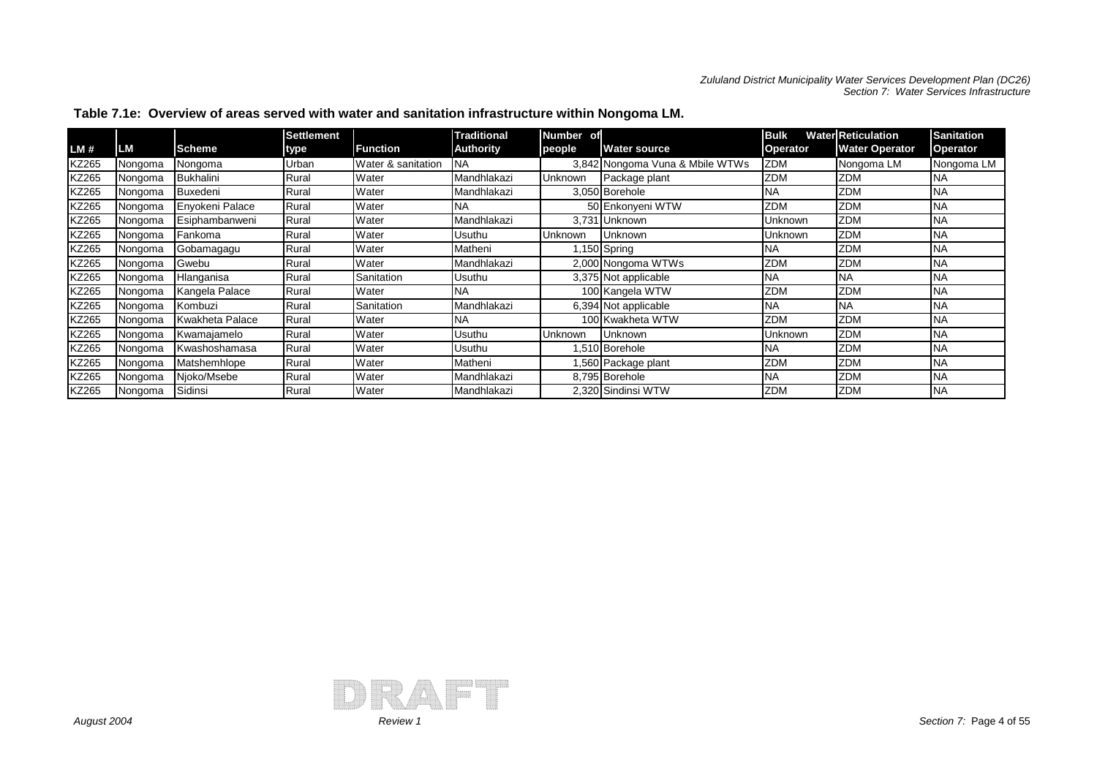# *Zululand District Municipality Water Services Development Plan (DC26) Section 7: Water Services Infrastructure*

|       |           |                        | <b>Settlement</b> |                    | <b>Traditional</b> | Number of |                                 | <b>Bulk</b> | <b>Water Reticulation</b> | <b>Sanitation</b> |
|-------|-----------|------------------------|-------------------|--------------------|--------------------|-----------|---------------------------------|-------------|---------------------------|-------------------|
| LM #  | <b>LM</b> | <b>Scheme</b>          | type              | <b>Function</b>    | Authority          | people    | <b>Water source</b>             | Operator    | <b>Water Operator</b>     | Operator          |
| KZ265 | Nongoma   | Nongoma                | Urban             | Water & sanitation | <b>NA</b>          |           | 3,842 Nongoma Vuna & Mbile WTWs | <b>ZDM</b>  | Nongoma LM                | Nongoma LM        |
| KZ265 | Nongoma   | Bukhalini              | Rural             | Water              | Mandhlakazi        | Unknown   | Package plant                   | <b>ZDM</b>  | ZDM                       | <b>NA</b>         |
| KZ265 | Nongoma   | <b>Buxedeni</b>        | Rural             | Water              | Mandhlakazi        |           | 3,050 Borehole                  | <b>NA</b>   | ZDM                       | <b>NA</b>         |
| KZ265 | Nongoma   | Enyokeni Palace        | Rural             | Water              | INA                |           | 50 Enkonyeni WTW                | <b>ZDM</b>  | ZDM                       | <b>NA</b>         |
| KZ265 | Nongoma   | Esiphambanweni         | Rural             | Water              | Mandhlakazi        |           | 3,731 Unknown                   | Unknown     | ZDM                       | <b>NA</b>         |
| KZ265 | Nongoma   | Fankoma                | Rural             | <b>Water</b>       | Usuthu             | Unknown   | <b>Unknown</b>                  | Unknown     | ZDM                       | <b>NA</b>         |
| KZ265 | Nongoma   | Gobamagagu             | Rural             | Water              | Matheni            |           | 150 Spring                      | <b>NA</b>   | ZDM                       | <b>NA</b>         |
| KZ265 | Nongoma   | Gwebu                  | Rural             | Water              | Mandhlakazi        |           | 2,000 Nongoma WTWs              | <b>ZDM</b>  | ZDM                       | <b>NA</b>         |
| KZ265 | Nongoma   | Hlanganisa             | Rural             | Sanitation         | Usuthu             |           | 3,375 Not applicable            | <b>NA</b>   | <b>NA</b>                 | <b>NA</b>         |
| KZ265 | Nongoma   | Kangela Palace         | Rural             | Water              | <b>I</b> NA        |           | 100 Kangela WTW                 | ZDM         | ZDM                       | <b>NA</b>         |
| KZ265 | Nongoma   | Kombuzi                | Rural             | Sanitation         | Mandhlakazi        |           | 6,394 Not applicable            | <b>NA</b>   | <b>NA</b>                 | <b>NA</b>         |
| KZ265 | Nongoma   | <b>Kwakheta Palace</b> | Rural             | Water              | <b>NA</b>          |           | 100 Kwakheta WTW                | ZDM         | ZDM                       | <b>NA</b>         |
| KZ265 | Nongoma   | Kwamajamelo            | Rural             | Water              | Usuthu             | Unknown   | <b>Unknown</b>                  | Unknown     | ZDM                       | <b>NA</b>         |
| KZ265 | Nongoma   | Kwashoshamasa          | Rural             | Water              | Usuthu             |           | .510 Borehole                   | <b>NA</b>   | ZDM                       | <b>NA</b>         |
| KZ265 | Nongoma   | Matshemhlope           | Rural             | Water              | Matheni            |           | ,560 Package plant              | <b>ZDM</b>  | ZDM                       | <b>NA</b>         |
| KZ265 | Nongoma   | Njoko/Msebe            | Rural             | Water              | Mandhlakazi        |           | 8,795 Borehole                  | <b>NA</b>   | ZDM                       | <b>NA</b>         |
| KZ265 | Nongoma   | Sidinsi                | Rural             | Water              | Mandhlakazi        |           | 2,320 Sindinsi WTW              | <b>ZDM</b>  | <b>ZDM</b>                | <b>NA</b>         |

**Table 7.1e: Overview of areas served with water and sanitation infrastructure within Nongoma LM.**

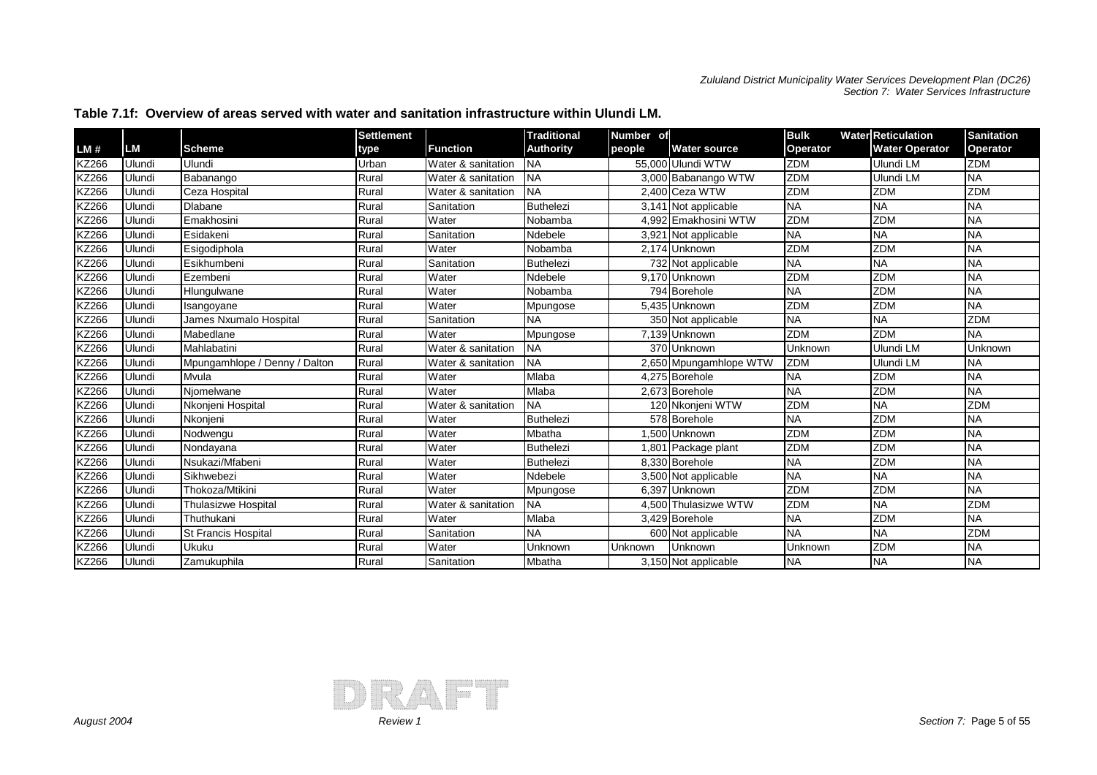|              |        |                               | <b>Settlement</b> |                    | <b>Traditional</b> | Number of |                        | <b>Bulk</b>     | <b>Water Reticulation</b> | <b>Sanitation</b> |
|--------------|--------|-------------------------------|-------------------|--------------------|--------------------|-----------|------------------------|-----------------|---------------------------|-------------------|
| LM #         | LM     | <b>Scheme</b>                 | type              | <b>Function</b>    | <b>Authority</b>   | people    | <b>Water source</b>    | <b>Operator</b> | <b>Water Operator</b>     | <b>Operator</b>   |
| <b>KZ266</b> | Ulundi | Ulundi                        | Urban             | Water & sanitation | <b>INA</b>         |           | 55.000 Ulundi WTW      | <b>ZDM</b>      | Ulundi LM                 | ZDM               |
| KZ266        | Ulundi | Babanango                     | Rural             | Water & sanitation | <b>INA</b>         |           | 3,000 Babanango WTW    | <b>ZDM</b>      | Ulundi LM                 | <b>NA</b>         |
| KZ266        | Ulundi | Ceza Hospital                 | Rural             | Water & sanitation | <b>INA</b>         |           | 2,400 Ceza WTW         | <b>ZDM</b>      | <b>ZDM</b>                | <b>ZDM</b>        |
| KZ266        | Ulundi | <b>Dlabane</b>                | Rural             | Sanitation         | Buthelezi          |           | 3,141 Not applicable   | <b>NA</b>       | INA                       | <b>NA</b>         |
| <b>KZ266</b> | Ulundi | Emakhosini                    | Rural             | Water              | Nobamba            |           | 4.992 Emakhosini WTW   | <b>ZDM</b>      | <b>ZDM</b>                | <b>NA</b>         |
| KZ266        | Ulundi | Esidakeni                     | Rural             | Sanitation         | Ndebele            |           | 3,921 Not applicable   | <b>AN</b>       | INA                       | <b>NA</b>         |
| KZ266        | Ulundi | Esigodiphola                  | Rural             | Water              | <b>Nobamba</b>     |           | 2,174 Unknown          | <b>ZDM</b>      | <b>ZDM</b>                | <b>NA</b>         |
| KZ266        | Ulundi | Esikhumbeni                   | Rural             | Sanitation         | Buthelezi          |           | 732 Not applicable     | <b>NA</b>       | INA                       | <b>NA</b>         |
| KZ266        | Ulundi | Ezembeni                      | Rural             | Water              | Ndebele            |           | 9.170 Unknown          | <b>ZDM</b>      | <b>ZDM</b>                | <b>NA</b>         |
| KZ266        | Ulundi | Hlungulwane                   | Rural             | Water              | <b>Nobamba</b>     |           | 794 Borehole           | <b>NA</b>       | <b>ZDM</b>                | <b>NA</b>         |
| KZ266        | Ulundi | Isangoyane                    | Rural             | Water              | Mpungose           |           | 5,435 Unknown          | <b>ZDM</b>      | <b>ZDM</b>                | <b>NA</b>         |
| KZ266        | Ulundi | James Nxumalo Hospital        | Rural             | Sanitation         | INA                |           | 350 Not applicable     | <b>NA</b>       | INA                       | <b>ZDM</b>        |
| KZ266        | Ulundi | Mabedlane                     | Rural             | Water              | Mpungose           |           | 7,139 Unknown          | <b>ZDM</b>      | <b>ZDM</b>                | <b>NA</b>         |
| KZ266        | Ulundi | Mahlabatini                   | Rural             | Water & sanitation | <b>INA</b>         |           | 370 Unknown            | Unknown         | Ulundi LM                 | Unknown           |
| KZ266        | Ulundi | Mpungamhlope / Denny / Dalton | Rural             | Water & sanitation | <b>INA</b>         |           | 2,650 Mpungamhlope WTW | <b>ZDM</b>      | Ulundi LM                 | <b>NA</b>         |
| KZ266        | Ulundi | Mvula                         | Rural             | Water              | Mlaba              |           | 4,275 Borehole         | <b>NA</b>       | <b>ZDM</b>                | <b>NA</b>         |
| <b>KZ266</b> | Ulundi | Njomelwane                    | Rural             | Water              | Mlaba              |           | 2,673 Borehole         | <b>NA</b>       | <b>ZDM</b>                | <b>NA</b>         |
| <b>KZ266</b> | Ulundi | Nkonjeni Hospital             | Rural             | Water & sanitation | <b>NA</b>          |           | 120 Nkonjeni WTW       | <b>ZDM</b>      | <b>NA</b>                 | <b>ZDM</b>        |
| KZ266        | Ulundi | Nkonjeni                      | Rural             | Water              | <b>Buthelezi</b>   |           | 578 Borehole           | <b>NA</b>       | <b>ZDM</b>                | <b>NA</b>         |
| <b>KZ266</b> | Ulundi | Nodwengu                      | Rural             | Water              | Mbatha             |           | 1,500 Unknown          | <b>ZDM</b>      | <b>ZDM</b>                | <b>NA</b>         |
| KZ266        | Ulundi | Nondayana                     | Rural             | Water              | <b>Buthelezi</b>   |           | 1,801 Package plant    | <b>ZDM</b>      | <b>ZDM</b>                | <b>NA</b>         |
| KZ266        | Ulundi | Nsukazi/Mfabeni               | Rural             | Water              | <b>Buthelezi</b>   |           | 8.330 Borehole         | <b>NA</b>       | <b>ZDM</b>                | <b>NA</b>         |
| <b>KZ266</b> | Ulundi | Sikhwebezi                    | Rural             | Water              | Ndebele            |           | 3,500 Not applicable   | <b>NA</b>       | INA                       | <b>NA</b>         |
| KZ266        | Ulundi | Thokoza/Mtikini               | Rural             | Water              | Mpungose           |           | 6.397 Unknown          | <b>ZDM</b>      | <b>ZDM</b>                | <b>NA</b>         |
| KZ266        | Ulundi | Thulasizwe Hospital           | Rural             | Water & sanitation | INA                |           | 4,500 Thulasizwe WTW   | <b>ZDM</b>      | INA                       | <b>ZDM</b>        |
| KZ266        | Ulundi | Thuthukani                    | Rural             | Water              | Mlaba              |           | 3,429 Borehole         | <b>NA</b>       | <b>ZDM</b>                | <b>NA</b>         |
| KZ266        | Ulundi | <b>St Francis Hospital</b>    | Rural             | Sanitation         | <b>NA</b>          |           | 600 Not applicable     | <b>NA</b>       | <b>NA</b>                 | <b>ZDM</b>        |
| KZ266        | Ulundi | Ukuku                         | Rural             | Water              | Unknown            | Unknown   | Unknown                | Unknown         | <b>ZDM</b>                | <b>NA</b>         |
| KZ266        | Ulundi | Zamukuphila                   | Rural             | Sanitation         | Mbatha             |           | 3,150 Not applicable   | <b>NA</b>       | <b>INA</b>                | <b>NA</b>         |

**Table 7.1f: Overview of areas served with water and sanitation infrastructure within Ulundi LM.** 

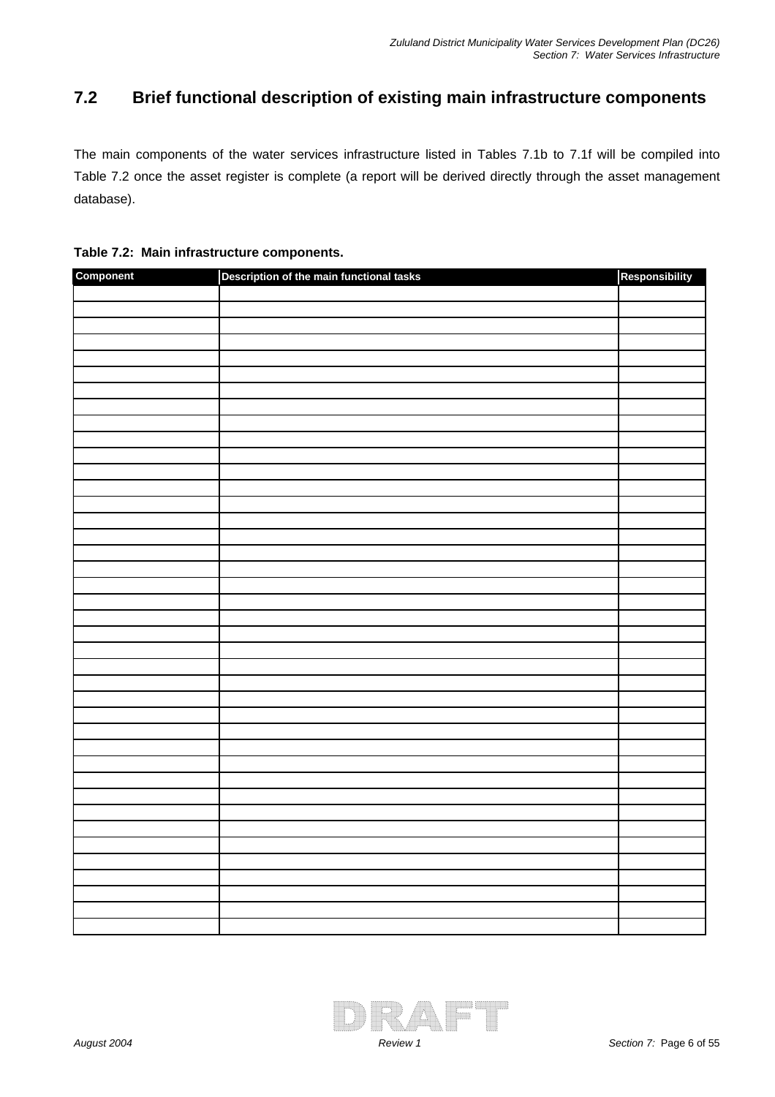# **7.2 Brief functional description of existing main infrastructure components**

The main components of the water services infrastructure listed in Tables 7.1b to 7.1f will be compiled into Table 7.2 once the asset register is complete (a report will be derived directly through the asset management database).

|  |  | Table 7.2: Main infrastructure components. |  |
|--|--|--------------------------------------------|--|
|--|--|--------------------------------------------|--|

| Component | Description of the main functional tasks | Responsibility |
|-----------|------------------------------------------|----------------|
|           |                                          |                |
|           |                                          |                |
|           |                                          |                |
|           |                                          |                |
|           |                                          |                |
|           |                                          |                |
|           |                                          |                |
|           |                                          |                |
|           |                                          |                |
|           |                                          |                |
|           |                                          |                |
|           |                                          |                |
|           |                                          |                |
|           |                                          |                |
|           |                                          |                |
|           |                                          |                |
|           |                                          |                |
|           |                                          |                |
|           |                                          |                |
|           |                                          |                |
|           |                                          |                |
|           |                                          |                |
|           |                                          |                |
|           |                                          |                |
|           |                                          |                |
|           |                                          |                |
|           |                                          |                |
|           |                                          |                |
|           |                                          |                |
|           |                                          |                |
|           |                                          |                |
|           |                                          |                |
|           |                                          |                |
|           |                                          |                |
|           |                                          |                |
|           |                                          |                |
|           |                                          |                |
|           |                                          |                |
|           |                                          |                |
|           |                                          |                |

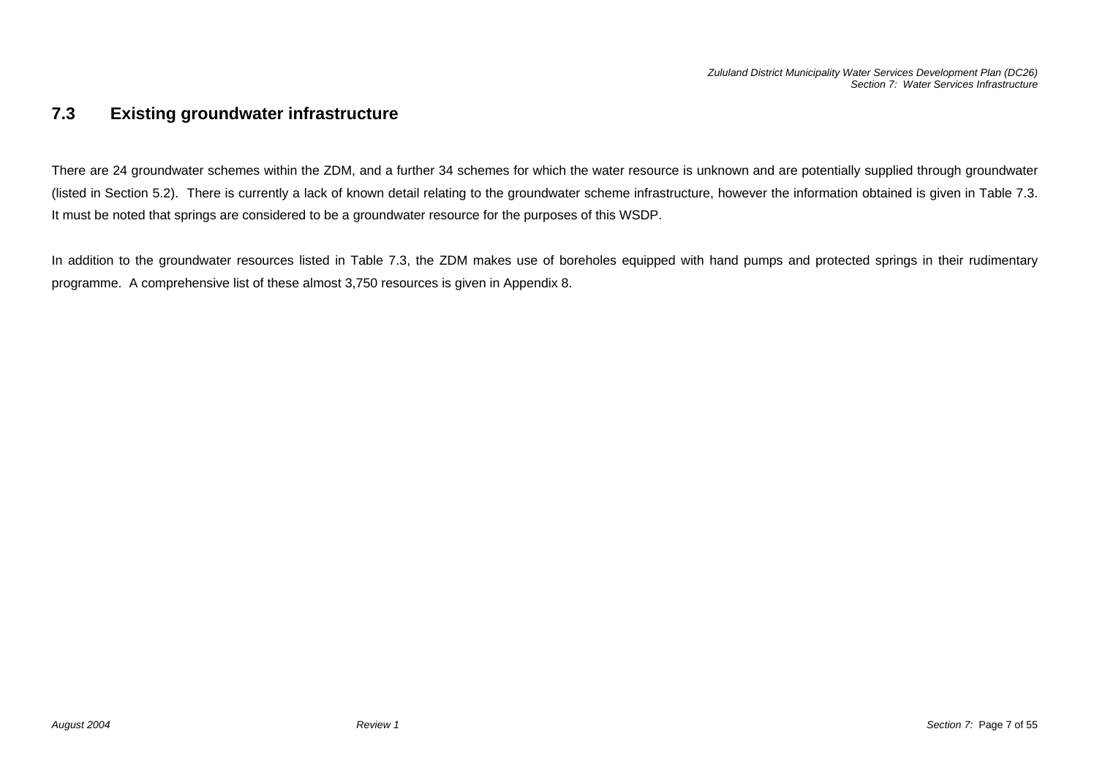## **7.3 Existing groundwater infrastructure**

There are 24 groundwater schemes within the ZDM, and a further 34 schemes for which the water resource is unknown and are potentially supplied through groundwater (listed in Section 5.2). There is currently a lack of known detail relating to the groundwater scheme infrastructure, however the information obtained is given in Table 7.3. It must be noted that springs are considered to be a groundwater resource for the purposes of this WSDP.

In addition to the groundwater resources listed in Table 7.3, the ZDM makes use of boreholes equipped with hand pumps and protected springs in their rudimentary programme. A comprehensive list of these almost 3,750 resources is given in Appendix 8.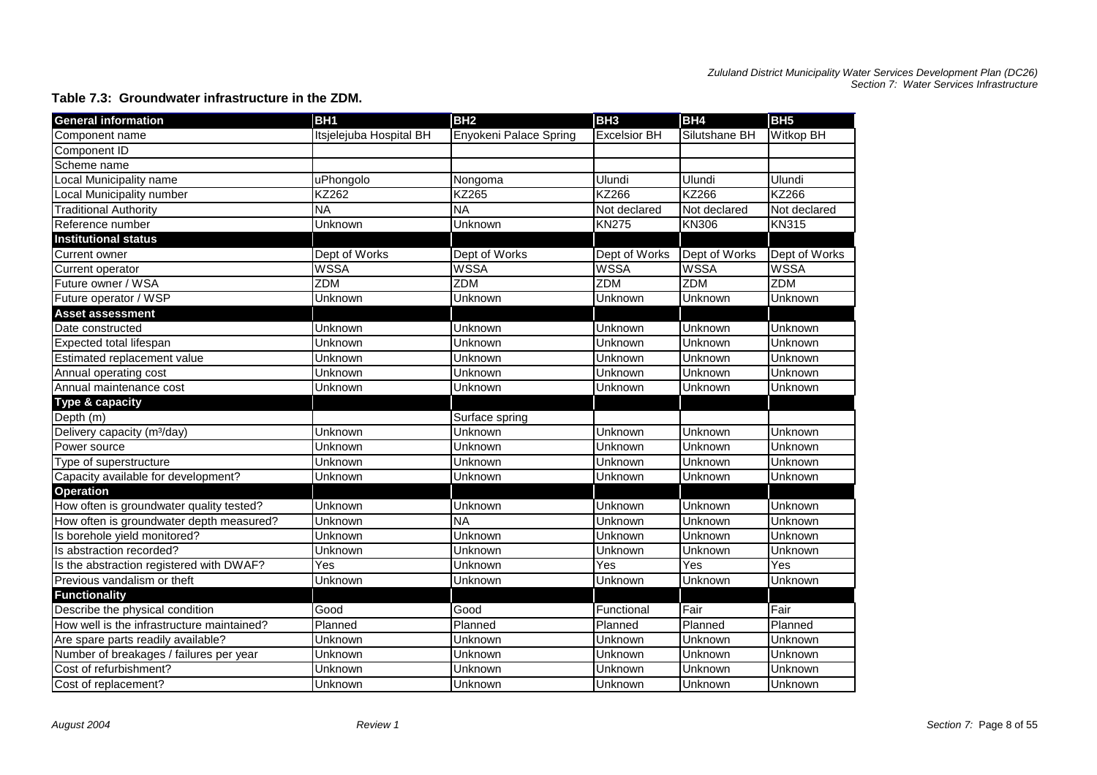#### **Table 7.3: Groundwater infrastructure in the ZDM.**

| <b>General information</b>                 | BH <sub>1</sub>         | BH <sub>2</sub>        | BH3                 | BH4           | BH5              |
|--------------------------------------------|-------------------------|------------------------|---------------------|---------------|------------------|
| Component name                             | Itsjelejuba Hospital BH | Enyokeni Palace Spring | <b>Excelsior BH</b> | Silutshane BH | <b>Witkop BH</b> |
| Component ID                               |                         |                        |                     |               |                  |
| Scheme name                                |                         |                        |                     |               |                  |
| Local Municipality name                    | uPhongolo               | Nongoma                | Ulundi              | Ulundi        | Ulundi           |
| Local Municipality number                  | KZ262                   | <b>KZ265</b>           | <b>KZ266</b>        | <b>KZ266</b>  | <b>KZ266</b>     |
| <b>Traditional Authority</b>               | <b>NA</b>               | <b>NA</b>              | Not declared        | Not declared  | Not declared     |
| Reference number                           | Unknown                 | Unknown                | <b>KN275</b>        | <b>KN306</b>  | <b>KN315</b>     |
| <b>Institutional status</b>                |                         |                        |                     |               |                  |
| Current owner                              | Dept of Works           | Dept of Works          | Dept of Works       | Dept of Works | Dept of Works    |
| Current operator                           | <b>WSSA</b>             | <b>WSSA</b>            | <b>WSSA</b>         | <b>WSSA</b>   | <b>WSSA</b>      |
| Future owner / WSA                         | ZDM                     | <b>ZDM</b>             | <b>ZDM</b>          | <b>ZDM</b>    | <b>ZDM</b>       |
| Future operator / WSP                      | Unknown                 | Unknown                | Unknown             | Unknown       | Unknown          |
| <b>Asset assessment</b>                    |                         |                        |                     |               |                  |
| Date constructed                           | Unknown                 | Unknown                | Unknown             | Unknown       | Unknown          |
| Expected total lifespan                    | Unknown                 | Unknown                | Unknown             | Unknown       | Unknown          |
| Estimated replacement value                | Unknown                 | Unknown                | <b>Unknown</b>      | Unknown       | Unknown          |
| Annual operating cost                      | Unknown                 | Unknown                | Unknown             | Unknown       | Unknown          |
| Annual maintenance cost                    | Unknown                 | Unknown                | Unknown             | Unknown       | Unknown          |
| Type & capacity                            |                         |                        |                     |               |                  |
| Depth (m)                                  |                         | Surface spring         |                     |               |                  |
| Delivery capacity (m <sup>3</sup> /day)    | Unknown                 | Unknown                | Unknown             | Unknown       | Unknown          |
| Power source                               | Unknown                 | Unknown                | Unknown             | Unknown       | Unknown          |
| Type of superstructure                     | Unknown                 | Unknown                | Unknown             | Unknown       | Unknown          |
| Capacity available for development?        | Unknown                 | Unknown                | Unknown             | Unknown       | Unknown          |
| <b>Operation</b>                           |                         |                        |                     |               |                  |
| How often is groundwater quality tested?   | Unknown                 | Unknown                | Unknown             | Unknown       | Unknown          |
| How often is groundwater depth measured?   | Unknown                 | <b>NA</b>              | Unknown             | Unknown       | Unknown          |
| Is borehole yield monitored?               | Unknown                 | Unknown                | Unknown             | Unknown       | Unknown          |
| Is abstraction recorded?                   | Unknown                 | Unknown                | Unknown             | Unknown       | Unknown          |
| Is the abstraction registered with DWAF?   | Yes                     | Unknown                | Yes                 | Yes           | Yes              |
| Previous vandalism or theft                | Unknown                 | Unknown                | Unknown             | Unknown       | Unknown          |
| <b>Functionality</b>                       |                         |                        |                     |               |                  |
| Describe the physical condition            | Good                    | Good                   | Functional          | Fair          | Fair             |
| How well is the infrastructure maintained? | Planned                 | Planned                | Planned             | Planned       | Planned          |
| Are spare parts readily available?         | Unknown                 | Unknown                | Unknown             | Unknown       | Unknown          |
| Number of breakages / failures per year    | Unknown                 | Unknown                | Unknown             | Unknown       | Unknown          |
| Cost of refurbishment?                     | Unknown                 | Unknown                | Unknown             | Unknown       | Unknown          |
| Cost of replacement?                       | Unknown                 | Unknown                | Unknown             | Unknown       | Unknown          |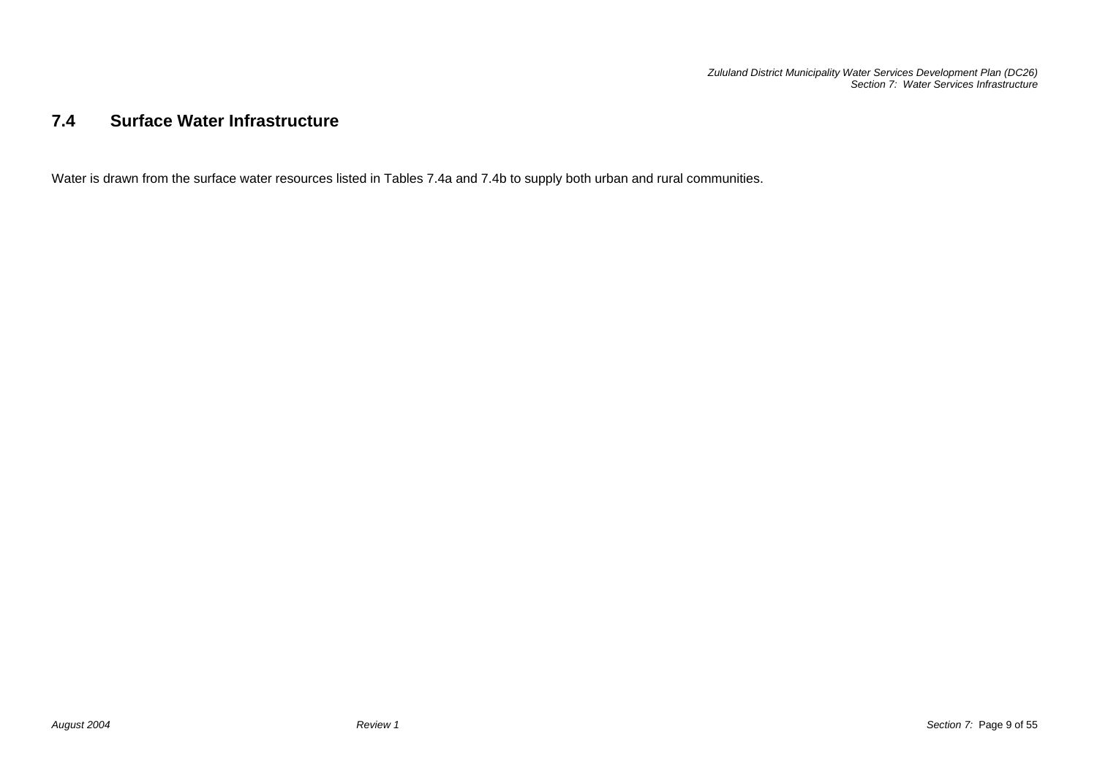#### **7.4Surface Water Infrastructure**

Water is drawn from the surface water resources listed in Tables 7.4a and 7.4b to supply both urban and rural communities.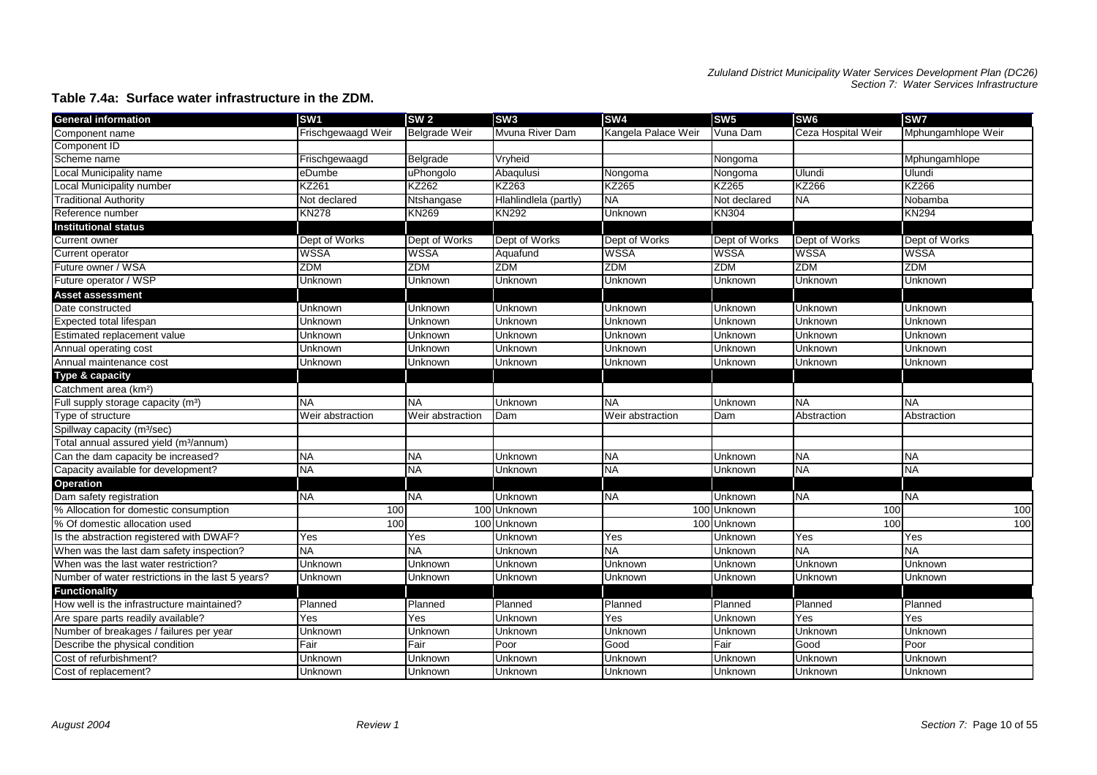#### **Table 7.4a: Surface water infrastructure in the ZDM.**

| <b>General information</b>                         | SW <sub>1</sub>    | <b>SW2</b>       | SW <sub>3</sub>       | SW <sub>4</sub>     | $\overline{\text{SW5}}$ | <b>SW6</b>         | <b>ISW7</b>        |
|----------------------------------------------------|--------------------|------------------|-----------------------|---------------------|-------------------------|--------------------|--------------------|
| Component name                                     | Frischgewaagd Weir | Belgrade Weir    | Myuna River Dam       | Kangela Palace Weir | Vuna Dam                | Ceza Hospital Weir | Mphungamhlope Weir |
| Component ID                                       |                    |                  |                       |                     |                         |                    |                    |
| Scheme name                                        | Frischgewaagd      | Belgrade         | Vryheid               |                     | Nongoma                 |                    | Mphungamhlope      |
| <b>Local Municipality name</b>                     | eDumbe             | uPhongolo        | Abaqulusi             | Nongoma             | Nongoma                 | Ulundi             | Ulundi             |
| Local Municipality number                          | <b>KZ261</b>       | KZ262            | KZ263                 | KZ265               | KZ265                   | KZ266              | KZ266              |
| <b>Traditional Authority</b>                       | Not declared       | Ntshangase       | Hlahlindlela (partly) | <b>NA</b>           | Not declared            | <b>NA</b>          | Nobamba            |
| Reference number                                   | <b>KN278</b>       | <b>KN269</b>     | <b>KN292</b>          | Unknown             | <b>KN304</b>            |                    | <b>KN294</b>       |
| <b>Institutional status</b>                        |                    |                  |                       |                     |                         |                    |                    |
| <b>Current owner</b>                               | Dept of Works      | Dept of Works    | Dept of Works         | Dept of Works       | Dept of Works           | Dept of Works      | Dept of Works      |
| Current operator                                   | <b>WSSA</b>        | WSSA             | Aquafund              | <b>WSSA</b>         | <b>WSSA</b>             | <b>WSSA</b>        | <b>WSSA</b>        |
| Future owner / WSA                                 | <b>ZDM</b>         | <b>ZDM</b>       | ZDM                   | <b>ZDM</b>          | <b>ZDM</b>              | <b>ZDM</b>         | <b>ZDM</b>         |
| Future operator / WSP                              | Unknown            | Unknown          | Unknown               | Unknown             | Unknown                 | Unknown            | Unknown            |
| <b>Asset assessment</b>                            |                    |                  |                       |                     |                         |                    |                    |
| Date constructed                                   | Unknown            | Unknown          | <b>Unknown</b>        | Unknown             | Unknown                 | Unknown            | Unknown            |
| <b>Expected total lifespan</b>                     | Unknown            | Unknown          | Unknown               | Unknown             | Unknown                 | Unknown            | Unknown            |
| Estimated replacement value                        | Unknown            | Unknown          | Unknown               | Unknown             | Unknown                 | Unknown            | Unknown            |
| Annual operating cost                              | Unknown            | Unknown          | Unknown               | Unknown             | Unknown                 | Unknown            | Unknown            |
| Annual maintenance cost                            | Unknown            | Unknown          | Unknown               | Unknown             | Unknown                 | Unknown            | Unknown            |
| Type & capacity                                    |                    |                  |                       |                     |                         |                    |                    |
| Catchment area (km <sup>2</sup> )                  |                    |                  |                       |                     |                         |                    |                    |
| Full supply storage capacity (m <sup>3</sup> )     | <b>NA</b>          | <b>NA</b>        | Unknown               | <b>NA</b>           | Unknown                 | <b>NA</b>          | <b>NA</b>          |
| Type of structure                                  | Weir abstraction   | Weir abstraction | Dam                   | Weir abstraction    | Dam                     | Abstraction        | Abstraction        |
| Spillway capacity (m <sup>3</sup> /sec)            |                    |                  |                       |                     |                         |                    |                    |
| Total annual assured yield (m <sup>3</sup> /annum) |                    |                  |                       |                     |                         |                    |                    |
| Can the dam capacity be increased?                 | <b>NA</b>          | <b>NA</b>        | Unknown               | <b>NA</b>           | Unknown                 | <b>NA</b>          | <b>INA</b>         |
| Capacity available for development?                | <b>NA</b>          | <b>NA</b>        | Unknown               | <b>NA</b>           | <b>Unknown</b>          | <b>NA</b>          | <b>NA</b>          |
| Operation                                          |                    |                  |                       |                     |                         |                    |                    |
| Dam safety registration                            | <b>NA</b>          | <b>NA</b>        | Unknown               | <b>NA</b>           | Unknown                 | <b>NA</b>          | <b>NA</b>          |
| % Allocation for domestic consumption              | 100                |                  | 100 Unknown           |                     | 100 Unknown             | 100                | 100                |
| % Of domestic allocation used                      | 100                |                  | 100 Unknown           |                     | 100 Unknown             | 100                | 100                |
| Is the abstraction registered with DWAF?           | Yes                | Yes              | Unknown               | Yes                 | Unknown                 | Yes                | Yes                |
| When was the last dam safety inspection?           | <b>NA</b>          | <b>NA</b>        | Unknown               | <b>NA</b>           | Unknown                 | <b>NA</b>          | <b>NA</b>          |
| When was the last water restriction?               | Unknown            | Unknown          | Unknown               | Unknown             | Unknown                 | Unknown            | Unknown            |
| Number of water restrictions in the last 5 years?  | Unknown            | Unknown          | Unknown               | Unknown             | Unknown                 | Unknown            | Unknown            |
| <b>Functionality</b>                               |                    |                  |                       |                     |                         |                    |                    |
| How well is the infrastructure maintained?         | Planned            | Planned          | Planned               | Planned             | Planned                 | Planned            | Planned            |
| Are spare parts readily available?                 | Yes                | Yes              | Unknown               | Yes                 | Unknown                 | Yes                | Yes                |
| Number of breakages / failures per year            | Unknown            | Unknown          | Unknown               | Unknown             | Unknown                 | Unknown            | Unknown            |
| Describe the physical condition                    | Fair               | Fair             | Poor                  | Good                | Fair                    | Good               | Poor               |
| Cost of refurbishment?                             | Unknown            | Unknown          | Unknown               | Jnknown             | Unknown                 | Unknown            | Unknown            |
| Cost of replacement?                               | Unknown            | Unknown          | Unknown               | Unknown             | Unknown                 | Unknown            | Unknown            |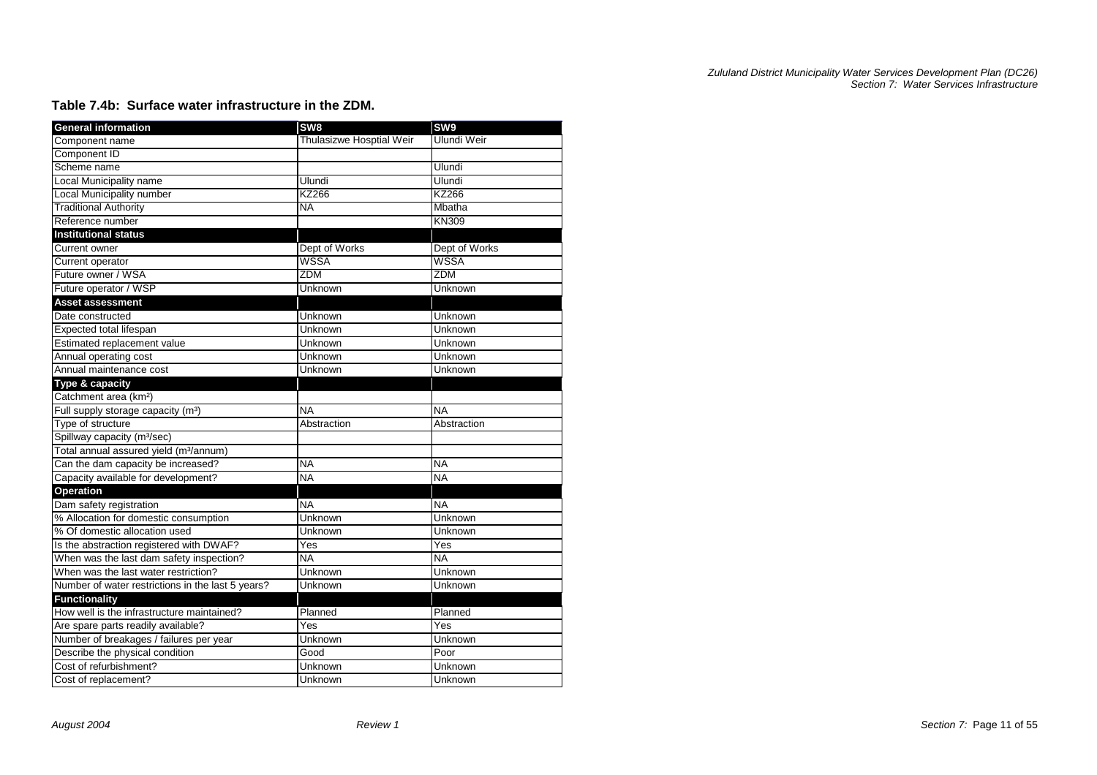# *Zululand District Municipality Water Services Development Plan (DC26) Section 7: Water Services Infrastructure*

#### **Table 7.4b: Surface water infrastructure in the ZDM.**

| <b>General information</b>                         | SW <sub>8</sub>          | <b>SW9</b>               |
|----------------------------------------------------|--------------------------|--------------------------|
| Component name                                     | Thulasizwe Hosptial Weir | <b>Ulundi Weir</b>       |
| Component ID                                       |                          |                          |
| Scheme name                                        |                          | Ulundi                   |
| <b>Local Municipality name</b>                     | Ulundi                   | Ulundi                   |
| Local Municipality number                          | <b>KZ266</b>             | <b>KZ266</b>             |
| <b>Traditional Authority</b>                       | <b>NA</b>                | Mbatha                   |
| Reference number                                   |                          | <b>KN309</b>             |
| <b>Institutional status</b>                        |                          |                          |
| Current owner                                      | Dept of Works            | Dept of Works            |
| Current operator                                   | <b>WSSA</b>              | <b>WSSA</b>              |
| Future owner / WSA                                 | ZDM                      | <b>ZDM</b>               |
| Future operator / WSP                              | Unknown                  | Unknown                  |
| <b>Asset assessment</b>                            |                          |                          |
| Date constructed                                   | Unknown                  | Unknown                  |
| Expected total lifespan                            | Unknown                  | Unknown                  |
| Estimated replacement value                        | Unknown                  | Unknown                  |
| Annual operating cost                              | Unknown                  | Unknown                  |
| Annual maintenance cost                            | Unknown                  | Unknown                  |
| Type & capacity                                    |                          |                          |
| Catchment area (km <sup>2</sup> )                  |                          |                          |
| Full supply storage capacity (m <sup>3</sup> )     | <b>NA</b>                | $\overline{\mathsf{NA}}$ |
| Type of structure                                  | Abstraction              | Abstraction              |
| Spillway capacity (m <sup>3</sup> /sec)            |                          |                          |
| Total annual assured yield (m <sup>3</sup> /annum) |                          |                          |
| Can the dam capacity be increased?                 | $\overline{NA}$          | <b>NA</b>                |
| Capacity available for development?                | <b>NA</b>                | <b>NA</b>                |
| <b>Operation</b>                                   |                          |                          |
| Dam safety registration                            | <b>NA</b>                | <b>NA</b>                |
| % Allocation for domestic consumption              | Unknown                  | Unknown                  |
| % Of domestic allocation used                      | Unknown                  | Unknown                  |
| Is the abstraction registered with DWAF?           | Yes                      | Yes                      |
| When was the last dam safety inspection?           | $\overline{\mathsf{NA}}$ | <b>NA</b>                |
| When was the last water restriction?               | Unknown                  | Unknown                  |
| Number of water restrictions in the last 5 years?  | Unknown                  | Unknown                  |
| <b>Functionality</b>                               |                          |                          |
| How well is the infrastructure maintained?         | Planned                  | Planned                  |
| Are spare parts readily available?                 | Yes                      | Yes                      |
| Number of breakages / failures per year            | Unknown                  | Unknown                  |
| Describe the physical condition                    | Good                     | Poor                     |
| Cost of refurbishment?                             | Unknown                  | Unknown                  |
| Cost of replacement?                               | Unknown                  | Unknown                  |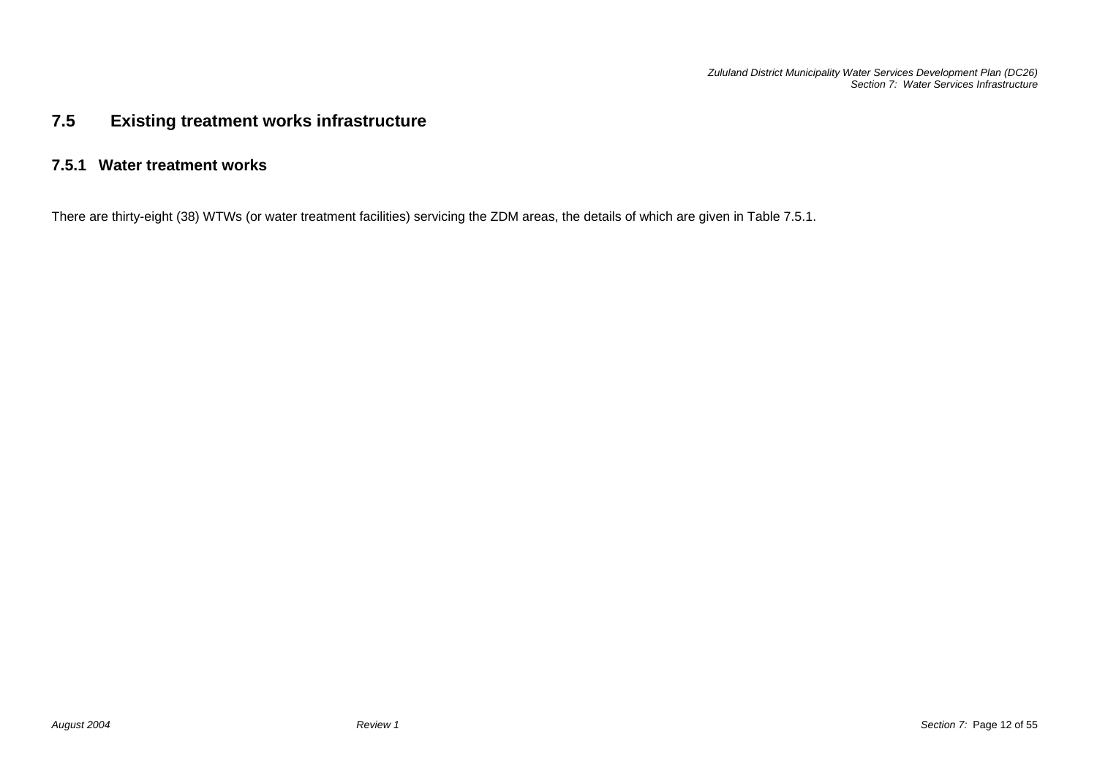*Zululand District Municipality Water Services Development Plan (DC26) Section 7: Water Services Infrastructure* 

## **ure 7.5 Existing treatment works infrastruct**

#### **7.5.1 Water treatment works**

There are thirty-eight (38) WTWs (or water treatment facilities) servicing the ZDM areas, the details of which are given in Table 7.5.1.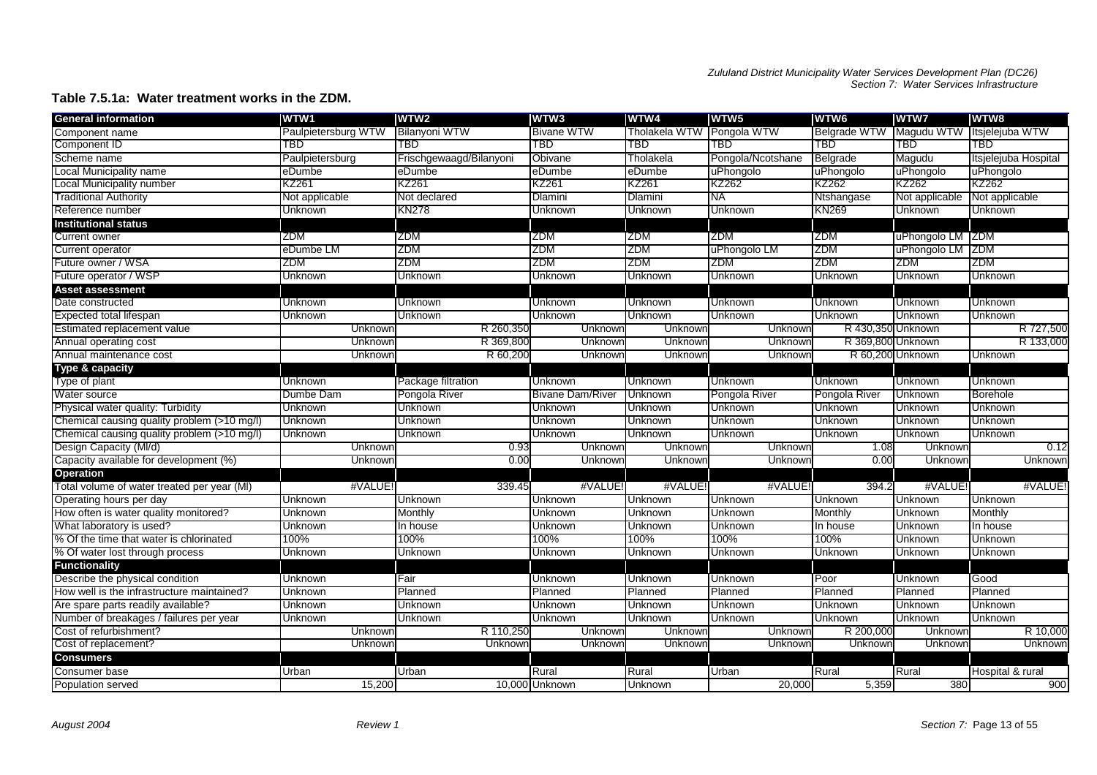#### **Table 7.5.1a: Water treatment works in the ZDM.**

| <b>General information</b>                  | WTW1                | WTW <sub>2</sub>        | WTW3                    | WTW4           | WTW5              | WTW6                      | <b>WTW7</b>      | WTW8                 |
|---------------------------------------------|---------------------|-------------------------|-------------------------|----------------|-------------------|---------------------------|------------------|----------------------|
| Component name                              | Paulpietersburg WTW | Bilanyoni WTW           | <b>Bivane WTW</b>       | Tholakela WTW  | Pongola WTW       | Belgrade WTW   Magudu WTW |                  | Itsjelejuba WTW      |
| Component ID                                | TBD                 | TBD                     | TBD                     | TBD            | TBD               | <b>TBD</b>                | TBD              | TBD                  |
| Scheme name                                 | Paulpietersburg     | Frischgewaagd/Bilanyoni | Obivane                 | Tholakela      | Pongola/Ncotshane | Belgrade                  | Magudu           | Itsjelejuba Hospital |
| Local Municipality name                     | eDumbe              | eDumbe                  | eDumbe                  | eDumbe         | uPhongolo         | uPhongolo                 | uPhongolo        | uPhongolo            |
| Local Municipality number                   | KZ261               | <b>KZ261</b>            | <b>KZ261</b>            | <b>KZ261</b>   | KZ262             | KZ262                     | KZ262            | KZ262                |
| Traditional Authoritv                       | Not applicable      | Not declared            | <b>Dlamini</b>          | <b>Dlamini</b> | NA                | Ntshangase                | Not applicable   | Not applicable       |
| Reference number                            | Unknown             | <b>KN278</b>            | Unknown                 | Unknown        | Unknown           | KN269                     | Unknown          | Unknown              |
| Institutional status                        |                     |                         |                         |                |                   |                           |                  |                      |
| <b>Current owner</b>                        | <b>ZDM</b>          | ZDM                     | ZDM                     | ZDM            | <b>ZDM</b>        | ZDM                       | uPhongolo LM ZDM |                      |
| Current operator                            | eDumbe LM           | ZDM                     | ZDM                     | ZDM            | uPhongolo LM      | ZDM                       | uPhongolo LM ZDM |                      |
| Future owner / WSA                          | ZDM                 | <b>ZDM</b>              | <b>ZDM</b>              | ZDM            | ZDM               | ZDM                       | ZDM              | ZDM                  |
| Future operator / WSP                       | Unknown             | Unknown                 | Unknown                 | Unknown        | Unknown           | Unknown                   | Unknown          | Unknown              |
| <b>Asset assessment</b>                     |                     |                         |                         |                |                   |                           |                  |                      |
| Date constructed                            | Unknown             | <b>Unknown</b>          | Unknown                 | <b>Unknown</b> | <b>Unknown</b>    | Unknown                   | Unknown          | Unknown              |
| Expected total lifespan                     | Unknown             | Unknown                 | <b>Unknown</b>          | <b>Unknown</b> | Unknown           | <b>Unknown</b>            | Unknown          | <b>Unknown</b>       |
| Estimated replacement value                 | Unknowr             | R 260,350               | Unknowr                 | Unknowr        | Unknown           | R 430,350 Unknown         |                  | R 727,500            |
| Annual operating cost                       | Unknow              | R 369,800               | Unknowr                 | Unknowr        | Unknown           | R 369,800 Unknown         |                  | R 133,000            |
| Annual maintenance cost                     | Unknowr             | R 60,200                | Unknowr                 | Unknowr        | Unknown           |                           | R 60,200 Unknown | Unknown              |
| Type & capacity                             |                     |                         |                         |                |                   |                           |                  |                      |
| Type of plant                               | Unknown             | Package filtration      | <b>Unknown</b>          | Unknown        | Unknown           | <b>Unknown</b>            | Unknown          | Unknown              |
| Water source                                | Dumbe Dam           | Pongola River           | <b>Bivane Dam/River</b> | Unknown        | Pongola River     | Pongola River             | Unknown          | <b>Borehole</b>      |
| Physical water quality: Turbidity           | Unknown             | Unknown                 | Unknown                 | Unknown        | Unknown           | Unknown                   | Unknown          | Unknown              |
| Chemical causing quality problem (>10 mg/l) | Unknown             | <b>Unknown</b>          | <b>Unknown</b>          | Unknown        | <b>Unknown</b>    | Unknown                   | Unknown          | Unknown              |
| Chemical causing quality problem (>10 mg/l) | Unknown             | Unknown                 | Unknown                 | Unknown        | Unknown           | Unknown                   | <b>Unknown</b>   | Unknown              |
| Design Capacity (MI/d)                      | Unknowr             | 0.93                    | Unknowr                 | Unknowr        | Unknown           | 1.08                      | Unknown          | 0.12                 |
| Capacity available for development (%)      | Unknowr             | 0.00                    | Unknowr                 | Unknowr        | Unknown           | 0.00                      | Unknown          | Unknown              |
| <b>Operation</b>                            |                     |                         |                         |                |                   |                           |                  |                      |
| Total volume of water treated per year (MI) | #VALUE!             | 339.45                  | #VALUE!                 | #VALUE         | #VALUE!           | 394.2                     | #VALUE           | #VALUE               |
| Operating hours per day                     | Unknown             | Unknown                 | Unknown                 | Unknown        | Unknown           | Unknown                   | Unknown          | <b>Unknown</b>       |
| How often is water quality monitored?       | <b>Unknown</b>      | Monthly                 | Unknown                 | Unknown        | Unknown           | <b>Monthly</b>            | Unknown          | Monthly              |
| What laboratory is used?                    | Unknown             | In house                | <b>Unknown</b>          | Unknown        | Unknown           | In house                  | <b>Unknown</b>   | In house             |
| % Of the time that water is chlorinated     | 100%                | 100%                    | 100%                    | 100%           | 100%              | 100%                      | Unknown          | Unknown              |
| % Of water lost through process             | Unknown             | Unknown                 | Unknown                 | Unknown        | Unknown           | Unknown                   | Unknown          | Unknown              |
| <b>Functionality</b>                        |                     |                         |                         |                |                   |                           |                  |                      |
| Describe the physical condition             | Unknown             | Fair                    | Unknown                 | Unknown        | Unknown           | Poor                      | Unknown          | Good                 |
| How well is the infrastructure maintained?  | Unknown             | Planned                 | Planned                 | Planned        | Planned           | Planned                   | Planned          | Planned              |
| Are spare parts readily available?          | Unknown             | Unknown                 | <b>Unknown</b>          | Unknown        | Unknown           | Unknown                   | Unknown          | Unknown              |
| Number of breakages / failures per year     | <b>Unknown</b>      | Unknown                 | Unknown                 | Unknown        | Unknown           | <b>Unknown</b>            | Unknown          | <b>Unknown</b>       |
| Cost of refurbishment?                      | Unknowr             | R 110,250               | Unknown                 | Unknown        | Unknown           | R 200,000                 | Unknown          | R 10,000             |
| Cost of replacement?                        | Unknown             | Unknowr                 | Unknowr                 | Unknowr        | Unknown           | Unknown                   | Unknown          | Unknowr              |
| <b>Consumers</b>                            |                     |                         |                         |                |                   |                           |                  |                      |
| Consumer base                               | Urban               | Urban                   | Rural                   | Rural          | Urban             | Rural                     | Rural            | Hospital & rural     |
| Population served                           | 15,200              |                         | 10,000 Unknown          | Unknown        | 20,000            | 5,359                     | 380              | 900                  |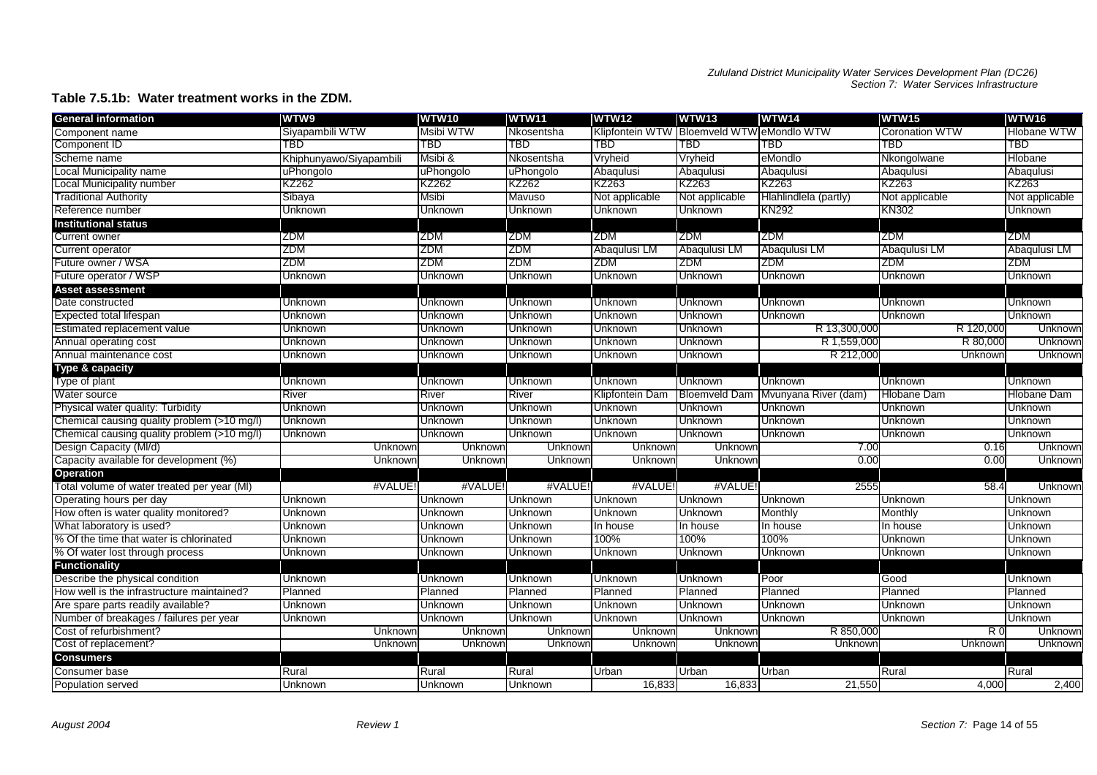#### **Table 7.5.1b: Water treatment works in the ZDM.**

| <b>General information</b>                  | WTW9                    | <b>WTW10</b>   | <b>WTW11</b>   | <b>WTW12</b>           | <b>WTW13</b>                              | <b>WTW14</b>          | <b>WTW15</b>          | <b>WTW16</b>   |
|---------------------------------------------|-------------------------|----------------|----------------|------------------------|-------------------------------------------|-----------------------|-----------------------|----------------|
| Component name                              | Siyapambili WTW         | Msibi WTW      | Nkosentsha     |                        | Klipfontein WTW Bloemveld WTW eMondlo WTW |                       | <b>Coronation WTW</b> | Hlobane WTW    |
| Component ID                                | TBD                     | TBD            | TBD            | TBD                    | TBD                                       | TBD                   | TBD                   | TBD            |
| Scheme name                                 | Khiphunyawo/Siyapambili | Msibi &        | Nkosentsha     | Vryheid                | Vryheid                                   | eMondlo               | Nkongolwane           | Hlobane        |
| <b>Local Municipality name</b>              | uPhongolo               | uPhongolo      | uPhongolo      | Abaqulusi              | Abaqulusi                                 | Abaqulusi             | Abaqulusi             | Abaqulusi      |
| Local Municipality number                   | KZ262                   | KZ262          | KZ262          | KZ263                  | KZ263                                     | KZ263                 | KZ263                 | KZ263          |
| <b>Traditional Authority</b>                | Sibaya                  | Msibi          | Mavuso         | Not applicable         | Not applicable                            | Hlahlindlela (partly) | Not applicable        | Not applicable |
| Reference number                            | Unknown                 | Unknown        | Unknown        | Unknown                | Unknown                                   | <b>KN292</b>          | <b>KN302</b>          | Unknown        |
| nstitutional status                         |                         |                |                |                        |                                           |                       |                       |                |
| Current owner                               | <b>ZDM</b>              | ZDM            | ZDM            | <b>ZDM</b>             | ZDM                                       | <b>ZDM</b>            | ZDM                   | <b>ZDM</b>     |
| <b>Current operator</b>                     | ZDM                     | ZDM            | ZDM            | Abaqulusi LM           | Abaqulusi LM                              | Abaqulusi LM          | Abaqulusi LM          | Abaqulusi LM   |
| Future owner / WSA                          | ZDM                     | ZDM            | ZDM            | ZDM                    | ZDM                                       | ZDM                   | ZDM                   | ZDM            |
| Future operator / WSP                       | Unknown                 | Unknown        | Unknown        | <b>Unknown</b>         | Unknown                                   | Unknown               | Unknown               | Unknown        |
| <b>Asset assessment</b>                     |                         |                |                |                        |                                           |                       |                       |                |
| Date constructed                            | Unknown                 | Unknown        | Unknown        | Unknown                | Unknown                                   | Unknown               | Unknown               | Unknown        |
| Expected total lifespan                     | <b>Unknown</b>          | Unknown        | Unknown        | Unknown                | Unknown                                   | Unknown               | Unknown               | Unknown        |
| Estimated replacement value                 | Unknown                 | Unknown        | <b>Unknown</b> | Unknown                | Unknown                                   | R 13,300,000          | R 120,000             | Unknowr        |
| Annual operating cost                       | Unknown                 | Unknown        | Unknown        | Unknown                | Unknown                                   | R 1,559,000           | R 80,000              | Unknown        |
| Annual maintenance cost                     | Unknown                 | Unknown        | Unknown        | Unknown                | Unknown                                   | R 212,000             | Unknown               | Unknowr        |
| Type & capacity                             |                         |                |                |                        |                                           |                       |                       |                |
| Type of plant                               | Unknown                 | Unknown        | Unknown        | Unknown                | Unknown                                   | Unknown               | Unknown               | Unknown        |
| Water source                                | River                   | River          | River          | <b>Klipfontein Dam</b> | <b>Bloemveld Dam</b>                      | Mvunyana River (dam)  | <b>Hlobane Dam</b>    | Hlobane Dam    |
| Physical water quality: Turbidity           | Unknown                 | Jnknown        | Unknown        | Unknown                | Unknown                                   | Unknown               | Unknown               | Unknown        |
| Chemical causing quality problem (>10 mg/l) | Unknown                 | <b>Unknown</b> | Unknown        | Unknown                | Unknown                                   | Unknown               | Unknown               | Unknown        |
| Chemical causing quality problem (>10 mg/l) | Unknown                 | Unknown        | Unknown        | Unknown                | Unknown                                   | Unknown               | Unknown               | Unknown        |
| Design Capacity (MI/d)                      | Unknowr                 | Unknown        | Unknown        | Unknown                | Unknown                                   | 7.00                  | 0.16                  | Unknown        |
| Capacity available for development (%)      | Unknowr                 | Unknown        | Unknown        | Unknowr                | Unknown                                   | 0.00                  | 0.00                  | Unknowr        |
| <b>Operation</b>                            |                         |                |                |                        |                                           |                       |                       |                |
| Total volume of water treated per year (MI) | #VALUE                  | #VALUE!        | #VALUE!        | #VALUE!                | #VALUE!                                   | 2555                  | 58.4                  | Unknowr        |
| Operating hours per day                     | Unknown                 | Unknown        | Unknown        | Unknown                | Unknown                                   | Unknown               | Unknown               | Unknown        |
| How often is water quality monitored?       | Unknown                 | Unknown        | <b>Unknown</b> | <b>Unknown</b>         | <b>Unknown</b>                            | Monthly               | Monthly               | Unknown        |
| What laboratory is used?                    | Unknown                 | <b>Unknown</b> | Unknown        | In house               | In house                                  | In house              | In house              | Unknown        |
| % Of the time that water is chlorinated     | Unknown                 | Unknown        | Unknown        | 100%                   | 100%                                      | 100%                  | Unknowr               | Unknown        |
| % Of water lost through process             | Unknown                 | Unknown        | Unknown        | Unknown                | Unknown                                   | Unknown               | Unknown               | Unknown        |
| <b>Functionality</b>                        |                         |                |                |                        |                                           |                       |                       |                |
| Describe the physical condition             | Unknown                 | Unknown        | Unknown        | Unknown                | Unknown                                   | Poor                  | Good                  | Unknown        |
| How well is the infrastructure maintained?  | Planned                 | Planned        | Planned        | Planned                | Planned                                   | Planned               | Planned               | Planned        |
| Are spare parts readily available?          | Unknown                 | Unknown        | Unknown        | Unknown                | Unknown                                   | Unknown               | Unknown               | Unknown        |
| Number of breakages / failures per year     | Unknown                 | Unknown        | Unknown        | Unknown                | Unknown                                   | Unknown               | Unknown               | Unknown        |
| Cost of refurbishment?                      | Unknowr                 | Unknown        | Unknown        | Unknown                | Unknown                                   | R 850,000             | R <sub>0</sub>        | Unknown        |
| Cost of replacement?                        | Unknowr                 | Unknown        | Unknown        | Unknowr                | Unknown                                   | Unknowr               | Unknown               | Unknown        |
| <b>Consumers</b>                            |                         |                |                |                        |                                           |                       |                       |                |
| Consumer base                               | Rural                   | Rural          | Rural          | Urban                  | Urban                                     | Urban                 | Rural                 | Rural          |
| Population served                           | Unknown                 | Unknown        | Unknown        | 16,833                 | 16,833                                    | 21,550                | 4,000                 | 2,400          |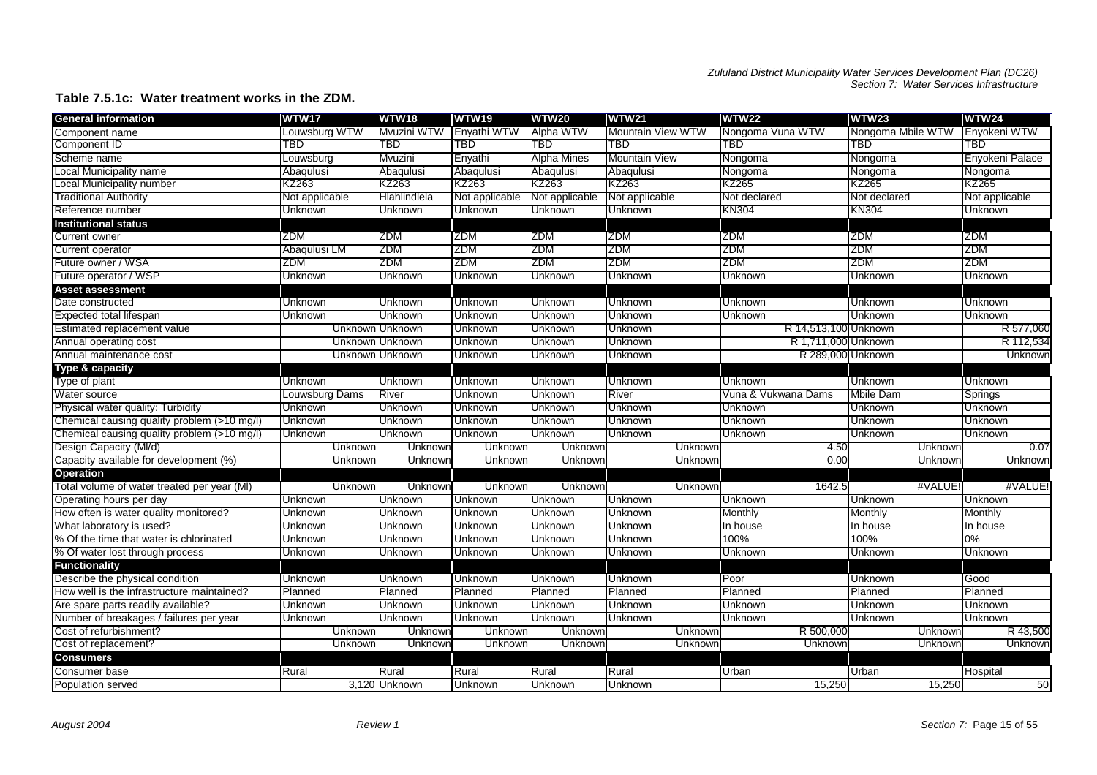#### **Table 7.5.1c: Water treatment works in the ZDM.**

| <b>General information</b>                  | WTW17           | WTW18           | <b>WTW19</b>   | <b>WTW20</b>       | <b>WTW21</b>         | <b>WTW22</b>         | <b>WTW23</b>      | <b>WTW24</b>    |
|---------------------------------------------|-----------------|-----------------|----------------|--------------------|----------------------|----------------------|-------------------|-----------------|
| Component name                              | Louwsburg WTW   | Mvuzini WTW     | Enyathi WTW    | Alpha WTW          | Mountain View WTW    | Nongoma Vuna WTW     | Nongoma Mbile WTW | Enyokeni WTW    |
| Component ID                                | TBD             | TBD             | TBD            | TBD                | TBD                  | TBD                  | TBD               | TBD             |
| Scheme name                                 | Louwsburg       | Mvuzini         | Enyathi        | <b>Alpha Mines</b> | <b>Mountain View</b> | Nongoma              | Nongoma           | Enyokeni Palace |
| Local Municipality name                     | Abaqulusi       | Abaqulusi       | Abaqulusi      | Abaqulusi          | Abaqulusi            | Nongoma              | Nongoma           | Nongoma         |
| Local Municipality number                   | KZ263           | KZ263           | KZ263          | KZ263              | KZ263                | <b>KZ265</b>         | KZ265             | <b>KZ265</b>    |
| Traditional Authority                       | Not applicable  | Hlahlindlela    | Not applicable | Not applicable     | Not applicable       | Not declared         | Not declared      | Not applicable  |
| Reference number                            | Unknown         | Unknown         | Unknown        | Unknown            | Unknown              | <b>KN304</b>         | KN304             | Unknown         |
| Institutional status                        |                 |                 |                |                    |                      |                      |                   |                 |
| Current owner                               | ZDM             | <b>ZDM</b>      | ZDM            | ZDM                | ZDM                  | ZDM                  | ZDM               | ZDM             |
| Current operator                            | Abaqulusi LM    | <b>ZDM</b>      | ZDM            | ZDM                | ZDM                  | ZDM                  | ZDM               | ZDM             |
| Future owner / WSA                          | ZDM             | <b>ZDM</b>      | ZDM            | ZDM                | ZDM                  | ZDM                  | ZDM               | ZDM             |
| Future operator / WSP                       | Unknown         | Unknown         | Unknown        | Unknown            | Unknown              | Unknown              | Unknown           | Unknown         |
| <b>Asset assessment</b>                     |                 |                 |                |                    |                      |                      |                   |                 |
| Date constructed                            | Unknown         | Unknown         | Unknown        | Unknown            | Unknown              | Unknown              | Unknown           | Unknown         |
| Expected total lifespan                     | Unknown         | Unknown         | Unknown        | Unknown            | Unknown              | Unknown              | <b>Unknown</b>    | Unknown         |
| Estimated replacement value                 | Unknown Unknown |                 | Unknown        | Unknown            | Unknown              | R 14,513,100 Unknown |                   | R 577,060       |
| Annual operating cost                       |                 | Unknown Unknown | Unknown        | Unknown            | Unknown              | R 1,711,000 Unknown  |                   | R 112,534       |
| Annual maintenance cost                     |                 | Unknown Unknown | Unknown        | Unknown            | Unknown              | R 289,000 Unknown    |                   | Unknown         |
| <b>Type &amp; capacity</b>                  |                 |                 |                |                    |                      |                      |                   |                 |
| Type of plant                               | Unknown         | Unknown         | Unknown        | Unknown            | Unknown              | Unknown              | Unknown           | Unknown         |
| Water source                                | Louwsburg Dams  | River           | <b>Unknown</b> | Unknown            | River                | Vuna & Vukwana Dams  | Mbile Dam         | Springs         |
| Physical water quality: Turbidity           | Unknown         | Unknown         | Unknown        | Unknown            | Unknown              | Unknown              | Unknown           | Unknown         |
| Chemical causing quality problem (>10 mg/l) | <b>Unknown</b>  | Unknown         | <b>Unknown</b> | <b>Unknown</b>     | Unknown              | Unknown              | Unknown           | <b>Unknown</b>  |
| Chemical causing quality problem (>10 mg/l) | Unknown         | Unknown         | Unknown        | Unknown            | Unknown              | Unknown              | Unknown           | Unknown         |
| Design Capacity (MI/d)                      | Unknowr         | Unknown         | Unknowr        | Unknowr            | Unknown              | 4.50                 | Unknown           | 0.07            |
| Capacity available for development (%)      | Unknown         | Unknown         | Unknown        | Unknowr            | Unknown              | 0.00                 | Unknown           | Unknown         |
| <b>Operation</b>                            |                 |                 |                |                    |                      |                      |                   |                 |
| Total volume of water treated per year (MI) | Unknown         | Unknown         | Unknown        | Unknown            | Unknown              | 1642.5               | #VALUE            | #VALUE!         |
| Operating hours per day                     | Unknown         | Unknown         | Unknown        | Unknown            | Unknown              | Unknown              | Unknown           | Unknown         |
| How often is water quality monitored?       | Unknown         | Unknown         | <b>Unknown</b> | Unknown            | Unknown              | Monthly              | Monthly           | Monthly         |
| What laboratory is used?                    | Unknown         | Unknown         | Unknown        | Unknown            | Unknown              | In house             | In house          | In house        |
| % Of the time that water is chlorinated     | Unknown         | Unknown         | Unknown        | Unknown            | Unknown              | 100%                 | 100%              | 0%              |
| % Of water lost through process             | Unknown         | Unknown         | Unknown        | Unknown            | Unknown              | Unknown              | Unknown           | Unknown         |
| <b>Functionality</b>                        |                 |                 |                |                    |                      |                      |                   |                 |
| Describe the physical condition             | Unknown         | Unknown         | Unknown        | Unknown            | Unknown              | Poor                 | Unknown           | Good            |
| How well is the infrastructure maintained?  | Planned         | Planned         | Planned        | Planned            | Planned              | Planned              | Planned           | Planned         |
| Are spare parts readily available?          | Unknown         | Unknown         | Unknown        | Unknown            | Unknown              | Unknown              | Unknown           | Unknown         |
| Number of breakages / failures per year     | Unknown         | <b>Unknown</b>  | <b>Unknown</b> | Unknown            | <b>Unknown</b>       | <b>Unknown</b>       | Unknown           | Unknown         |
| Cost of refurbishment?                      | Unknown         | Unknown         | Unknowr        | Unknowr            | Unknown              | R 500,000            | Unknown           | R 43,500        |
| Cost of replacement?                        | Unknowr         | Unknown         | Unknowr        | Unknowr            | Unknown              | Unknow               | Unknown           | Unknowr         |
| <b>Consumers</b>                            |                 |                 |                |                    |                      |                      |                   |                 |
| Consumer base                               | Rural           | Rural           | Rural          | Rural              | Rural                | Urban                | Urban             | Hospital        |
| Population served                           |                 | 3,120 Unknown   | Unknown        | Unknown            | Unknown              | 15,250               | 15,250            | 50              |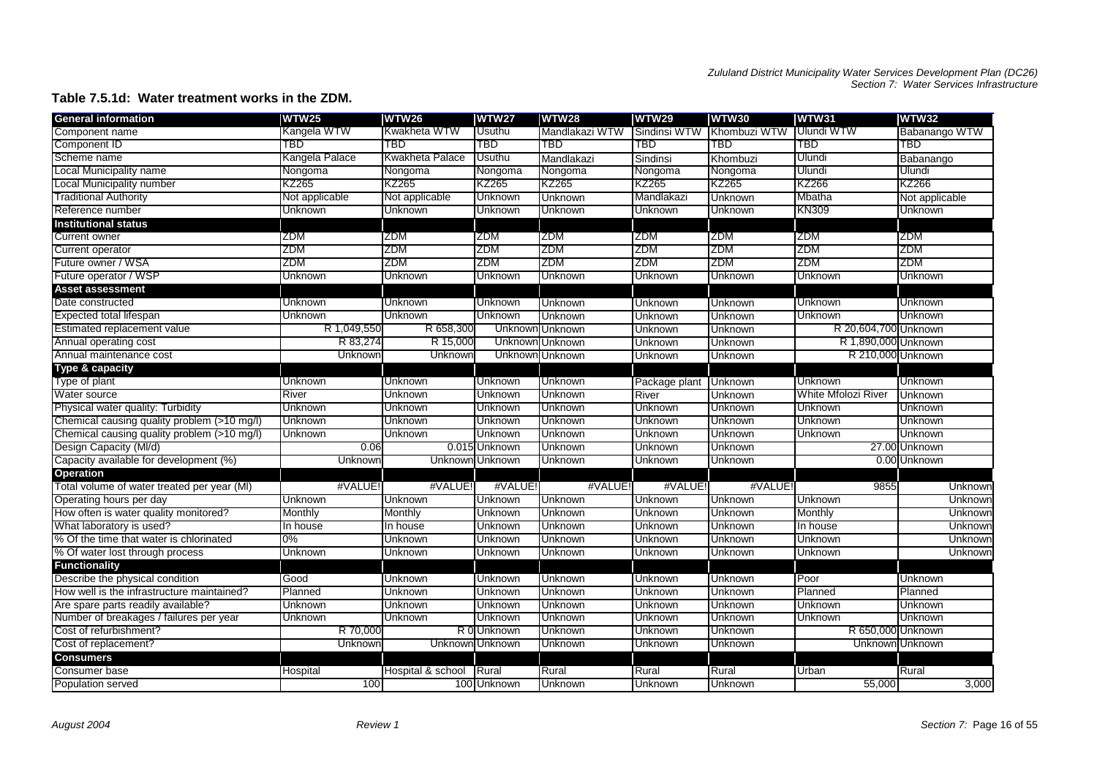#### **Table 7.5.1d: Water treatment works in the ZDM.**

| <b>General information</b>                  | <b>WTW25</b>   | <b>WTW26</b>      | <b>WTW27</b>    | <b>WTW28</b>    | <b>WTW29</b>   | <b>WTW30</b>   | <b>WTW31</b>         | <b>WTW32</b>    |
|---------------------------------------------|----------------|-------------------|-----------------|-----------------|----------------|----------------|----------------------|-----------------|
| Component name                              | Kangela WTW    | Kwakheta WTW      | Usuthu          | Mandlakazi WTW  | Sindinsi WTW   | Khombuzi WTW   | <b>Ulundi WTW</b>    | Babanango WTW   |
| Component ID                                | TBD            | TBD               | TBD             | TBD             | TBD            | TBD            | TBD                  | TBD             |
| Scheme name                                 | Kangela Palace | Kwakheta Palace   | Usuthu          | Mandlakazi      | Sindinsi       | Khombuzi       | Ulundi               | Babanango       |
| Local Municipality name                     | Nongoma        | Nongoma           | Nongoma         | Nongoma         | Nongoma        | Nongoma        | Ulundi               | Ulundi          |
| Local Municipality number                   | KZ265          | KZ265             | KZ265           | KZ265           | KZ265          | <b>KZ265</b>   | KZ266                | KZ266           |
| <b>Traditional Authority</b>                | Not applicable | Not applicable    | Unknown         | Unknown         | Mandlakazi     | Unknown        | Mbatha               | Not applicable  |
| Reference number                            | Unknown        | Unknown           | Unknown         | Unknown         | Unknown        | Unknown        | <b>KN309</b>         | Unknown         |
| <b>Institutional status</b>                 |                |                   |                 |                 |                |                |                      |                 |
| <b>Current owner</b>                        | ZDM            | ZDM               | ZDM             | ZDM             | ZDM            | ZDM            | ZDM                  | <b>ZDM</b>      |
| Current operator                            | ZDM            | ZDM               | ZDM             | ZDM             | ZDM            | ZDM            | ZDM                  | <b>ZDM</b>      |
| Future owner / WSA                          | ZDM            | ZDM               | ZDM             | ZDM             | ZDM            | ZDM            | ZDM                  | ZDM             |
| Future operator / WSP                       | Unknown        | Unknown           | Unknown         | Unknown         | Unknown        | Unknown        | Unknown              | Unknown         |
| <b>Asset assessment</b>                     |                |                   |                 |                 |                |                |                      |                 |
| Date constructed                            | Unknown        | Unknown           | Unknown         | Unknown         | Unknown        | Unknown        | Unknown              | <b>Unknown</b>  |
| Expected total lifespan                     | Unknown        | Unknown           | Unknown         | Unknown         | Unknown        | Unknown        | Unknown              | <b>Unknown</b>  |
| Estimated replacement value                 | R 1,049,550    | R 658,300         | Unknow          | Unknown         | <b>Unknown</b> | Unknown        | R 20,604,700 Unknown |                 |
| Annual operating cost                       | R 83.274       | R 15,000          | Unknow          | Unknown         | Unknown        | Unknown        | R 1,890,000 Unknown  |                 |
| Annual maintenance cost                     | Unknown        | Unknown           |                 | Unknown Unknown | Unknown        | Unknown        | R 210,000 Unknown    |                 |
| Type & capacity                             |                |                   |                 |                 |                |                |                      |                 |
| Type of plant                               | Unknown        | Unknown           | Unknown         | <b>Unknown</b>  | Package plant  | Unknown        | Unknown              | Unknown         |
| Water source                                | River          | Unknown           | Unknown         | Unknown         | River          | Unknown        | White Mfolozi River  | Unknown         |
| Physical water quality: Turbidity           | Unknown        | Unknown           | Unknown         | Unknown         | Unknown        | Unknown        | Unknown              | Unknown         |
| Chemical causing quality problem (>10 mg/l) | Unknown        | Unknown           | Unknown         | Unknown         | Unknown        | Unknown        | Unknown              | Unknown         |
| Chemical causing quality problem (>10 mg/l) | Unknown        | Unknown           | Unknown         | <b>Unknown</b>  | Unknown        | Unknown        | Unknown              | Unknown         |
| Design Capacity (MI/d)                      | 0.06           |                   | 0.015 Unknown   | Unknown         | Unknown        | Unknown        |                      | 27.00 Unknown   |
| Capacity available for development (%)      | Unknown        |                   | Unknown Unknown | Unknown         | Unknown        | Unknown        |                      | 0.00 Unknown    |
| <b>Operation</b>                            |                |                   |                 |                 |                |                |                      |                 |
| Total volume of water treated per year (MI) | #VALUE!        | #VALUE!           | #VALUE!         | #VALUE!         | #VALUE!        | #VALUE!        | 9855                 | Unknown         |
| Operating hours per day                     | Unknown        | Unknown           | Unknown         | Unknown         | Unknown        | Unknown        | Unknown              | Unknown         |
| How often is water quality monitored?       | Monthly        | Monthly           | Unknown         | Unknown         | <b>Unknown</b> | Unknown        | Monthly              | Unknown         |
| What laboratory is used?                    | In house       | In house          | Unknown         | Unknown         | Unknown        | Unknown        | In house             | Unknown         |
| % Of the time that water is chlorinated     | $0\%$          | Unknown           | Unknown         | Unknown         | <b>Unknown</b> | Unknown        | Unknown              | Unknown         |
| % Of water lost through process             | Unknown        | Unknown           | Unknown         | Unknown         | Unknown        | <b>Unknown</b> | Unknown              | <b>Unknown</b>  |
| <b>Functionality</b>                        |                |                   |                 |                 |                |                |                      |                 |
| Describe the physical condition             | Good           | Unknown           | Unknown         | Unknown         | Unknown        | Unknown        | Poor                 | Unknown         |
| How well is the infrastructure maintained?  | Planned        | Unknown           | Unknown         | Unknown         | Unknown        | Unknown        | Planned              | Planned         |
| Are spare parts readily available?          | Unknown        | Unknown           | Unknown         | Unknown         | Unknown        | Unknown        | Unknown              | Unknown         |
| Number of breakages / failures per year     | Unknown        | Unknown           | Unknown         | <b>Unknown</b>  | Unknown        | Unknown        | Unknown              | Unknown         |
| Cost of refurbishment?                      | R 70,000       |                   | R 0 Unknown     | Unknown         | Unknown        | <b>Unknown</b> | R 650,000 Unknown    |                 |
| Cost of replacement?                        | Unknowr        | Unknown           | ı Unknown       | Unknown         | Unknown        | <b>Unknown</b> |                      | Unknown Unknown |
| <b>Consumers</b>                            |                |                   |                 |                 |                |                |                      |                 |
| Consumer base                               | Hospital       | Hospital & school | Rural           | Rural           | Rural          | Rural          | Urban                | Rural           |
| Population served                           | 100            |                   | 100 Unknown     | Unknown         | Unknown        | Unknown        | 55,000               | 3,000           |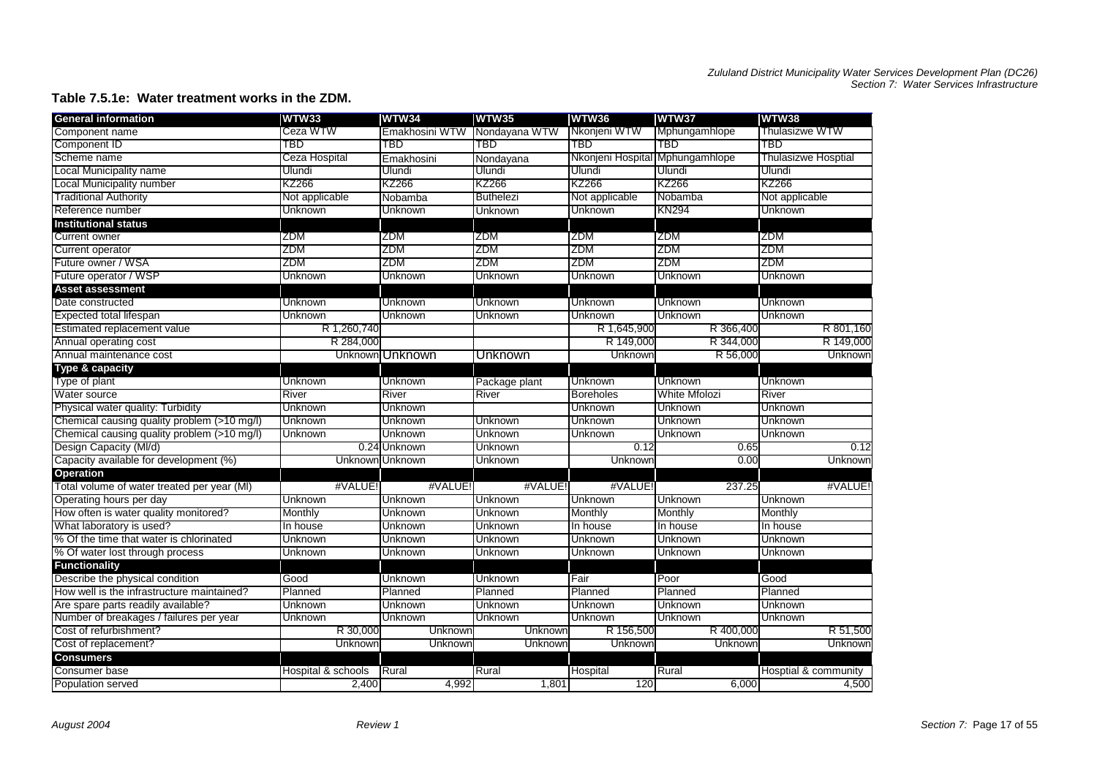#### **Table 7.5.1e: Water treatment works in the ZDM.**

| <b>General information</b>                  | <b>WTW33</b>       | <b>WTW34</b>                 | <b>WTW35</b>     | WTW36                           | WTW37         | <b>WTW38</b>               |
|---------------------------------------------|--------------------|------------------------------|------------------|---------------------------------|---------------|----------------------------|
| Component name                              | Ceza WTW           | Emakhosini WTW Nondayana WTW |                  | Nkonjeni WTW                    | Mphungamhlope | Thulasizwe WTW             |
| Component ID                                | TBD                | TBD                          | TBD              | <b>TBD</b>                      | <b>TBD</b>    | <b>TBD</b>                 |
| Scheme name                                 | Ceza Hospital      | Emakhosini                   | Nondayana        | Nkonjeni Hospital Mphungamhlope |               | <b>Thulasizwe Hosptial</b> |
| Local Municipality name                     | Ulundi             | Ulundi                       | Ulundi           | Ulundi                          | Ulundi        | Ulundi                     |
| Local Municipality number                   | KZ266              | <b>KZ266</b>                 | <b>KZ266</b>     | <b>KZ266</b>                    | <b>KZ266</b>  | <b>KZ266</b>               |
| <b>Traditional Authority</b>                | Not applicable     | Nobamba                      | <b>Buthelezi</b> | Not applicable                  | Nobamba       | Not applicable             |
| Reference number                            | Unknown            | Unknown                      | Unknown          | Unknown                         | <b>KN294</b>  | Unknown                    |
| <b>Institutional status</b>                 |                    |                              |                  |                                 |               |                            |
| <b>Current owner</b>                        | ZDM                | ZDM                          | ZDM              | ZDM                             | <b>ZDM</b>    | <b>ZDM</b>                 |
| Current operator                            | ZDM                | ZDM                          | ZDM              | ZDM                             | ZDM           | <b>ZDM</b>                 |
| Future owner / WSA                          | ZDM                | ZDM                          | ZDM              | <b>ZDM</b>                      | ZDM           | <b>ZDM</b>                 |
| Future operator / WSP                       | Unknown            | Unknown                      | Unknown          | Unknown                         | Unknown       | Unknown                    |
| Asset assessment                            |                    |                              |                  |                                 |               |                            |
| Date constructed                            | Unknown            | Unknown                      | Unknown          | Unknown                         | Unknown       | Unknown                    |
| Expected total lifespan                     | Unknown            | Unknown                      | Unknown          | Unknown                         | Unknown       | Unknown                    |
| Estimated replacement value                 | R 1,260,740        |                              |                  | R 1,645,900                     | R 366,400     | R 801,160                  |
| Annual operating cost                       | R 284,000          |                              |                  | R 149,000                       | R 344,000     | R 149,000                  |
| Annual maintenance cost                     |                    | Unknown Unknown              | Unknown          | Unknown                         | R 56,000      | Unknown                    |
| Type & capacity                             |                    |                              |                  |                                 |               |                            |
| Type of plant                               | Unknown            | Unknown                      | Package plant    | Unknown                         | Unknown       | Unknown                    |
| Water source                                | <b>River</b>       | River                        | River            | <b>Boreholes</b>                | White Mfolozi | River                      |
| Physical water quality: Turbidity           | Unknown            | Unknown                      |                  | <b>Unknown</b>                  | Unknown       | Unknown                    |
| Chemical causing quality problem (>10 mg/l) | Unknown            | Unknown                      | Unknown          | <b>Unknown</b>                  | Unknown       | Unknown                    |
| Chemical causing quality problem (>10 mg/l) | Unknown            | Unknown                      | Unknown          | Unknown                         | Unknown       | Unknown                    |
| Design Capacity (MI/d)                      |                    | 0.24 Unknown                 | Unknown          | 0.12                            | 0.65          | 0.12                       |
| Capacity available for development (%)      | Unknown            | Unknown                      | Unknown          | Unknown                         | 0.00          | Unknown                    |
| <b>Operation</b>                            |                    |                              |                  |                                 |               |                            |
| Total volume of water treated per year (MI) | #VALUE!            | #VALUE!                      | #VALUE!          | #VALUE!                         | 237.25        | #VALUE!                    |
| Operating hours per day                     | Unknown            | Unknown                      | Unknown          | Unknown                         | Unknown       | Unknown                    |
| How often is water quality monitored?       | Monthly            | Unknown                      | <b>Unknown</b>   | Monthly                         | Monthly       | Monthly                    |
| What laboratory is used?                    | In house           | Unknown                      | Unknown          | In house                        | In house      | In house                   |
| % Of the time that water is chlorinated     | Unknown            | Unknown                      | Unknown          | Unknown                         | Unknown       | Unknown                    |
| % Of water lost through process             | Unknown            | Unknown                      | Unknown          | Unknown                         | Unknown       | Unknown                    |
| <b>Functionality</b>                        |                    |                              |                  |                                 |               |                            |
| Describe the physical condition             | Good               | Unknown                      | Unknown          | Fair                            | Poor          | Good                       |
| How well is the infrastructure maintained?  | Planned            | Planned                      | Planned          | Planned                         | Planned       | Planned                    |
| Are spare parts readily available?          | Unknown            | Unknown                      | Unknown          | Unknown                         | Unknown       | Unknown                    |
| Number of breakages / failures per year     | Unknown            | Unknown                      | Unknown          | Unknown                         | Unknown       | Unknown                    |
| Cost of refurbishment?                      | R 30,000           | Unknown                      | Unknown          | R 156,500                       | R 400,000     | R 51,500                   |
| Cost of replacement?                        | Unknown            | Unknown                      | Unknowr          | Unknown                         | Unknowr       | Unknown                    |
| <b>Consumers</b>                            |                    |                              |                  |                                 |               |                            |
| Consumer base                               | Hospital & schools | Rural                        | Rural            | Hospital                        | Rural         | Hosptial & community       |
| Population served                           | 2,400              | 4,992                        | 1,801            | 120                             | 6,000         | 4,500                      |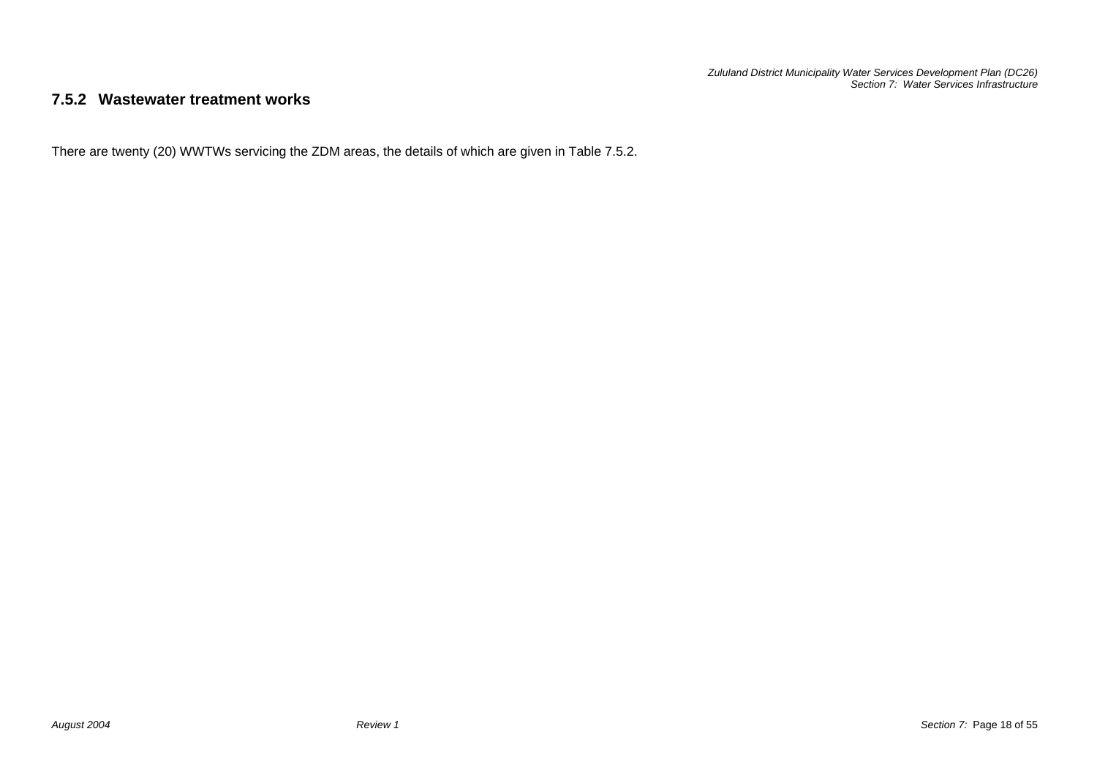*Zululand District Municipality Water Services Development Plan (DC26) Section 7: Water Services Infrastructure* 

#### **7.5.2 Wastewater treatment works**

There are twenty (20) WWTWs servicing the ZDM areas, the details of which are given in Table 7.5.2.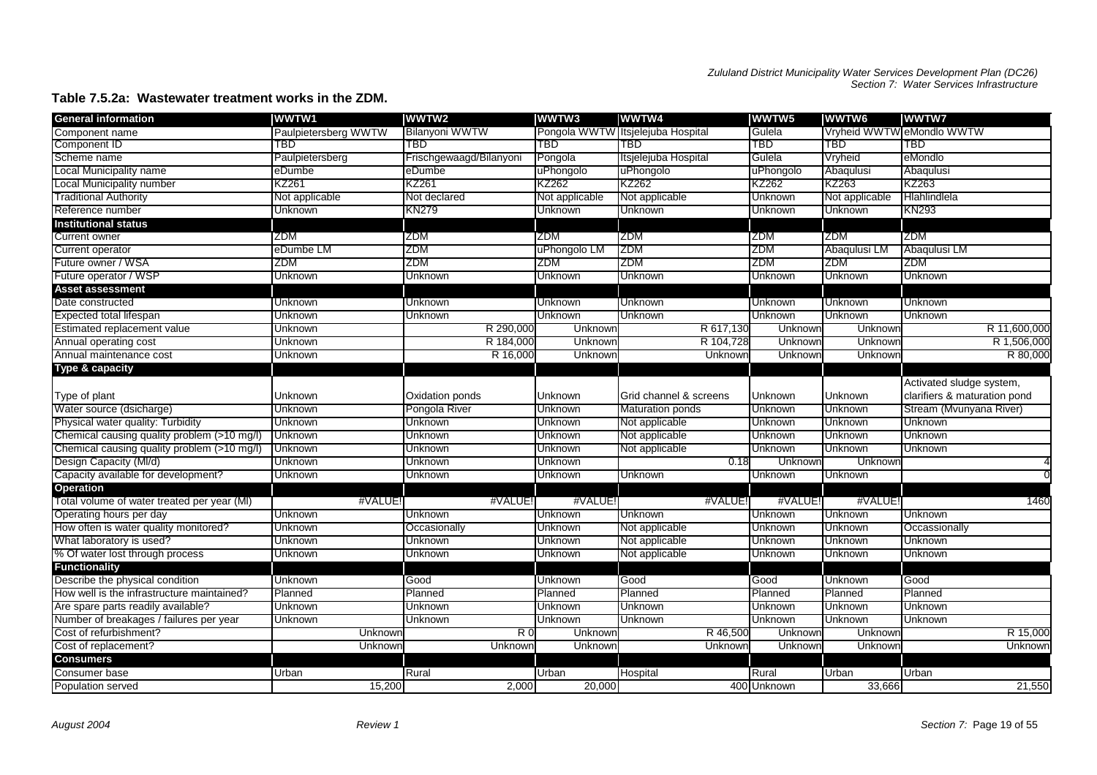#### **Table 7.5.2a: Wastewater treatment works in the ZDM.**

| <b>General information</b>                  | WWTW1                | WWTW2                   | WWTW3          | WWTW4                             | WWTW5          | WWTW6          | WWTW7                        |
|---------------------------------------------|----------------------|-------------------------|----------------|-----------------------------------|----------------|----------------|------------------------------|
| Component name                              | Paulpietersberg WWTW | <b>Bilanyoni WWTW</b>   |                | Pongola WWTW Itsjelejuba Hospital | Gulela         |                | Vryheid WWTW eMondlo WWTW    |
| Component ID                                | TBD                  | TBD                     | TBD            | TBD                               | TBD            | <b>TBD</b>     | TBD                          |
| Scheme name                                 | Paulpietersberg      | Frischgewaagd/Bilanyoni | Pongola        | Itsjelejuba Hospital              | Gulela         | Vryheid        | eMondlo                      |
| Local Municipality name                     | eDumbe               | eDumbe                  | uPhongolo      | uPhongolo                         | uPhongolo      | Abaqulusi      | Abaqulusi                    |
| Local Municipality number                   | KZ261                | <b>KZ261</b>            | KZ262          | KZ262                             | KZ262          | KZ263          | KZ263                        |
| Traditional Authority                       | Not applicable       | Not declared            | Not applicable | Not applicable                    | Unknown        | Not applicable | Hlahlindlela                 |
| Reference number                            | Unknown              | <b>KN279</b>            | Unknown        | <b>Unknown</b>                    | Unknown        | Unknown        | <b>KN293</b>                 |
| Institutional status                        |                      |                         |                |                                   |                |                |                              |
| <b>Current owner</b>                        | <b>ZDM</b>           | ZDM                     | ZDM            | <b>ZDM</b>                        | ZDM            | <b>ZDM</b>     | ZDM                          |
| <b>Current operator</b>                     | eDumbe LM            | ZDM                     | uPhongolo LM   | ZDM                               | ZDM            | Abaqulusi LM   | Abaqulusi LM                 |
| Future owner / WSA                          | ZDM                  | ZDM                     | ZDM            | ZDM                               | ZDM            | ZDM            | <b>ZDM</b>                   |
| Future operator / WSP                       | Unknown              | Unknown                 | Unknown        | Unknown                           | Unknown        | Unknown        | Unknown                      |
| <b>Asset assessment</b>                     |                      |                         |                |                                   |                |                |                              |
| Date constructed                            | Unknown              | Unknown                 | Unknown        | Unknown                           | Unknown        | Unknown        | Unknown                      |
| <b>Expected total lifespan</b>              | Unknown              | Unknown                 | Unknown        | Unknown                           | <b>Unknown</b> | Unknown        | Unknown                      |
| Estimated replacement value                 | Unknown              | R 290,000               | Unknown        | R 617,130                         | Unknown        | Unknown        | R 11,600,000                 |
| Annual operating cost                       | Unknown              | R 184,000               | Unknowr        | R 104,728                         | Unknowr        | Unknow         | R 1,506,000                  |
| Annual maintenance cost                     | Unknown              | R 16,000                | Unknowr        | Unknowr                           | Unknown        | Unknown        | R 80,000                     |
| Type & capacity                             |                      |                         |                |                                   |                |                |                              |
|                                             |                      |                         |                |                                   |                |                | Activated sludge system,     |
| Type of plant                               | Unknown              | Oxidation ponds         | Unknown        | Grid channel & screens            | Unknown        | Unknown        | clarifiers & maturation pond |
| Water source (dsicharge)                    | Unknown              | Pongola River           | Unknown        | <b>Maturation ponds</b>           | Unknown        | Unknown        | Stream (Mvunyana River)      |
| Physical water quality: Turbidity           | Unknown              | Unknown                 | Unknown        | Not applicable                    | Unknown        | Unknown        | Unknown                      |
| Chemical causing quality problem (>10 mg/l) | Unknown              | Unknown                 | Unknown        | Not applicable                    | <b>Unknown</b> | Unknown        | Unknown                      |
| Chemical causing quality problem (>10 mg/l) | Unknown              | Unknown                 | Unknown        | Not applicable                    | Unknown        | Unknown        | Unknown                      |
| Design Capacity (MI/d)                      | Unknown              | Unknown                 | Unknown        | 0.18                              | Unknown        | Unknowr        |                              |
| Capacity available for development?         | Unknown              | Unknown                 | Unknown        | Unknown                           | Unknown        | Unknown        |                              |
| <b>Operation</b>                            |                      |                         |                |                                   |                |                |                              |
| Total volume of water treated per year (MI) | #VALUE!              | #VALUE!                 | #VALUE!        | #VALUE                            | #VALUE!        | #VALUE!        | 1460                         |
| Operating hours per day                     | Unknown              | <b>Unknown</b>          | Unknown        | Unknown                           | Unknown        | Unknown        | Unknown                      |
| How often is water quality monitored?       | Unknown              | Occasionally            | Unknown        | Not applicable                    | Unknown        | Unknown        | Occassionally                |
| What laboratory is used?                    | Unknown              | Unknown                 | Unknown        | Not applicable                    | Unknown        | Unknown        | Unknown                      |
| % Of water lost through process             | Unknown              | Unknown                 | Unknown        | Not applicable                    | Unknown        | Unknown        | Unknown                      |
| <b>Functionality</b>                        |                      |                         |                |                                   |                |                |                              |
| Describe the physical condition             | Unknown              | Good                    | Unknown        | Good                              | Good           | Unknown        | Good                         |
| How well is the infrastructure maintained?  | Planned              | Planned                 | Planned        | Planned                           | Planned        | Planned        | Planned                      |
| Are spare parts readily available?          | Unknown              | Unknown                 | Unknown        | Unknown                           | Unknown        | Unknown        | Unknown                      |
| Number of breakages / failures per year     | Unknown              | Unknown                 | Unknown        | Unknown                           | Unknown        | Unknown        | Unknown                      |
| Cost of refurbishment?                      | Unknown              | R0                      | Unknown        | R 46,500                          | Unknown        | Unknown        | R 15,000                     |
| Cost of replacement?                        | Unknowr              | Unknowr                 | Unknowr        | Unknowr                           | Unknowr        | Unknowr        | Unknowr                      |
| <b>Consumers</b>                            |                      |                         |                |                                   |                |                |                              |
| Consumer base                               | Urban                | Rural                   | Urban          | Hospital                          | Rural          | Urban          | Urban                        |
| Population served                           | 15,200               | 2,000                   | 20,000         |                                   | 400 Unknown    | 33,666         | 21,550                       |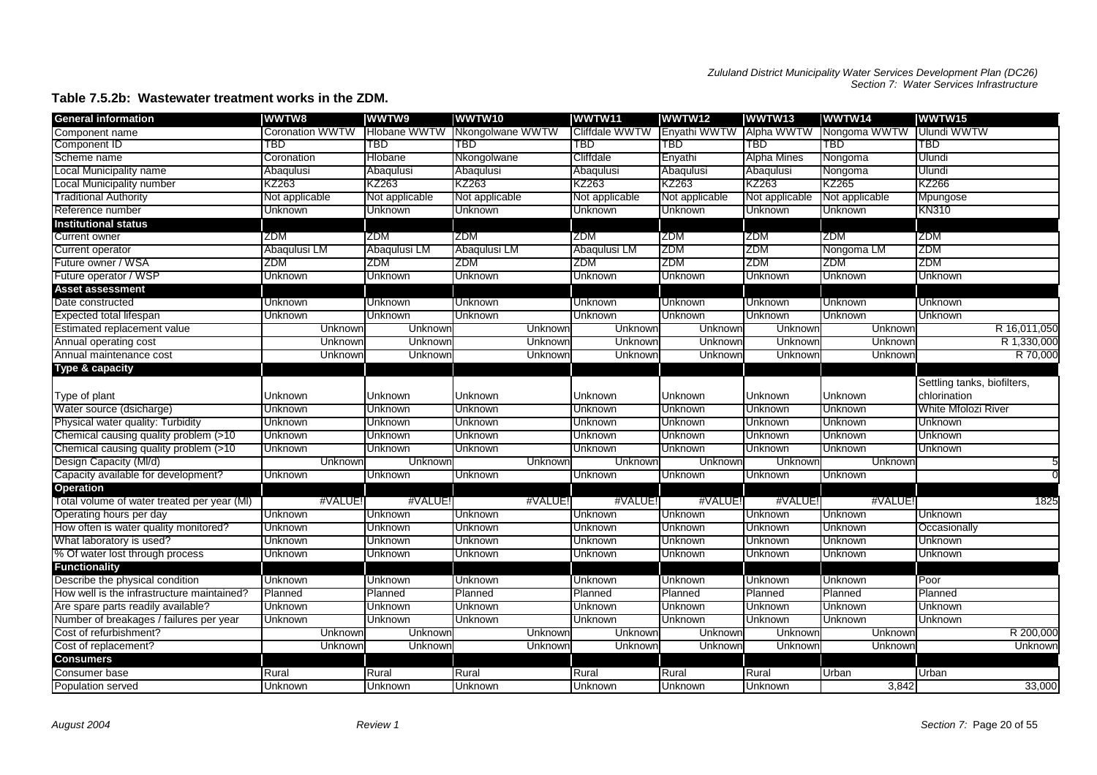#### **Table 7.5.2b: Wastewater treatment works in the ZDM.**

| <b>General information</b>                  | WWTW8                  | <b>WWTW9</b>   | WWTW10                        | WWTW11                | WWTW12         | WWTW13         | WWTW14                               | WWTW15                      |
|---------------------------------------------|------------------------|----------------|-------------------------------|-----------------------|----------------|----------------|--------------------------------------|-----------------------------|
| Component name                              | <b>Coronation WWTW</b> |                | Hlobane WWTW Nkongolwane WWTW | <b>Cliffdale WWTW</b> |                |                | Enyathi WWTW Alpha WWTW Nongoma WWTW | Ulundi WWTW                 |
| Component ID                                | TBD                    | TBD            | TBD                           | TBD                   | TBD            | TBD            | TBD                                  | TBD                         |
| Scheme name                                 | Coronation             | Hlobane        | Nkongolwane                   | Cliffdale             | Enyathi        | Alpha Mines    | Nongoma                              | Ulundi                      |
| Local Municipality name                     | Abaqulusi              | Abaqulusi      | Abaqulusi                     | Abaqulusi             | Abaqulusi      | Abaqulusi      | Nongoma                              | Ulundi                      |
| Local Municipality number                   | KZ263                  | KZ263          | KZ263                         | KZ263                 | KZ263          | KZ263          | KZ265                                | KZ266                       |
| <b>Traditional Authority</b>                | Not applicable         | Not applicable | Not applicable                | Not applicable        | Not applicable | Not applicable | Not applicable                       | Mpungose                    |
| Reference number                            | Unknown                | Unknown        | Unknown                       | Unknown               | Unknown        | Unknown        | Unknown                              | KN310                       |
| <b>Institutional status</b>                 |                        |                |                               |                       |                |                |                                      |                             |
| Current owner                               | ZDM                    | ZDM            | <b>ZDM</b>                    | ZDM                   | ZDM            | ZDM            | ZDM                                  | ZDM                         |
| Current operator                            | Abaqulusi LM           | Abaqulusi LM   | Abaqulusi LM                  | Abaqulusi LM          | ZDM            | ZDM            | Nongoma LM                           | ZDM                         |
| Future owner / WSA                          | ZDM                    | ZDM            | ZDM                           | ZDM                   | ZDM            | ZDM            | ZDM                                  | <b>ZDM</b>                  |
| Future operator / WSP                       | Unknown                | Unknown        | Unknown                       | Unknown               | Unknown        | Unknown        | Unknown                              | Unknown                     |
| <b>Asset assessment</b>                     |                        |                |                               |                       |                |                |                                      |                             |
| Date constructed                            | Unknown                | Unknown        | Unknown                       | Unknown               | Unknown        | Unknown        | Unknown                              | Unknown                     |
| <b>Expected total lifespan</b>              | Unknown                | Unknown        | Unknown                       | Unknown               | Unknown        | Unknown        | Unknown                              | Unknown                     |
| Estimated replacement value                 | Unknown                | Unknown        | Unknown                       | Unknown               | Unknown        | Unknown        | Unknown                              | R 16,011,050                |
| Annual operating cost                       | Unknow                 | Unknown        | Unknown                       | Unknown               | Unknowr        | Unknown        | Unknown                              | R 1,330,000                 |
| Annual maintenance cost                     | Unknowr                | Unknown        | Unknowr                       | Unknown               | Unknown        | Unknowr        | Unknowr                              | R 70,000                    |
| Type & capacity                             |                        |                |                               |                       |                |                |                                      |                             |
|                                             |                        |                |                               |                       |                |                |                                      | Settling tanks, biofilters, |
| Type of plant                               | Unknown                | Unknown        | Unknown                       | Unknown               | Unknown        | Unknown        | Unknown                              | chlorination                |
| Water source (dsicharge)                    | Unknown                | Unknown        | Unknown                       | Unknown               | Unknown        | Unknown        | Unknown                              | <b>White Mfolozi River</b>  |
| Physical water quality: Turbidity           | Unknown                | Unknown        | Unknown                       | Unknown               | Unknown        | Unknown        | <b>Unknown</b>                       | Unknown                     |
| Chemical causing quality problem (>10       | Unknown                | Unknown        | Unknown                       | Unknown               | Unknown        | Unknown        | Unknown                              | Unknown                     |
| Chemical causing quality problem (>10       | Unknown                | Unknown        | Unknown                       | Unknown               | Unknown        | Unknown        | Unknown                              | Unknown                     |
| Design Capacity (MI/d)                      | Unknown                | Unknowr        | Unknown                       | Unknown               | Unknown        | Unknown        | Unknowr                              |                             |
| Capacity available for development?         | Unknown                | Unknown        | Unknown                       | Unknown               | Unknown        | Unknown        | Unknown                              | $\Omega$                    |
| <b>Operation</b>                            |                        |                |                               |                       |                |                |                                      |                             |
| Total volume of water treated per year (MI) | #VALUE!                | #VALUE!        | #VALUE!                       | #VALUE!               | #VALUE!        | #VALUE!        | #VALUE                               | 1825                        |
| Operating hours per day                     | Unknown                | Unknown        | Unknown                       | Unknown               | Unknown        | Unknown        | Unknown                              | Unknown                     |
| How often is water quality monitored?       | Unknown                | <b>Unknown</b> | Unknown                       | Unknown               | <b>Unknown</b> | Unknown        | Unknown                              | Occasionally                |
| What laboratory is used?                    | Unknown                | Unknown        | Unknown                       | Unknown               | Unknown        | Unknown        | Unknown                              | Unknown                     |
| % Of water lost through process             | Unknown                | Unknown        | <b>Unknown</b>                | Unknown               | Unknown        | Unknown        | <b>Unknown</b>                       | Unknown                     |
| <b>Functionality</b>                        |                        |                |                               |                       |                |                |                                      |                             |
| Describe the physical condition             | Unknown                | Unknown        | Unknown                       | Unknown               | Unknown        | Unknown        | Unknown                              | Poor                        |
| How well is the infrastructure maintained?  | Planned                | Planned        | Planned                       | Planned               | Planned        | Planned        | Planned                              | Planned                     |
| Are spare parts readily available?          | Unknown                | Unknown        | Unknown                       | Unknown               | Unknown        | Unknown        | Unknown                              | Unknown                     |
| Number of breakages / failures per year     | Unknown                | Unknown        | Unknown                       | Unknown               | Unknown        | Unknown        | Unknown                              | Unknown                     |
| Cost of refurbishment?                      | Unknown                | Unknown        | Unknown                       | Unknown               | Unknown        | Unknown        | Unknowr                              | R 200,000                   |
| Cost of replacement?                        | Unknowr                | Unknown        | Unknowr                       | Unknown               | Unknown        | Unknown        | Unknowr                              | Unknown                     |
| <b>Consumers</b>                            |                        |                |                               |                       |                |                |                                      |                             |
| Consumer base                               | Rural                  | Rural          | Rural                         | Rural                 | Rural          | Rural          | Urban                                | Urban                       |
| Population served                           | Unknown                | Unknown        | Unknown                       | Unknown               | Unknown        | Unknown        | 3,842                                | 33,000                      |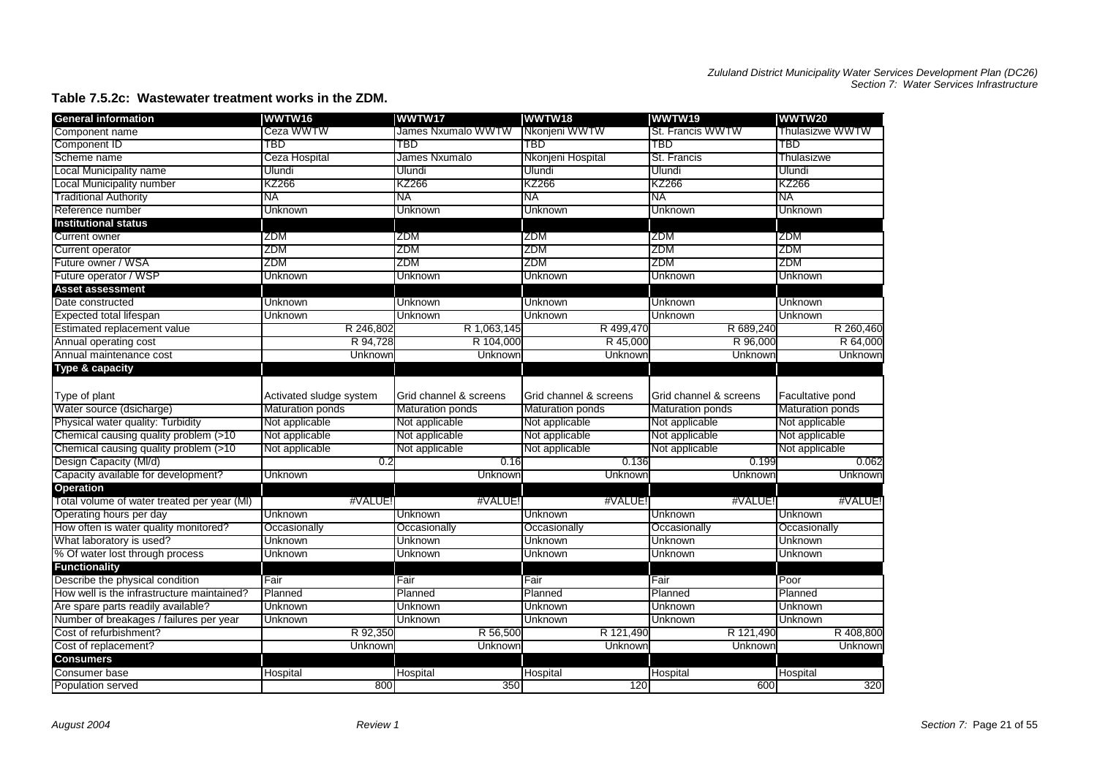#### **Table 7.5.2c: Wastewater treatment works in the ZDM.**

| <b>General information</b>                  | WWTW16                  | WWTW17                  | WWTW18                  | WWTW19                  | <b>WWTW20</b>           |
|---------------------------------------------|-------------------------|-------------------------|-------------------------|-------------------------|-------------------------|
| Component name                              | Ceza WWTW               | James Nxumalo WWTW      | Nkonjeni WWTW           | St. Francis WWTW        | Thulasizwe WWTW         |
| Component ID                                | TBD                     | TBD                     | <b>TBD</b>              | TBD                     | <b>TBD</b>              |
| Scheme name                                 | Ceza Hospital           | James Nxumalo           | Nkonjeni Hospital       | St. Francis             | Thulasizwe              |
| Local Municipality name                     | Ulundi                  | Ulundi                  | Ulundi                  | Ulundi                  | Ulundi                  |
| Local Municipality number                   | KZ266                   | KZ266                   | KZ266                   | KZ266                   | KZ266                   |
| <b>Traditional Authority</b>                | ΝA                      | <b>NA</b>               | NA                      | NA                      | ΝA                      |
| Reference number                            | Unknown                 | Unknown                 | Unknown                 | Unknown                 | Unknown                 |
| <b>Institutional status</b>                 |                         |                         |                         |                         |                         |
| Current owner                               | ZDM                     | ZDM                     | ZDM                     | <b>ZDM</b>              | ZDM                     |
| Current operator                            | ZDM                     | ZDM                     | ZDM                     | <b>ZDM</b>              | <b>ZDM</b>              |
| Future owner / WSA                          | ZDM                     | <b>ZDM</b>              | <b>ZDM</b>              | <b>ZDM</b>              | ZDM                     |
| Future operator / WSP                       | Unknown                 | Unknown                 | Unknown                 | Unknown                 | Unknown                 |
| <b>Asset assessment</b>                     |                         |                         |                         |                         |                         |
| Date constructed                            | Unknown                 | Unknown                 | Unknown                 | Unknown                 | Unknown                 |
| Expected total lifespan                     | Unknown                 | Unknown                 | Unknown                 | Unknown                 | Unknown                 |
| Estimated replacement value                 | R 246,802               | R 1,063,145             | R 499,470               | R 689,240               | R 260,460               |
| Annual operating cost                       | R 94,728                | R 104,000               | R 45,000                | R 96,000                | R 64,000                |
| Annual maintenance cost                     | Unknown                 | Unknown                 | Unknown                 | Unknown                 | Unknown                 |
| <b>Type &amp; capacity</b>                  |                         |                         |                         |                         |                         |
| Type of plant                               | Activated sludge system | Grid channel & screens  | Grid channel & screens  | Grid channel & screens  | Facultative pond        |
| Water source (dsicharge)                    | <b>Maturation ponds</b> | <b>Maturation ponds</b> | <b>Maturation ponds</b> | <b>Maturation ponds</b> | <b>Maturation ponds</b> |
| Physical water quality: Turbidity           | Not applicable          | Not applicable          | Not applicable          | Not applicable          | Not applicable          |
| Chemical causing quality problem (>10       | Not applicable          | Not applicable          | Not applicable          | Not applicable          | Not applicable          |
| Chemical causing quality problem (>10       | Not applicable          | Not applicable          | Not applicable          | Not applicable          | Not applicable          |
| Design Capacity (MI/d)                      | 0.2                     | 0.16                    | 0.136                   | 0.199                   | 0.062                   |
| Capacity available for development?         | Unknown                 | Unknown                 | Unknown                 | Unknown                 | Unknown                 |
| <b>Operation</b>                            |                         |                         |                         |                         |                         |
| Total volume of water treated per year (MI) | #VALUE!                 | #VALUE!                 | #VALUE!                 | #VALUE!                 | #VALUE!                 |
| Operating hours per day                     | Unknown                 | Unknown                 | Unknown                 | Unknown                 | Unknown                 |
| How often is water quality monitored?       | Occasionally            | Occasionally            | Occasionally            | Occasionally            | Occasionally            |
| What laboratory is used?                    | Unknown                 | Unknown                 | Unknown                 | Unknown                 | Unknown                 |
| % Of water lost through process             | Unknown                 | Unknown                 | Unknown                 | Unknown                 | Unknown                 |
| <b>Functionality</b>                        |                         |                         |                         |                         |                         |
| Describe the physical condition             | Fair                    | Fair                    | Fair                    | Fair                    | Poor                    |
| How well is the infrastructure maintained?  | Planned                 | Planned                 | Planned                 | Planned                 | Planned                 |
| Are spare parts readily available?          | <b>Unknown</b>          | Unknown                 | Unknown                 | Unknown                 | Unknown                 |
| Number of breakages / failures per year     | Unknown                 | Unknown                 | Unknown                 | Unknown                 | Unknown                 |
| Cost of refurbishment?                      | R 92,350                | R 56,500                | R 121,490               | R 121,490               | R 408,800               |
| Cost of replacement?                        | Unknown                 | Unknown                 | Unknown                 | Unknown                 | Unknown                 |
| <b>Consumers</b>                            |                         |                         |                         |                         |                         |
| Consumer base                               | Hospital                | Hospital                | Hospital                | Hospital                | Hospital                |
| Population served                           | 800                     | 350                     | 120                     | 600                     | 320                     |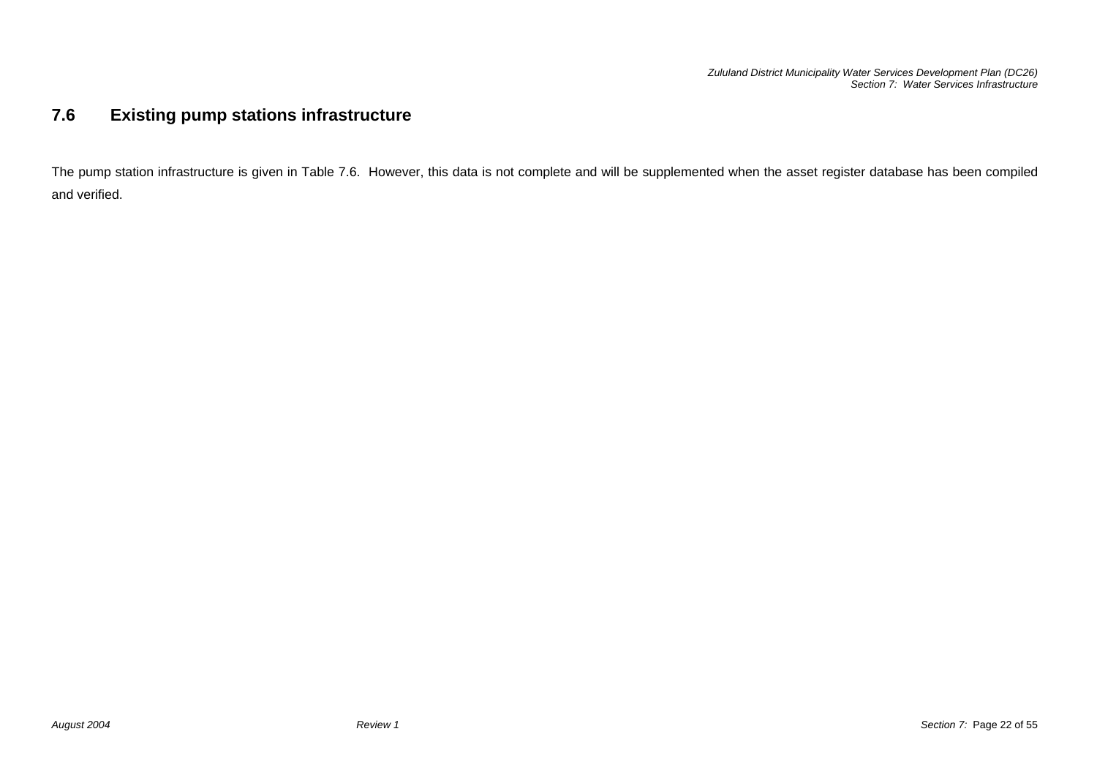#### **7.6Existing pump stations infrastructure**

The pump station infrastructure is given in Table 7.6. However, this data is not complete and will be supplemented when the asset register database has been compiled and verified.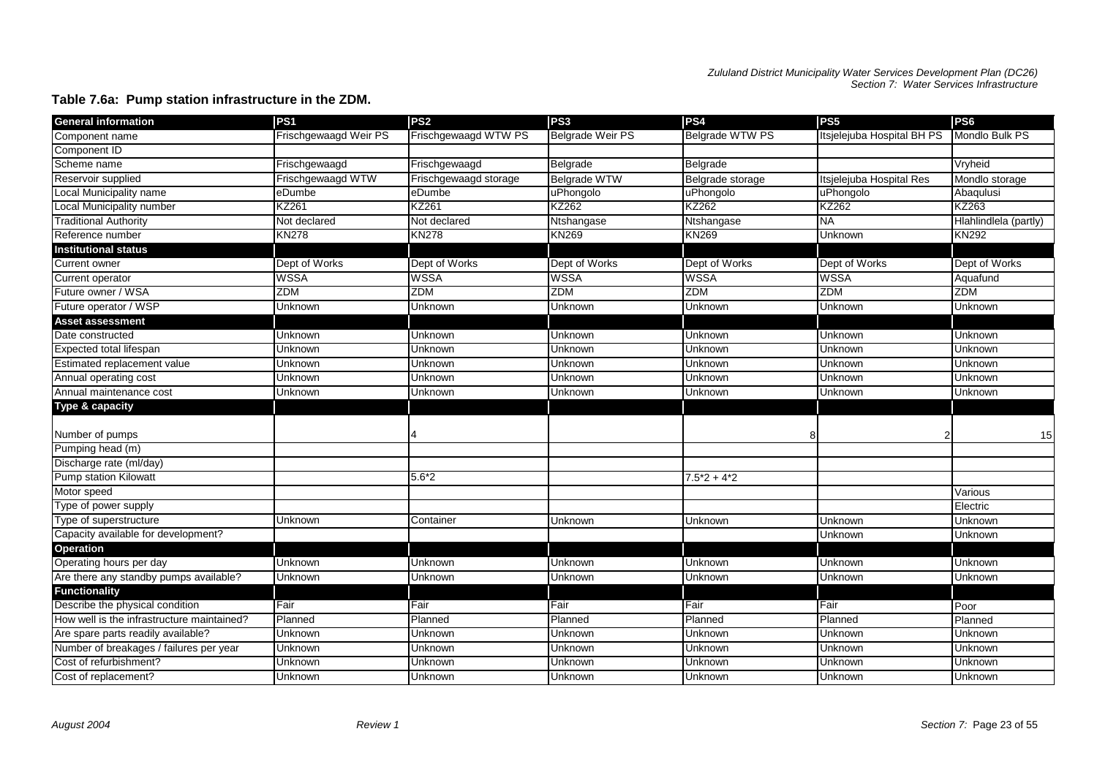#### **Table 7.6a: Pump station infrastructure in the ZDM.**

| <b>General information</b>                 | PS <sub>1</sub>       | PS <sub>2</sub>       | PS3                     | PS4                    | PS <sub>5</sub>            | PS <sub>6</sub>       |
|--------------------------------------------|-----------------------|-----------------------|-------------------------|------------------------|----------------------------|-----------------------|
| Component name                             | Frischgewaagd Weir PS | Frischgewaagd WTW PS  | <b>Belgrade Weir PS</b> | <b>Belgrade WTW PS</b> | Itsjelejuba Hospital BH PS | Mondlo Bulk PS        |
| <b>Component ID</b>                        |                       |                       |                         |                        |                            |                       |
| Scheme name                                | Frischgewaagd         | Frischgewaagd         | Belgrade                | Belgrade               |                            | Vryheid               |
| Reservoir supplied                         | Frischgewaagd WTW     | Frischgewaagd storage | <b>Belgrade WTW</b>     | Belgrade storage       | Itsielejuba Hospital Res   | Mondlo storage        |
| Local Municipality name                    | eDumbe                | eDumbe                | uPhongolo               | uPhongolo              | uPhongolo                  | Abaqulusi             |
| Local Municipality number                  | KZ261                 | <b>KZ261</b>          | KZ262                   | KZ262                  | KZ262                      | KZ263                 |
| <b>Traditional Authority</b>               | Not declared          | Not declared          | Ntshangase              | Ntshangase             | <b>NA</b>                  | Hlahlindlela (partly) |
| Reference number                           | <b>KN278</b>          | <b>KN278</b>          | <b>KN269</b>            | <b>KN269</b>           | Unknown                    | <b>KN292</b>          |
| <b>Institutional status</b>                |                       |                       |                         |                        |                            |                       |
| Current owner                              | Dept of Works         | Dept of Works         | Dept of Works           | Dept of Works          | Dept of Works              | Dept of Works         |
| Current operator                           | <b>WSSA</b>           | <b>WSSA</b>           | <b>WSSA</b>             | <b>WSSA</b>            | <b>WSSA</b>                | Aquafund              |
| Future owner / WSA                         | ZDM                   | ZDM                   | ZDM                     | ZDM                    | ZDM                        | <b>ZDM</b>            |
| Future operator / WSP                      | Unknown               | Unknown               | Unknown                 | Unknown                | Unknown                    | Unknown               |
| <b>Asset assessment</b>                    |                       |                       |                         |                        |                            |                       |
| Date constructed                           | Unknown               | Unknown               | Unknown                 | Unknown                | Unknown                    | Unknown               |
| <b>Expected total lifespan</b>             | Unknown               | Unknown               | Unknown                 | Unknown                | Unknown                    | Unknown               |
| Estimated replacement value                | Unknown               | Unknown               | Unknown                 | Unknown                | Unknown                    | Unknown               |
| Annual operating cost                      | Unknown               | Unknown               | Unknown                 | Unknown                | Unknown                    | Unknown               |
| Annual maintenance cost                    | Unknown               | Unknown               | Unknown                 | Unknown                | Unknown                    | Unknown               |
| <b>Type &amp; capacity</b>                 |                       |                       |                         |                        |                            |                       |
|                                            |                       |                       |                         |                        |                            |                       |
| Number of pumps                            |                       |                       |                         |                        |                            | 15                    |
| Pumping head (m)                           |                       |                       |                         |                        |                            |                       |
| Discharge rate (ml/day)                    |                       |                       |                         |                        |                            |                       |
| Pump station Kilowatt                      |                       | $5.6*2$               |                         | $7.5*2 + 4*2$          |                            |                       |
| Motor speed                                |                       |                       |                         |                        |                            | Various               |
| Type of power supply                       |                       |                       |                         |                        |                            | Electric              |
| Type of superstructure                     | Unknown               | Container             | Unknown                 | Unknown                | Unknown                    | Unknown               |
| Capacity available for development?        |                       |                       |                         |                        | Unknown                    | Unknown               |
| Operation                                  |                       |                       |                         |                        |                            |                       |
| Operating hours per day                    | Unknown               | <b>Unknown</b>        | Unknown                 | Unknown                | Unknown                    | Unknown               |
| Are there any standby pumps available?     | Unknown               | Unknown               | Unknown                 | Unknown                | Unknown                    | Unknown               |
| <b>Functionality</b>                       |                       |                       |                         |                        |                            |                       |
| Describe the physical condition            | Fair                  | Fair                  | Fair                    | <b>Fair</b>            | Fair                       | Poor                  |
| How well is the infrastructure maintained? | Planned               | Planned               | Planned                 | Planned                | Planned                    | Planned               |
| Are spare parts readily available?         | Unknown               | Unknown               | Unknown                 | <b>Unknown</b>         | Unknown                    | Unknown               |
| Number of breakages / failures per year    | Unknown               | Unknown               | Unknown                 | Unknown                | Unknown                    | Unknown               |
| Cost of refurbishment?                     | Unknown               | Unknown               | Unknown                 | Unknown                | Unknown                    | Unknown               |
| Cost of replacement?                       | Unknown               | Unknown               | Unknown                 | Unknown                | Unknown                    | Unknown               |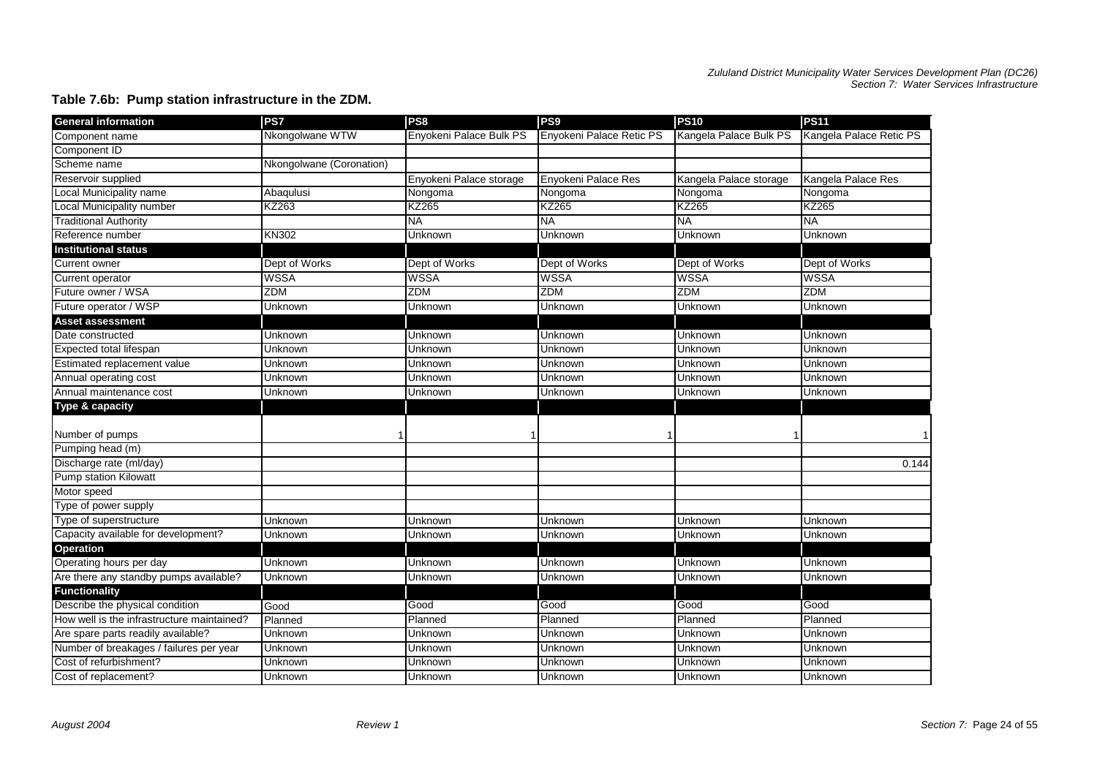### **Table 7.6b: Pump station infrastructure in the ZDM.**

| <b>General information</b>                 | PS7                      | PS <sub>8</sub>         | PS <sub>9</sub>            | <b>PS10</b>            | <b>PS11</b>             |
|--------------------------------------------|--------------------------|-------------------------|----------------------------|------------------------|-------------------------|
| Component name                             | Nkongolwane WTW          | Enyokeni Palace Bulk PS | Enyokeni Palace Retic PS   | Kangela Palace Bulk PS | Kangela Palace Retic PS |
| Component ID                               |                          |                         |                            |                        |                         |
| Scheme name                                | Nkongolwane (Coronation) |                         |                            |                        |                         |
| Reservoir supplied                         |                          | Enyokeni Palace storage | <b>Enyokeni Palace Res</b> | Kangela Palace storage | Kangela Palace Res      |
| Local Municipality name                    | Abaqulusi                | Nongoma                 | Nongoma                    | Nongoma                | Nongoma                 |
| Local Municipality number                  | KZ263                    | <b>KZ265</b>            | KZ265                      | KZ265                  | <b>KZ265</b>            |
| <b>Traditional Authority</b>               |                          | NA                      | <b>NA</b>                  | <b>NA</b>              | <b>NA</b>               |
| Reference number                           | <b>KN302</b>             | Unknown                 | Unknown                    | Unknown                | Unknown                 |
| <b>Institutional status</b>                |                          |                         |                            |                        |                         |
| Current owner                              | Dept of Works            | Dept of Works           | Dept of Works              | Dept of Works          | Dept of Works           |
| <b>Current operator</b>                    | <b>WSSA</b>              | <b>WSSA</b>             | <b>WSSA</b>                | <b>WSSA</b>            | <b>WSSA</b>             |
| Future owner / WSA                         | ZDM                      | ZDM                     | <b>ZDM</b>                 | ZDM                    | <b>ZDM</b>              |
| Future operator / WSP                      | <b>Unknown</b>           | Unknown                 | Unknown                    | Unknown                | Unknown                 |
| <b>Asset assessment</b>                    |                          |                         |                            |                        |                         |
| Date constructed                           | Unknown                  | Unknown                 | Unknown                    | Unknown                | Unknown                 |
| Expected total lifespan                    | Unknown                  | Unknown                 | Unknown                    | Unknown                | Unknown                 |
| Estimated replacement value                | Unknown                  | Unknown                 | Unknown                    | Unknown                | Unknown                 |
| Annual operating cost                      | Unknown                  | Unknown                 | Unknown                    | Unknown                | Unknown                 |
| Annual maintenance cost                    | Unknown                  | Unknown                 | Unknown                    | Unknown                | Unknown                 |
| <b>Type &amp; capacity</b>                 |                          |                         |                            |                        |                         |
|                                            |                          |                         |                            |                        |                         |
| Number of pumps                            |                          |                         |                            |                        | $\mathbf{1}$            |
| Pumping head (m)                           |                          |                         |                            |                        |                         |
| Discharge rate (ml/day)                    |                          |                         |                            |                        | 0.144                   |
| <b>Pump station Kilowatt</b>               |                          |                         |                            |                        |                         |
| Motor speed                                |                          |                         |                            |                        |                         |
| Type of power supply                       |                          |                         |                            |                        |                         |
| Type of superstructure                     | Unknown                  | Unknown                 | Unknown                    | Unknown                | Unknown                 |
| Capacity available for development?        | Unknown                  | Unknown                 | Unknown                    | Jnknown                | Unknown                 |
| <b>Operation</b>                           |                          |                         |                            |                        |                         |
| Operating hours per day                    | Unknown                  | Unknown                 | Unknown                    | Unknown                | Unknown                 |
| Are there any standby pumps available?     | Unknown                  | Unknown                 | Unknown                    | Unknown                | Unknown                 |
| <b>Functionality</b>                       |                          |                         |                            |                        |                         |
| Describe the physical condition            | Good                     | Good                    | Good                       | Good                   | Good                    |
| How well is the infrastructure maintained? | Planned                  | Planned                 | Planned                    | Planned                | Planned                 |
| Are spare parts readily available?         | Unknown                  | Unknown                 | Unknown                    | Unknown                | Unknown                 |
| Number of breakages / failures per year    | Unknown                  | Unknown                 | Unknown                    | Unknown                | Unknown                 |
| Cost of refurbishment?                     | Unknown                  | Unknown                 | Unknown                    | Unknown                | Unknown                 |
| Cost of replacement?                       | Unknown                  | Unknown                 | Unknown                    | Unknown                | Unknown                 |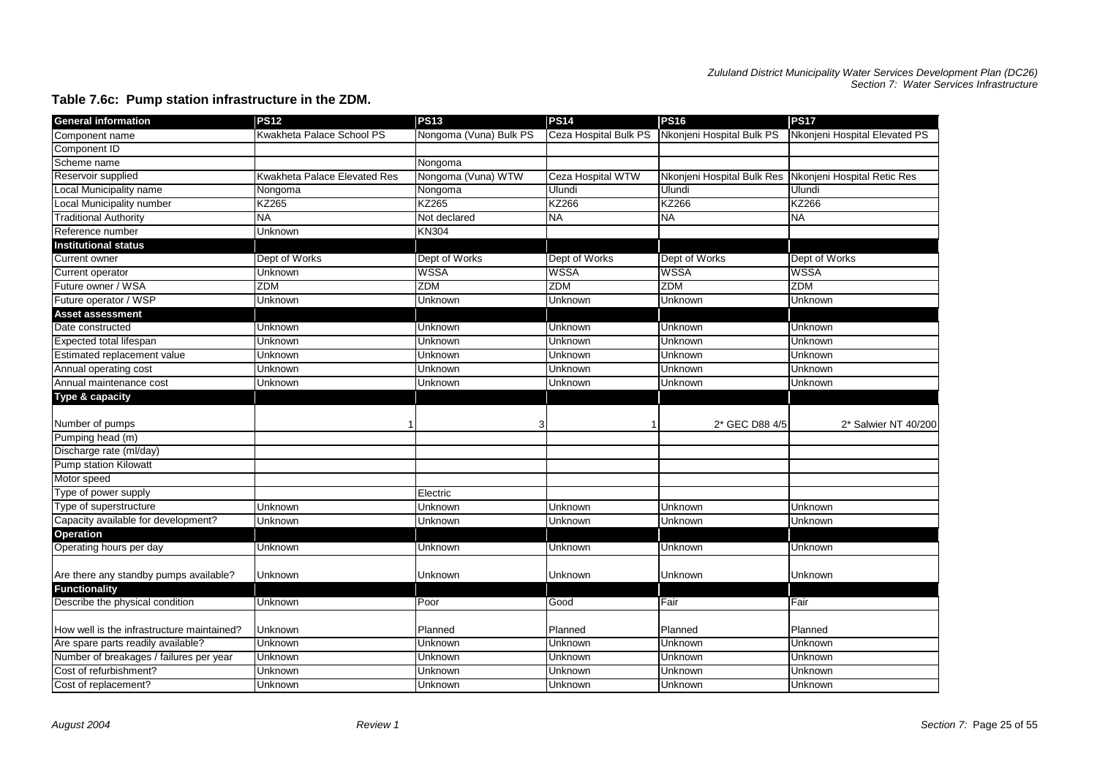## **Table 7.6c: Pump station infrastructure in the ZDM.**

| <b>General information</b>                 | <b>PS12</b>                  | <b>PS13</b>            | <b>PS14</b>           | <b>PS16</b>                | <b>PS17</b>                   |
|--------------------------------------------|------------------------------|------------------------|-----------------------|----------------------------|-------------------------------|
| Component name                             | Kwakheta Palace School PS    | Nongoma (Vuna) Bulk PS | Ceza Hospital Bulk PS | Nkonjeni Hospital Bulk PS  | Nkonjeni Hospital Elevated PS |
| Component ID                               |                              |                        |                       |                            |                               |
| Scheme name                                |                              | Nongoma                |                       |                            |                               |
| Reservoir supplied                         | Kwakheta Palace Elevated Res | Nongoma (Vuna) WTW     | Ceza Hospital WTW     | Nkonjeni Hospital Bulk Res | Nkonjeni Hospital Retic Res   |
| Local Municipality name                    | Nongoma                      | Nongoma                | Ulundi                | Ulundi                     | Ulundi                        |
| Local Municipality number                  | KZ265                        | <b>KZ265</b>           | <b>KZ266</b>          | KZ266                      | <b>KZ266</b>                  |
| <b>Traditional Authority</b>               | <b>NA</b>                    | Not declared           | <b>NA</b>             | NA                         | <b>NA</b>                     |
| Reference number                           | Unknown                      | <b>KN304</b>           |                       |                            |                               |
| <b>Institutional status</b>                |                              |                        |                       |                            |                               |
| <b>Current owner</b>                       | Dept of Works                | Dept of Works          | Dept of Works         | Dept of Works              | Dept of Works                 |
| <b>Current operator</b>                    | Unknown                      | WSSA                   | <b>WSSA</b>           | WSSA                       | WSSA                          |
| Future owner / WSA                         | <b>ZDM</b>                   | <b>ZDM</b>             | <b>ZDM</b>            | ZDM                        | <b>ZDM</b>                    |
| Future operator / WSP                      | Unknown                      | Unknown                | Unknown               | Unknown                    | Unknown                       |
| <b>Asset assessment</b>                    |                              |                        |                       |                            |                               |
| Date constructed                           | Unknown                      | <b>Unknown</b>         | Unknown               | Unknown                    | Unknown                       |
| Expected total lifespan                    | Unknown                      | Unknown                | Unknown               | Unknown                    | Unknown                       |
| Estimated replacement value                | Unknown                      | Unknown                | Unknown               | Unknown                    | Unknown                       |
| Annual operating cost                      | Unknown                      | Unknown                | Unknown               | Unknown                    | Unknown                       |
| Annual maintenance cost                    | Unknown                      | Unknown                | Unknown               | Unknown                    | Unknown                       |
| Type & capacity                            |                              |                        |                       |                            |                               |
|                                            |                              |                        |                       |                            |                               |
| Number of pumps                            |                              |                        |                       | 2* GEC D88 4/5             | 2* Salwier NT 40/200          |
| Pumping head (m)                           |                              |                        |                       |                            |                               |
| Discharge rate (ml/day)                    |                              |                        |                       |                            |                               |
| <b>Pump station Kilowatt</b>               |                              |                        |                       |                            |                               |
| Motor speed                                |                              |                        |                       |                            |                               |
| Type of power supply                       |                              | Electric               |                       |                            |                               |
| Type of superstructure                     | Unknown                      | Unknown                | Unknown               | Unknown                    | Unknown                       |
| Capacity available for development?        | Unknown                      | Unknown                | Unknown               | Unknown                    | Unknown                       |
| <b>Operation</b>                           |                              |                        |                       |                            |                               |
| Operating hours per day                    | Unknown                      | Unknown                | Unknown               | Unknown                    | Unknown                       |
|                                            |                              |                        |                       |                            |                               |
| Are there any standby pumps available?     | Unknown                      | Unknown                | Unknown               | Unknown                    | Unknown                       |
| <b>Functionality</b>                       |                              |                        |                       |                            |                               |
| Describe the physical condition            | Unknown                      | Poor                   | Good                  | Fair                       | Fair                          |
|                                            |                              |                        |                       |                            |                               |
| How well is the infrastructure maintained? | Unknown                      | Planned                | Planned               | Planned                    | Planned                       |
| Are spare parts readily available?         | Unknown                      | Unknown                | Unknown               | Unknown                    | Unknown                       |
| Number of breakages / failures per year    | Unknown                      | Unknown                | Unknown               | Unknown                    | Unknown                       |
| Cost of refurbishment?                     | Unknown                      | Unknown                | Unknown               | Unknown                    | Unknown                       |
| Cost of replacement?                       | Unknown                      | Unknown                | Unknown               | Unknown                    | Unknown                       |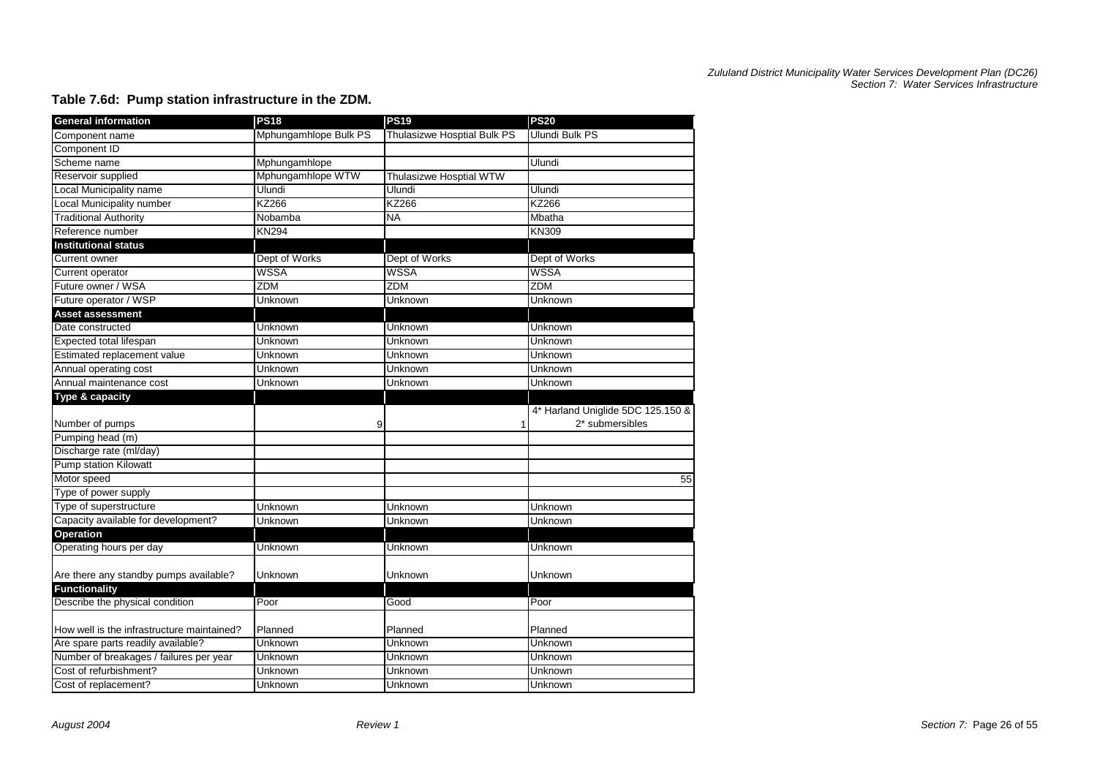### **Table 7.6d: Pump station infrastructure in the ZDM.**

| <b>General information</b>                 | <b>PS18</b>           | <b>PS19</b>                 | <b>PS20</b>                                          |
|--------------------------------------------|-----------------------|-----------------------------|------------------------------------------------------|
| Component name                             | Mphungamhlope Bulk PS | Thulasizwe Hosptial Bulk PS | Ulundi Bulk PS                                       |
| Component ID                               |                       |                             |                                                      |
| Scheme name                                | Mphungamhlope         |                             | Ulundi                                               |
| Reservoir supplied                         | Mphungamhlope WTW     | Thulasizwe Hosptial WTW     |                                                      |
| Local Municipality name                    | Ulundi                | Ulundi                      | Ulundi                                               |
| Local Municipality number                  | KZ266                 | <b>KZ266</b>                | <b>KZ266</b>                                         |
| <b>Traditional Authority</b>               | Nobamba               | <b>NA</b>                   | Mbatha                                               |
| Reference number                           | KN294                 |                             | <b>KN309</b>                                         |
| <b>Institutional status</b>                |                       |                             |                                                      |
| Current owner                              | Dept of Works         | Dept of Works               | Dept of Works                                        |
| Current operator                           | WSSA                  | <b>WSSA</b>                 | <b>WSSA</b>                                          |
| Future owner / WSA                         | ZDM                   | ZDM                         | <b>ZDM</b>                                           |
| Future operator / WSP                      | Unknown               | Unknown                     | Unknown                                              |
| <b>Asset assessment</b>                    |                       |                             |                                                      |
| Date constructed                           | Unknown               | Unknown                     | Unknown                                              |
| Expected total lifespan                    | Unknown               | Unknown                     | Unknown                                              |
| Estimated replacement value                | Unknown               | Unknown                     | Unknown                                              |
| Annual operating cost                      | Unknown               | Unknown                     | Unknown                                              |
| Annual maintenance cost                    | Unknown               | Unknown                     | Unknown                                              |
| Type & capacity                            |                       |                             |                                                      |
| Number of pumps                            | 9                     |                             | 4* Harland Uniglide 5DC 125.150 &<br>2* submersibles |
| Pumping head (m)                           |                       |                             |                                                      |
| Discharge rate (ml/day)                    |                       |                             |                                                      |
| <b>Pump station Kilowatt</b>               |                       |                             |                                                      |
| Motor speed                                |                       |                             | 55                                                   |
| Type of power supply                       |                       |                             |                                                      |
| Type of superstructure                     | Unknown               | Unknown                     | Unknown                                              |
| Capacity available for development?        | Unknown               | Unknown                     | Unknown                                              |
| <b>Operation</b>                           |                       |                             |                                                      |
| Operating hours per day                    | Unknown               | <b>Unknown</b>              | Unknown                                              |
| Are there any standby pumps available?     | Unknown               | Unknown                     | Unknown                                              |
| <b>Functionality</b>                       |                       |                             |                                                      |
| Describe the physical condition            | Poor                  | Good                        | Poor                                                 |
| How well is the infrastructure maintained? | Planned               | Planned                     | Planned                                              |
| Are spare parts readily available?         | Unknown               | Unknown                     | Unknown                                              |
| Number of breakages / failures per year    | Unknown               | Unknown                     | Unknown                                              |
| Cost of refurbishment?                     | Unknown               | Unknown                     | Unknown                                              |
| Cost of replacement?                       | Unknown               | Unknown                     | Unknown                                              |
|                                            |                       |                             |                                                      |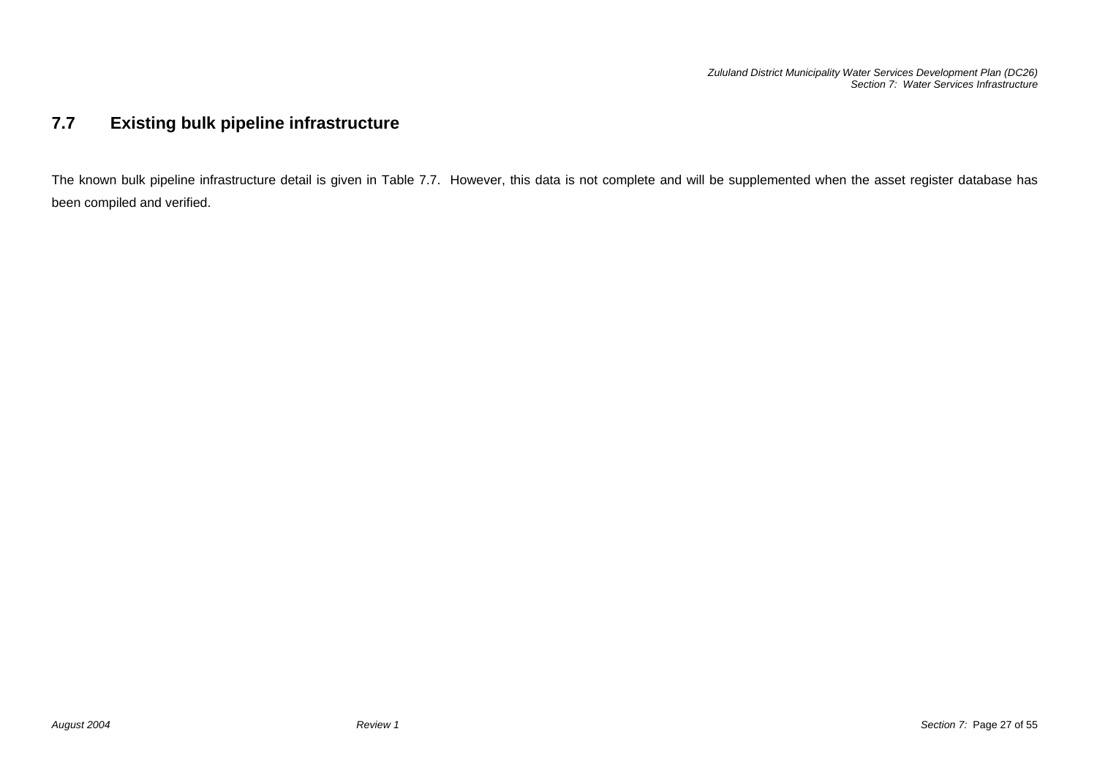#### **7.7Existing bulk pipeline infrastructure**

The known bulk pipeline infrastructure detail is given in Table 7.7. However, this data is not complete and will be supplemented when the asset register database has been compiled and verified.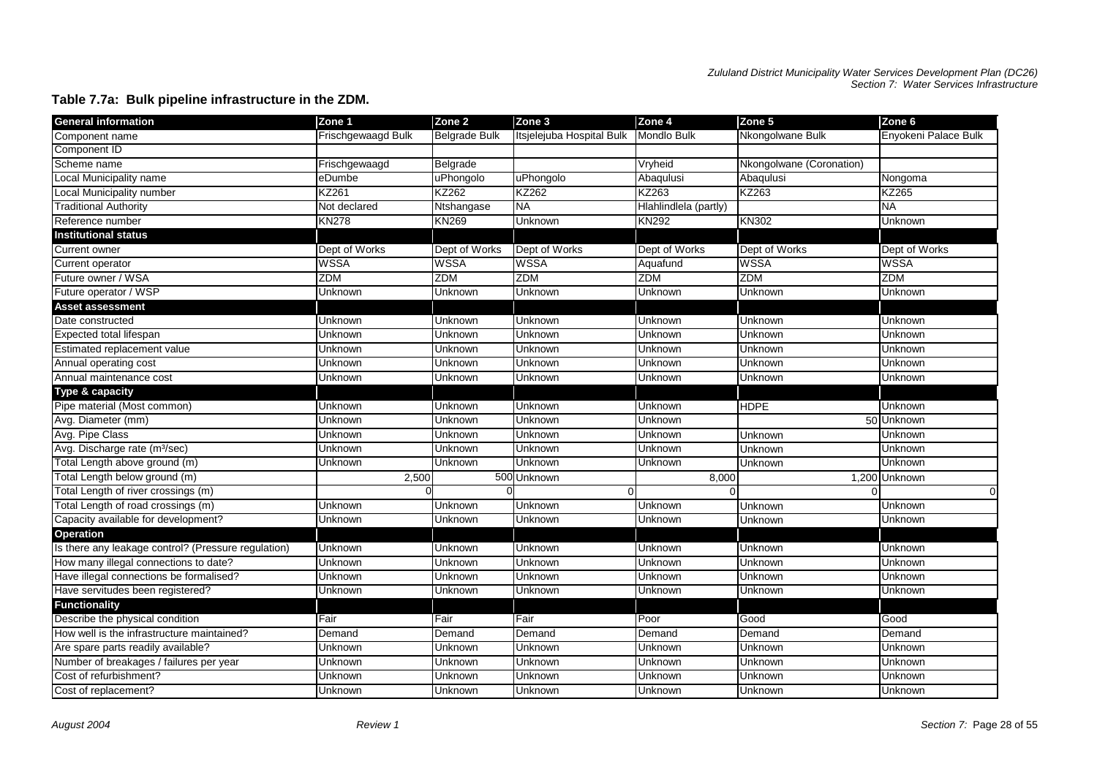## **Table 7.7a: Bulk pipeline infrastructure in the ZDM.**

| <b>General information</b>                          | Zone 1             | Zone 2               | Zone 3                    | Zone 4                | Zone 5                   | Zone 6               |
|-----------------------------------------------------|--------------------|----------------------|---------------------------|-----------------------|--------------------------|----------------------|
| Component name                                      | Frischgewaagd Bulk | <b>Belgrade Bulk</b> | Itsjelejuba Hospital Bulk | Mondlo Bulk           | Nkongolwane Bulk         | Enyokeni Palace Bulk |
| Component ID                                        |                    |                      |                           |                       |                          |                      |
| Scheme name                                         | Frischgewaagd      | Belgrade             |                           | Vryheid               | Nkongolwane (Coronation) |                      |
| Local Municipality name                             | eDumbe             | uPhongolo            | uPhongolo                 | Abaqulusi             | Abaqulusi                | Nongoma              |
| Local Municipality number                           | KZ261              | KZ262                | KZ262                     | KZ263                 | KZ263                    | KZ265                |
| <b>Traditional Authority</b>                        | Not declared       | Vtshangase           | <b>NA</b>                 | Hlahlindlela (partly) |                          | <b>NA</b>            |
| Reference number                                    | <b>KN278</b>       | <b>KN269</b>         | Unknown                   | <b>KN292</b>          | <b>KN302</b>             | Unknown              |
| <b>Institutional status</b>                         |                    |                      |                           |                       |                          |                      |
| <b>Current owner</b>                                | Dept of Works      | Dept of Works        | Dept of Works             | Dept of Works         | Dept of Works            | Dept of Works        |
| <b>Current operator</b>                             | WSSA               | WSSA                 | WSSA                      | Aquafund              | <b>WSSA</b>              | WSSA                 |
| Future owner / WSA                                  | <b>ZDM</b>         | <b>ZDM</b>           | ZDM                       | <b>ZDM</b>            | ZDM                      | ZDM                  |
| Future operator / WSP                               | Unknown            | Unknown              | Unknown                   | Unknown               | Unknown                  | Unknown              |
| Asset assessment                                    |                    |                      |                           |                       |                          |                      |
| Date constructed                                    | Unknown            | Unknown              | Unknown                   | Unknown               | Unknown                  | Unknown              |
| Expected total lifespan                             | Unknown            | Unknown              | Unknown                   | Unknown               | Unknown                  | Unknown              |
| Estimated replacement value                         | Unknown            | Unknown              | Unknown                   | Unknown               | Unknown                  | Unknown              |
| Annual operating cost                               | Unknown            | Unknown              | Unknown                   | Unknown               | Unknown                  | Unknown              |
| Annual maintenance cost                             | Unknown            | Unknown              | Unknown                   | Unknown               | Unknown                  | Unknown              |
| Type & capacity                                     |                    |                      |                           |                       |                          |                      |
| Pipe material (Most common)                         | Unknown            | Unknown              | Unknown                   | Unknown               | <b>HDPE</b>              | Unknown              |
| Avg. Diameter (mm)                                  | Unknown            | Unknown              | Unknown                   | Unknown               |                          | 50 Unknown           |
| Avg. Pipe Class                                     | Unknown            | Unknown              | Unknown                   | Unknown               | Unknown                  | Unknown              |
| Avg. Discharge rate (m <sup>3</sup> /sec)           | Unknown            | Unknown              | Unknown                   | Unknown               | Unknown                  | Unknown              |
| Total Length above ground (m)                       | Unknown            | Unknown              | Unknown                   | Unknown               | Unknown                  | Unknown              |
| Total Length below ground (m)                       | 2,500              |                      | 500 Unknown               | 8,000                 |                          | 1,200 Unknown        |
| Total Length of river crossings (m)                 |                    |                      | $\Omega$                  | $\Omega$              |                          | $\Omega$             |
| Total Length of road crossings (m)                  | Unknown            | Unknown              | Unknown                   | Unknown               | Unknown                  | Unknown              |
| Capacity available for development?                 | Unknown            | Unknown              | Unknown                   | Unknown               | Unknown                  | Unknown              |
| <b>Operation</b>                                    |                    |                      |                           |                       |                          |                      |
| Is there any leakage control? (Pressure regulation) | Unknown            | Unknown              | Unknown                   | Unknown               | Unknown                  | Unknown              |
| How many illegal connections to date?               | Unknown            | Unknown              | Unknown                   | Unknown               | Unknown                  | Unknown              |
| Have illegal connections be formalised?             | Unknown            | Unknown              | Unknown                   | Unknown               | Unknown                  | Unknown              |
| Have servitudes been registered?                    | Unknown            | Unknown              | Unknown                   | Unknown               | Unknown                  | Unknown              |
| <b>Functionality</b>                                |                    |                      |                           |                       |                          |                      |
| Describe the physical condition                     | Fair               | Fair                 | Fair                      | Poor                  | Good                     | Good                 |
| How well is the infrastructure maintained?          | Demand             | Demand               | Demand                    | Demand                | Demand                   | Demand               |
| Are spare parts readily available?                  | Unknown            | Unknown              | Unknown                   | Unknown               | Unknown                  | Unknown              |
| Number of breakages / failures per year             | Unknown            | Unknown              | Unknown                   | Unknown               | Unknown                  | Unknown              |
| Cost of refurbishment?                              | Unknown            | Unknown              | Unknown                   | Unknown               | Unknown                  | Unknown              |
| Cost of replacement?                                | Unknown            | Unknown              | Unknown                   | Unknown               | Unknown                  | Unknown              |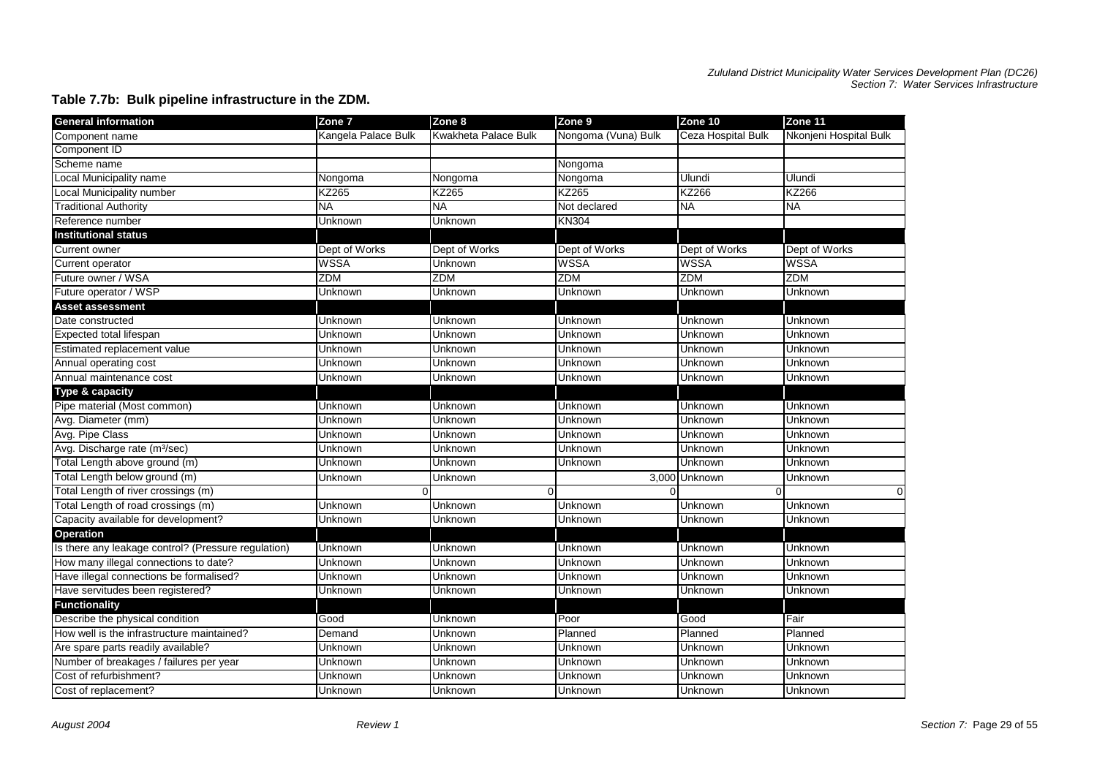## **Table 7.7b: Bulk pipeline infrastructure in the ZDM.**

| <b>General information</b>                          | Zone 7              | Zone 8               | Zone 9              | Zone 10            | Zone 11                |
|-----------------------------------------------------|---------------------|----------------------|---------------------|--------------------|------------------------|
| Component name                                      | Kangela Palace Bulk | Kwakheta Palace Bulk | Nongoma (Vuna) Bulk | Ceza Hospital Bulk | Nkonjeni Hospital Bulk |
| Component ID                                        |                     |                      |                     |                    |                        |
| Scheme name                                         |                     |                      | Nongoma             |                    |                        |
| Local Municipality name                             | Nongoma             | Nongoma              | Nongoma             | Ulundi             | Ulundi                 |
| Local Municipality number                           | KZ265               | KZ265                | <b>KZ265</b>        | <b>KZ266</b>       | <b>KZ266</b>           |
| <b>Traditional Authority</b>                        | $\overline{NA}$     | <b>NA</b>            | Not declared        | <b>NA</b>          | <b>NA</b>              |
| Reference number                                    | Unknown             | Unknown              | <b>KN304</b>        |                    |                        |
| <b>Institutional status</b>                         |                     |                      |                     |                    |                        |
| Current owner                                       | Dept of Works       | Dept of Works        | Dept of Works       | Dept of Works      | Dept of Works          |
| Current operator                                    | <b>WSSA</b>         | Unknown              | <b>WSSA</b>         | <b>WSSA</b>        | <b>WSSA</b>            |
| Future owner / WSA                                  | ZDM                 | <b>ZDM</b>           | <b>ZDM</b>          | ZDM                | ZDM                    |
| Future operator / WSP                               | Unknown             | Unknown              | Unknown             | Unknown            | Unknown                |
| <b>Asset assessment</b>                             |                     |                      |                     |                    |                        |
| Date constructed                                    | Unknown             | Unknown              | Unknown             | Unknown            | Unknown                |
| Expected total lifespan                             | Unknown             | Unknown              | Unknown             | Unknown            | Unknown                |
| Estimated replacement value                         | Unknown             | Unknown              | Unknown             | Unknown            | <b>Unknown</b>         |
| Annual operating cost                               | Unknown             | Unknown              | Unknown             | Unknown            | Unknown                |
| Annual maintenance cost                             | Unknown             | Unknown              | Unknown             | Unknown            | Unknown                |
| Type & capacity                                     |                     |                      |                     |                    |                        |
| Pipe material (Most common)                         | Unknown             | Unknown              | Unknown             | Unknown            | Unknown                |
| Avg. Diameter (mm)                                  | Unknown             | Unknown              | Unknown             | Unknown            | Unknown                |
| Avg. Pipe Class                                     | Unknown             | Unknown              | Unknown             | Unknown            | Unknown                |
| Avg. Discharge rate (m <sup>3</sup> /sec)           | Unknown             | Unknown              | Unknown             | Unknown            | Unknown                |
| Total Length above ground (m)                       | Unknown             | Unknown              | Unknown             | Unknown            | Unknown                |
| Total Length below ground (m)                       | Unknown             | Unknown              |                     | 3,000 Unknown      | Unknown                |
| Total Length of river crossings (m)                 |                     |                      | O                   |                    | $\overline{0}$         |
| Total Length of road crossings (m)                  | Unknown             | Unknown              | Unknown             | Unknown            | <b>Unknown</b>         |
| Capacity available for development?                 | Unknown             | Unknown              | Unknown             | Unknown            | Unknown                |
| <b>Operation</b>                                    |                     |                      |                     |                    |                        |
| Is there any leakage control? (Pressure regulation) | Unknown             | Unknown              | Unknown             | Unknown            | Unknown                |
| How many illegal connections to date?               | Unknown             | Unknown              | Unknown             | Unknown            | <b>Unknown</b>         |
| Have illegal connections be formalised?             | Unknown             | Unknown              | Unknown             | Unknown            | Unknown                |
| Have servitudes been registered?                    | Unknown             | Unknown              | Unknown             | Unknown            | Unknown                |
| <b>Functionality</b>                                |                     |                      |                     |                    |                        |
| Describe the physical condition                     | Good                | Unknown              | Poor                | Good               | Fair                   |
| How well is the infrastructure maintained?          | Demand              | Unknown              | Planned             | Planned            | Planned                |
| Are spare parts readily available?                  | Unknown             | Unknown              | Unknown             | Unknown            | Unknown                |
| Number of breakages / failures per year             | Unknown             | Unknown              | Unknown             | Unknown            | Unknown                |
| Cost of refurbishment?                              | Unknown             | Unknown              | Unknown             | Unknown            | Unknown                |
| Cost of replacement?                                | Unknown             | Unknown              | Unknown             | Unknown            | <b>Unknown</b>         |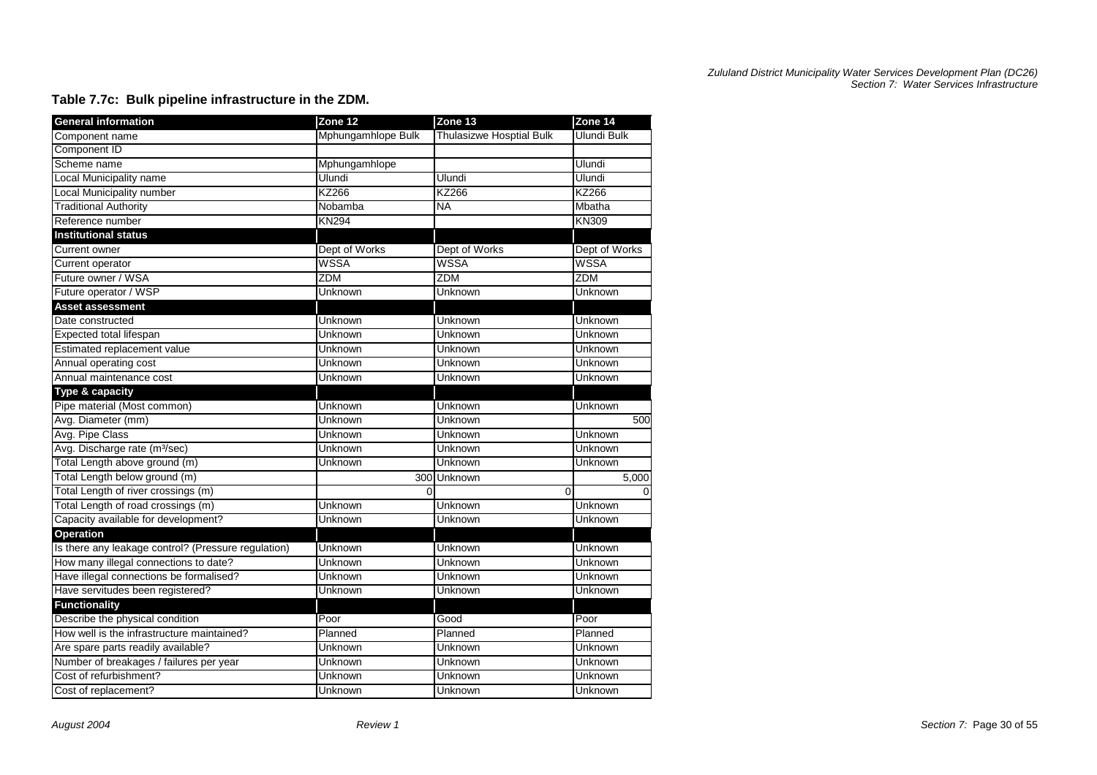# *Zululand District Municipality Water Services Development Plan (DC26) Section 7: Water Services Infrastructure*

## **Table 7.7c: Bulk pipeline infrastructure in the ZDM.**

| <b>General information</b>                          | Zone 12            | Zone 13                         | Zone 14            |
|-----------------------------------------------------|--------------------|---------------------------------|--------------------|
| Component name                                      | Mphungamhlope Bulk | <b>Thulasizwe Hosptial Bulk</b> | <b>Ulundi Bulk</b> |
| Component ID                                        |                    |                                 |                    |
| Scheme name                                         | Mphungamhlope      |                                 | Ulundi             |
| Local Municipality name                             | Ulundi             | Ulundi                          | Ulundi             |
| Local Municipality number                           | KZ266              | <b>KZ266</b>                    | <b>KZ266</b>       |
| <b>Traditional Authority</b>                        | Nobamba            | <b>NA</b>                       | Mbatha             |
| Reference number                                    | <b>KN294</b>       |                                 | <b>KN309</b>       |
| <b>Institutional status</b>                         |                    |                                 |                    |
| Current owner                                       | Dept of Works      | Dept of Works                   | Dept of Works      |
| Current operator                                    | WSSA               | WSSA                            | <b>WSSA</b>        |
| Future owner / WSA                                  | <b>ZDM</b>         | <b>ZDM</b>                      | <b>ZDM</b>         |
| Future operator / WSP                               | Unknown            | Unknown                         | Unknown            |
| <b>Asset assessment</b>                             |                    |                                 |                    |
| Date constructed                                    | Unknown            | Unknown                         | Unknown            |
| Expected total lifespan                             | Unknown            | Unknown                         | Unknown            |
| Estimated replacement value                         | Unknown            | Unknown                         | Unknown            |
| Annual operating cost                               | Unknown            | Unknown                         | Unknown            |
| Annual maintenance cost                             | Unknown            | <b>Unknown</b>                  | Unknown            |
| Type & capacity                                     |                    |                                 |                    |
| Pipe material (Most common)                         | Unknown            | Unknown                         | Unknown            |
| Avg. Diameter (mm)                                  | Unknown            | Unknown                         | 500                |
| Avg. Pipe Class                                     | Unknown            | <b>Unknown</b>                  | Unknown            |
| Avg. Discharge rate (m <sup>3</sup> /sec)           | Unknown            | <b>Unknown</b>                  | Unknown            |
| Total Length above ground (m)                       | Unknown            | Unknown                         | Unknown            |
| Total Length below ground (m)                       |                    | 300 Unknown                     | 5,000              |
| Total Length of river crossings (m)                 | $\Omega$           | $\Omega$                        |                    |
| Total Length of road crossings (m)                  | Unknown            | Unknown                         | Unknown            |
| Capacity available for development?                 | Unknown            | Unknown                         | Unknown            |
| <b>Operation</b>                                    |                    |                                 |                    |
| Is there any leakage control? (Pressure regulation) | <b>Unknown</b>     | Unknown                         | Unknown            |
| How many illegal connections to date?               | Unknown            | Unknown                         | Unknown            |
| Have illegal connections be formalised?             | Unknown            | Unknown                         | Unknown            |
| Have servitudes been registered?                    | Unknown            | Unknown                         | Unknown            |
| <b>Functionality</b>                                |                    |                                 |                    |
| Describe the physical condition                     | Poor               | Good                            | Poor               |
| How well is the infrastructure maintained?          | Planned            | Planned                         | Planned            |
| Are spare parts readily available?                  | Unknown            | Unknown                         | Unknown            |
| Number of breakages / failures per year             | Unknown            | Unknown                         | Unknown            |
| Cost of refurbishment?                              | Unknown            | Unknown                         | Unknown            |
| Cost of replacement?                                | Unknown            | Unknown                         | Unknown            |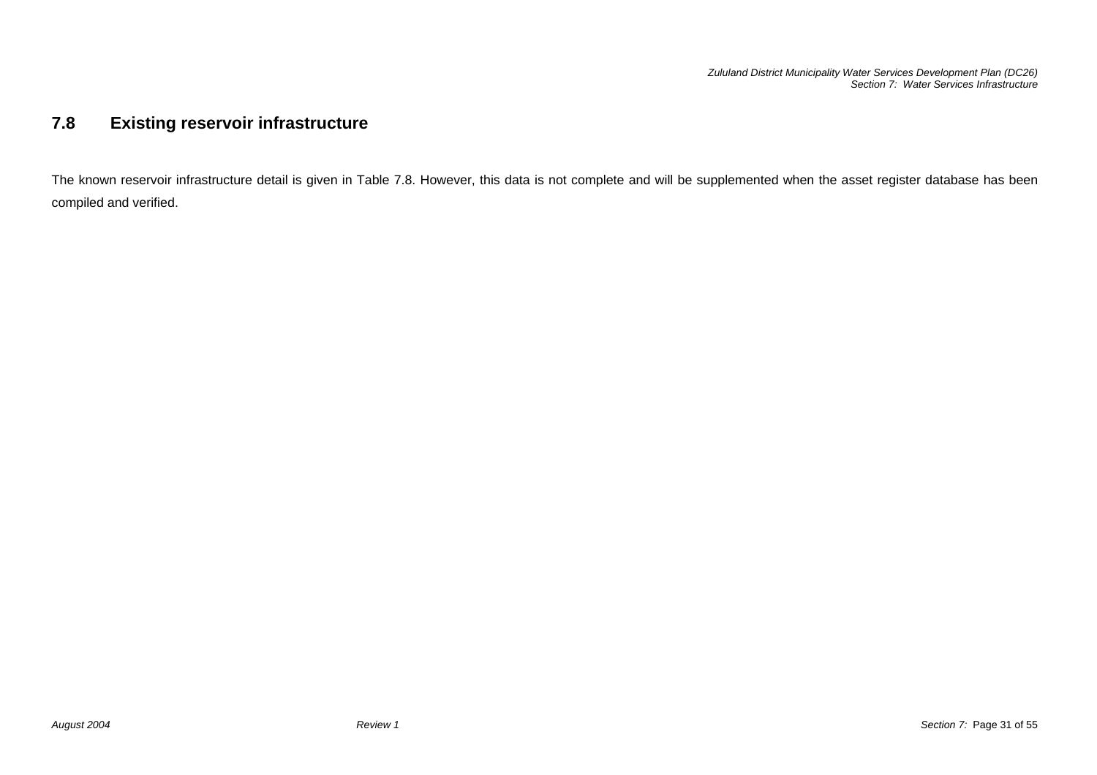## **7.8 Existing reservoir infrastructure**

The known reservoir infrastructure detail is given in Table 7.8. However, this data is not complete and will be supplemented when the asset register database has been compiled and verified.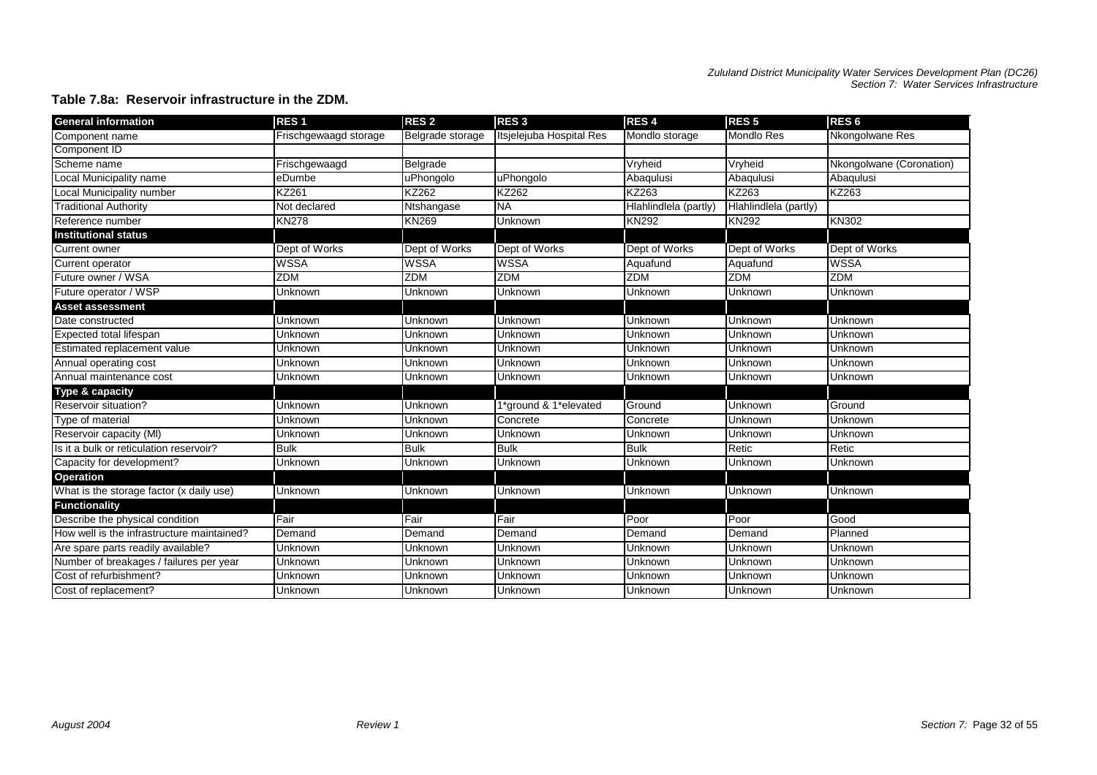## **Table 7.8a: Reservoir infrastructure in the ZDM.**

| <b>General information</b>                 | <b>RES1</b>           | RES <sub>2</sub> | RES <sub>3</sub>         | RES <sub>4</sub>      | RES <sub>5</sub>      | RES <sub>6</sub>         |
|--------------------------------------------|-----------------------|------------------|--------------------------|-----------------------|-----------------------|--------------------------|
| Component name                             | Frischgewaagd storage | Belgrade storage | Itsjelejuba Hospital Res | Mondlo storage        | <b>Mondlo Res</b>     | Nkongolwane Res          |
| Component ID                               |                       |                  |                          |                       |                       |                          |
| Scheme name                                | Frischgewaagd         | Belgrade         |                          | Vryheid               | Vryheid               | Nkongolwane (Coronation) |
| Local Municipality name                    | eDumbe                | uPhongolo        | uPhongolo                | Abaqulusi             | Abaqulusi             | Abaqulusi                |
| Local Municipality number                  | KZ261                 | <b>KZ262</b>     | <b>KZ262</b>             | KZ263                 | KZ263                 | KZ263                    |
| <b>Traditional Authority</b>               | Not declared          | Ntshangase       | <b>NA</b>                | Hlahlindlela (partly) | Hlahlindlela (partly) |                          |
| Reference number                           | <b>KN278</b>          | <b>KN269</b>     | Unknown                  | <b>KN292</b>          | <b>KN292</b>          | <b>KN302</b>             |
| <b>Institutional status</b>                |                       |                  |                          |                       |                       |                          |
| <b>Current owner</b>                       | Dept of Works         | Dept of Works    | Dept of Works            | Dept of Works         | Dept of Works         | Dept of Works            |
| Current operator                           | <b>WSSA</b>           | <b>WSSA</b>      | <b>WSSA</b>              | Aquafund              | Aquafund              | <b>WSSA</b>              |
| Future owner / WSA                         | <b>ZDM</b>            | <b>ZDM</b>       | <b>ZDM</b>               | <b>ZDM</b>            | <b>ZDM</b>            | <b>ZDM</b>               |
| Future operator / WSP                      | Unknown               | Unknown          | Unknown                  | Unknown               | Unknown               | Unknown                  |
| <b>Asset assessment</b>                    |                       |                  |                          |                       |                       |                          |
| Date constructed                           | Unknown               | Unknown          | Unknown                  | Unknown               | Unknown               | Unknown                  |
| Expected total lifespan                    | Unknown               | Unknown          | Unknown                  | Unknown               | Unknown               | Unknown                  |
| Estimated replacement value                | Unknown               | Unknown          | Unknown                  | Unknown               | Unknown               | Unknown                  |
| Annual operating cost                      | Unknown               | Unknown          | Unknown                  | Unknown               | Unknown               | Unknown                  |
| Annual maintenance cost                    | Unknown               | Unknown          | Unknown                  | Unknown               | Unknown               | Unknown                  |
| Type & capacity                            |                       |                  |                          |                       |                       |                          |
| Reservoir situation?                       | Unknown               | Unknown          | *ground & 1*elevated     | Ground                | Unknown               | Ground                   |
| Type of material                           | Unknown               | Unknown          | Concrete                 | Concrete              | Unknown               | Unknown                  |
| Reservoir capacity (MI)                    | Unknown               | Unknown          | Unknown                  | Unknown               | Unknown               | Unknown                  |
| Is it a bulk or reticulation reservoir?    | <b>Bulk</b>           | <b>Bulk</b>      | <b>Bulk</b>              | <b>Bulk</b>           | Retic                 | Retic                    |
| Capacity for development?                  | Unknown               | Unknown          | Unknown                  | Unknown               | Unknown               | Unknown                  |
| <b>Operation</b>                           |                       |                  |                          |                       |                       |                          |
| What is the storage factor (x daily use)   | Unknown               | Unknown          | Unknown                  | Unknown               | Unknown               | Unknown                  |
| <b>Functionality</b>                       |                       |                  |                          |                       |                       |                          |
| Describe the physical condition            | Fair                  | Fair             | Fair                     | Poor                  | Poor                  | Good                     |
| How well is the infrastructure maintained? | Demand                | Demand           | Demand                   | Demand                | Demand                | Planned                  |
| Are spare parts readily available?         | Unknown               | Unknown          | Unknown                  | Unknown               | Unknown               | Unknown                  |
| Number of breakages / failures per year    | Unknown               | Unknown          | Unknown                  | Unknown               | Unknown               | Unknown                  |
| Cost of refurbishment?                     | Unknown               | Unknown          | Unknown                  | Unknown               | Unknown               | Unknown                  |
| Cost of replacement?                       | Unknown               | Unknown          | Unknown                  | Unknown               | Unknown               | Unknown                  |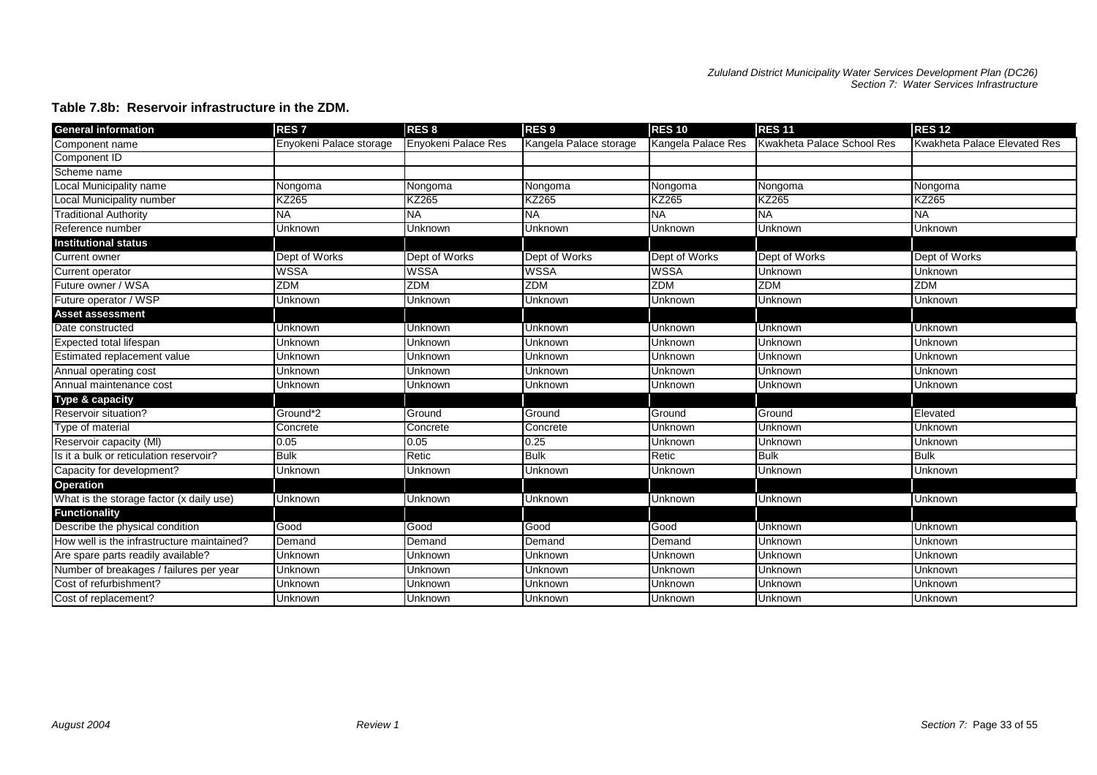#### **General information RES 7 RES 8 RES 9 RES 10 RES 11 RES 12** Component name Enyokeni Palace storage Enyokeni Palace Res Kangela Palace storage Kangela Palace Res Kwakheta Palace School Res Kwakheta Palace Elevated Res Component ID Scheme nameLocal Municipality name Nongoma Nongoma Nongoma Nongoma Nongoma Nongoma Local Municipality number KZ265 KZ265 KZ265 KZ265 KZ265 KZ265 KZ265 KZ265 KZ265 KZ265 KZ265 KZ265 KZ265 Traditional Authority NA NA NA NA NA NA Reference number**Unknown**  Unknown Unknown Unknown Unknown Unknown **Institutional status**Current owner Dept of Works Dept of Works Dept of Works Dept of Works Dept of Works Dept of Works Current operator WSSA WSSA WSSA WSSA Unknown Unknown Future owner / WSA ZDM ZDM ZDM ZDM ZDM ZDM Future operator / WSP Unknown Unknown Unknown Unknown Unknown Unknown **Asset assessment**Date constructed Unknown Unknown Unknown Unknown Unknown Unknown Expected total lifespan Unknown Unknown Unknown Unknown Unknown Unknown Estimated replacement value Unknown Unknown Unknown Unknown Unknown Unknown Annual operating cost Unknown Unknown Unknown Unknown Unknown Unknown Annual maintenance cost**Unknown**  Unknown Unknown Unknown Unknown Unknown **Type & capacity** Reservoir situation? Ground\*2 Ground Ground Ground Ground Elevated Type of material watch the Concrete Concrete Concrete Concrete Concrete Concrete Concrete Unknown Unknown Unknown Reservoir capacity (Ml) 0.05 0.05 0.25 Unknown Unknown Unknown Is it a bulk or reticulation reservoir? Bulk Retic Bulk Retic Bulk Bulk Capacity for development? Unknown Unknown Unknown Unknown Unknown Unknown **Operation** What is the storage factor (x daily use) Unknown Unknown Unknown Unknown Unknown Unknown Unknown Unknown Unknown **Functionality** Describe the physical condition Good Good Good Good Unknown Unknown How well is the infrastructure maintained? Demand Demand Demand Demand Unknown Unknown Are spare parts readily available? Unknown Unknown Unknown Unknown Unknown Unknown Number of breakages / failures per year Unknown Unknown Unknown Unknown Unknown Unknown Cost of refurbishment? Unknown Unknown Unknown Unknown Unknown Unknown Cost of replacement? Unknown Unknown Unknown Unknown Unknown Unknown

#### **Table 7.8b: Reservoir infrastructure in the ZDM.**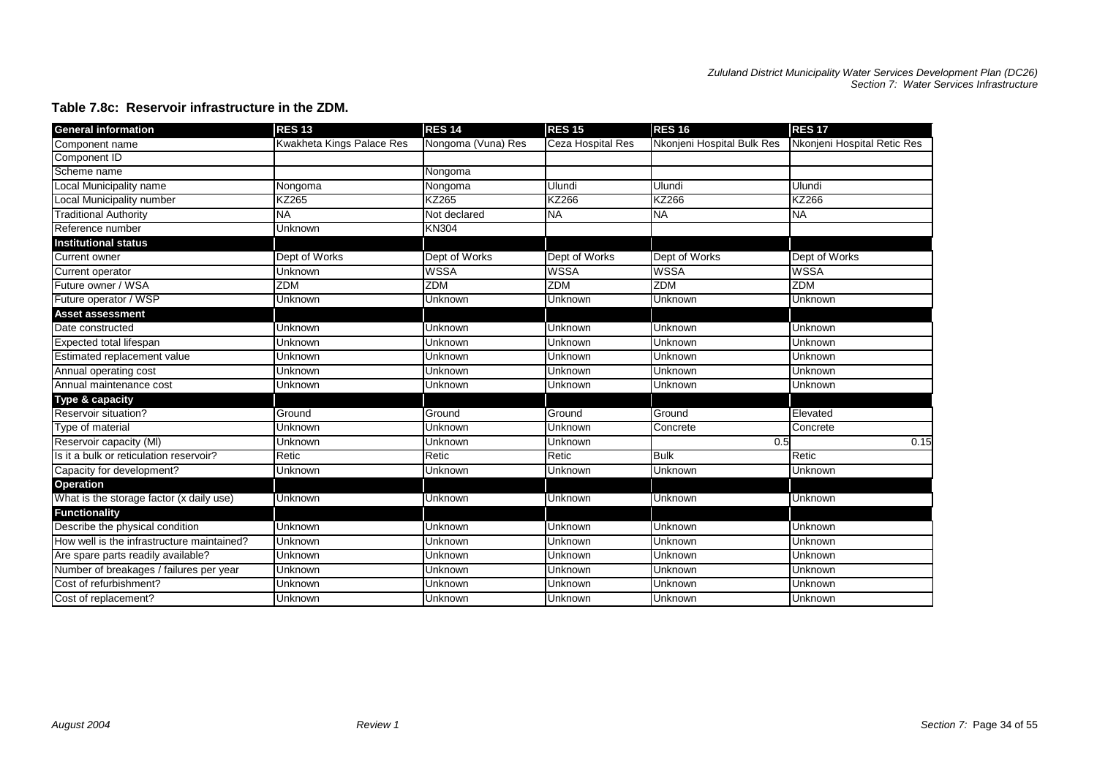| General information                        | <b>RES 13</b>             | <b>RES 14</b>      | <b>RES 15</b>     | <b>RES 16</b>              | <b>RES 17</b>               |
|--------------------------------------------|---------------------------|--------------------|-------------------|----------------------------|-----------------------------|
| Component name                             | Kwakheta Kings Palace Res | Nongoma (Vuna) Res | Ceza Hospital Res | Nkonjeni Hospital Bulk Res | Nkonjeni Hospital Retic Res |
| Component ID                               |                           |                    |                   |                            |                             |
| Scheme name                                |                           | Nongoma            |                   |                            |                             |
| Local Municipality name                    | Nongoma                   | Nongoma            | Ulundi            | Ulundi                     | Ulundi                      |
| Local Municipality number                  | KZ265                     | KZ265              | <b>KZ266</b>      | <b>KZ266</b>               | <b>KZ266</b>                |
| <b>Traditional Authority</b>               | <b>NA</b>                 | Not declared       | <b>NA</b>         | <b>NA</b>                  | <b>NA</b>                   |
| Reference number                           | Unknown                   | <b>KN304</b>       |                   |                            |                             |
| <b>Institutional status</b>                |                           |                    |                   |                            |                             |
| Current owner                              | Dept of Works             | Dept of Works      | Dept of Works     | Dept of Works              | Dept of Works               |
| Current operator                           | Unknown                   | <b>WSSA</b>        | <b>WSSA</b>       | <b>WSSA</b>                | <b>WSSA</b>                 |
| Future owner / WSA                         | ZDM                       | <b>ZDM</b>         | <b>ZDM</b>        | ZDM                        | <b>ZDM</b>                  |
| Future operator / WSP                      | Unknown                   | Unknown            | Unknown           | Unknown                    | Unknown                     |
| <b>Asset assessment</b>                    |                           |                    |                   |                            |                             |
| Date constructed                           | Unknown                   | Unknown            | Unknown           | <b>Unknown</b>             | Unknown                     |
| Expected total lifespan                    | Unknown                   | Unknown            | Unknown           | Unknown                    | Unknown                     |
| Estimated replacement value                | Unknown                   | Unknown            | Unknown           | Unknown                    | Unknown                     |
| Annual operating cost                      | Unknown                   | Unknown            | Unknown           | Unknown                    | Unknown                     |
| Annual maintenance cost                    | Unknown                   | Unknown            | Unknown           | Unknown                    | Unknown                     |
| Type & capacity                            |                           |                    |                   |                            |                             |
| <b>Reservoir situation?</b>                | Ground                    | Ground             | Ground            | Ground                     | Elevated                    |
| Type of material                           | Unknown                   | Unknown            | Unknown           | Concrete                   | Concrete                    |
| Reservoir capacity (MI)                    | Unknown                   | Unknown            | <b>Unknown</b>    | 0.5                        | 0.15                        |
| Is it a bulk or reticulation reservoir?    | Retic                     | Retic              | Retic             | <b>Bulk</b>                | Retic                       |
| Capacity for development?                  | Unknown                   | Unknown            | Unknown           | <b>Unknown</b>             | Unknown                     |
| <b>Operation</b>                           |                           |                    |                   |                            |                             |
| What is the storage factor (x daily use)   | Unknown                   | Unknown            | Unknown           | Unknown                    | Unknown                     |
| <b>Functionality</b>                       |                           |                    |                   |                            |                             |
| Describe the physical condition            | Unknown                   | Unknown            | Unknown           | Unknown                    | Unknown                     |
| How well is the infrastructure maintained? | Unknown                   | Unknown            | Unknown           | Unknown                    | <b>Unknown</b>              |
| Are spare parts readily available?         | Unknown                   | Unknown            | Unknown           | Unknown                    | Unknown                     |
| Number of breakages / failures per year    | Unknown                   | Unknown            | Unknown           | Unknown                    | Unknown                     |
| Cost of refurbishment?                     | Unknown                   | Unknown            | Unknown           | Unknown                    | Unknown                     |
| Cost of replacement?                       | Unknown                   | Unknown            | Unknown           | <b>Unknown</b>             | Unknown                     |

#### **Table 7.8c: Reservoir infrastructure in the ZDM.**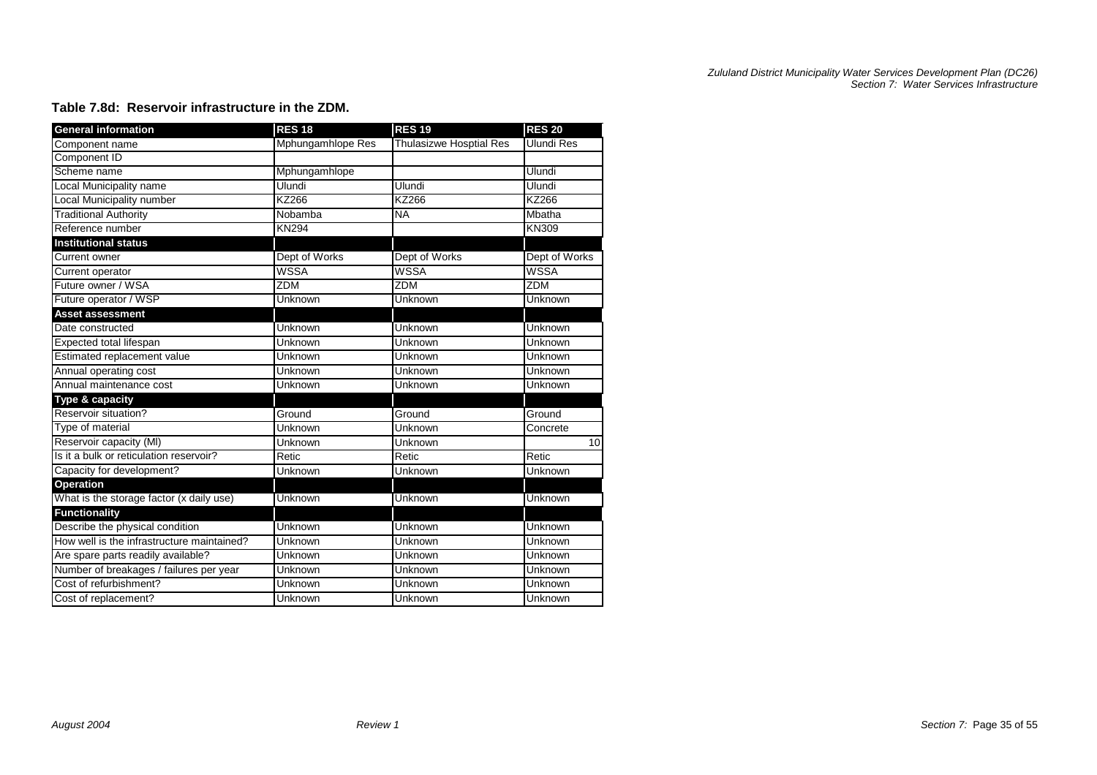# *Zululand District Municipality Water Services Development Plan (DC26) Section 7: Water Services Infrastructure*

| <b>General information</b>                 | <b>RES 18</b>     | <b>RES 19</b>                  | <b>RES 20</b>     |
|--------------------------------------------|-------------------|--------------------------------|-------------------|
| Component name                             | Mphungamhlope Res | <b>Thulasizwe Hosptial Res</b> | <b>Ulundi Res</b> |
| Component ID                               |                   |                                |                   |
| Scheme name                                | Mphungamhlope     |                                | Ulundi            |
| Local Municipality name                    | Ulundi            | Ulundi                         | Ulundi            |
| Local Municipality number                  | KZ266             | KZ266                          | KZ266             |
| <b>Traditional Authority</b>               | Nobamba           | <b>NA</b>                      | Mbatha            |
| Reference number                           | <b>KN294</b>      |                                | KN309             |
| <b>Institutional status</b>                |                   |                                |                   |
| Current owner                              | Dept of Works     | Dept of Works                  | Dept of Works     |
| Current operator                           | <b>WSSA</b>       | WSSA                           | WSSA              |
| Future owner / WSA                         | ZDM               | ZDM                            | ZDM               |
| Future operator / WSP                      | Unknown           | Unknown                        | <b>Unknown</b>    |
| <b>Asset assessment</b>                    |                   |                                |                   |
| Date constructed                           | Unknown           | Unknown                        | Unknown           |
| Expected total lifespan                    | Unknown           | Unknown                        | Unknown           |
| Estimated replacement value                | Unknown           | Unknown                        | Unknown           |
| Annual operating cost                      | <b>Unknown</b>    | Unknown                        | Unknown           |
| Annual maintenance cost                    | <b>Unknown</b>    | Unknown                        | Unknown           |
| Type & capacity                            |                   |                                |                   |
| Reservoir situation?                       | Ground            | Ground                         | Ground            |
| Type of material                           | Unknown           | Unknown                        | Concrete          |
| Reservoir capacity (MI)                    | Unknown           | Unknown                        | 10                |
| Is it a bulk or reticulation reservoir?    | Retic             | Retic                          | Retic             |
| Capacity for development?                  | Unknown           | Unknown                        | Unknown           |
| <b>Operation</b>                           |                   |                                |                   |
| What is the storage factor (x daily use)   | Unknown           | Unknown                        | Unknown           |
| <b>Functionality</b>                       |                   |                                |                   |
| Describe the physical condition            | Unknown           | Unknown                        | Unknown           |
| How well is the infrastructure maintained? | Unknown           | Unknown                        | Unknown           |
| Are spare parts readily available?         | Unknown           | Unknown                        | Unknown           |
| Number of breakages / failures per year    | Unknown           | Unknown                        | Unknown           |
| Cost of refurbishment?                     | Unknown           | Unknown                        | <b>Unknown</b>    |
| Cost of replacement?                       | Unknown           | Unknown                        | Unknown           |

#### **Table 7.8d: Reservoir infrastructure in the ZDM.**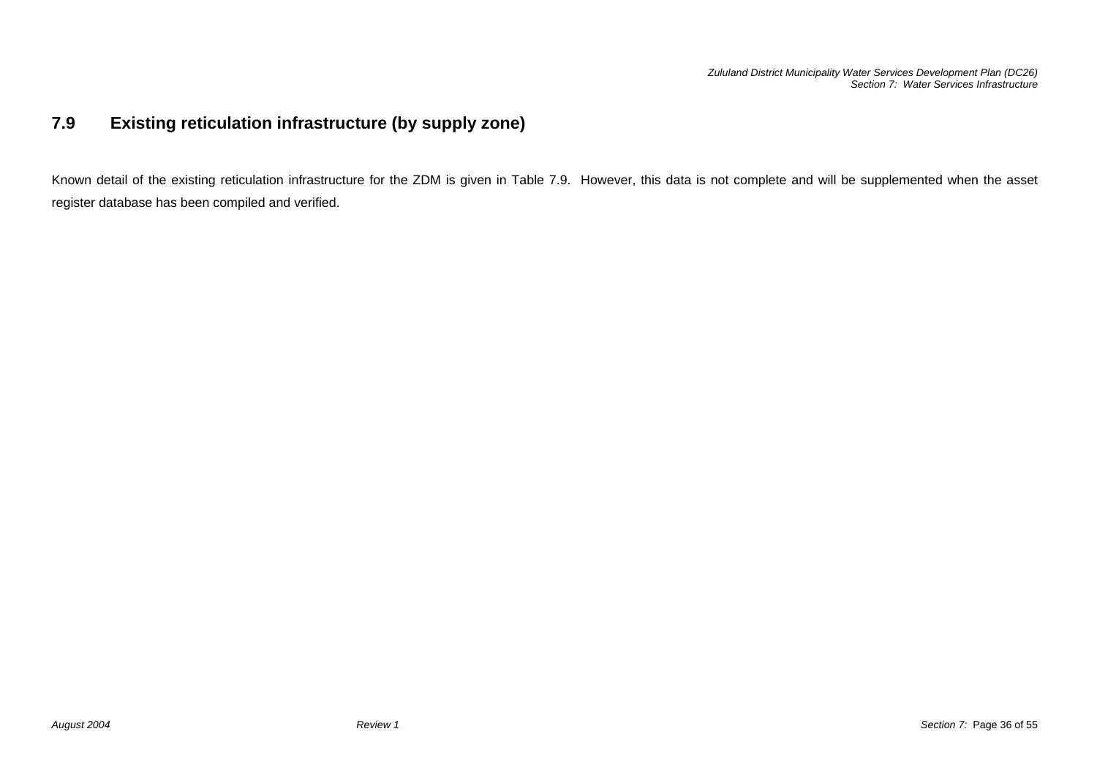# **7.9 Existing reticulation infrastructure (by supply zone)**

Known detail of the existing reticulation infrastructure for the ZDM is given in Table 7.9. However, this data is not complete and will be supplemented when the asset register database has been compiled and verified.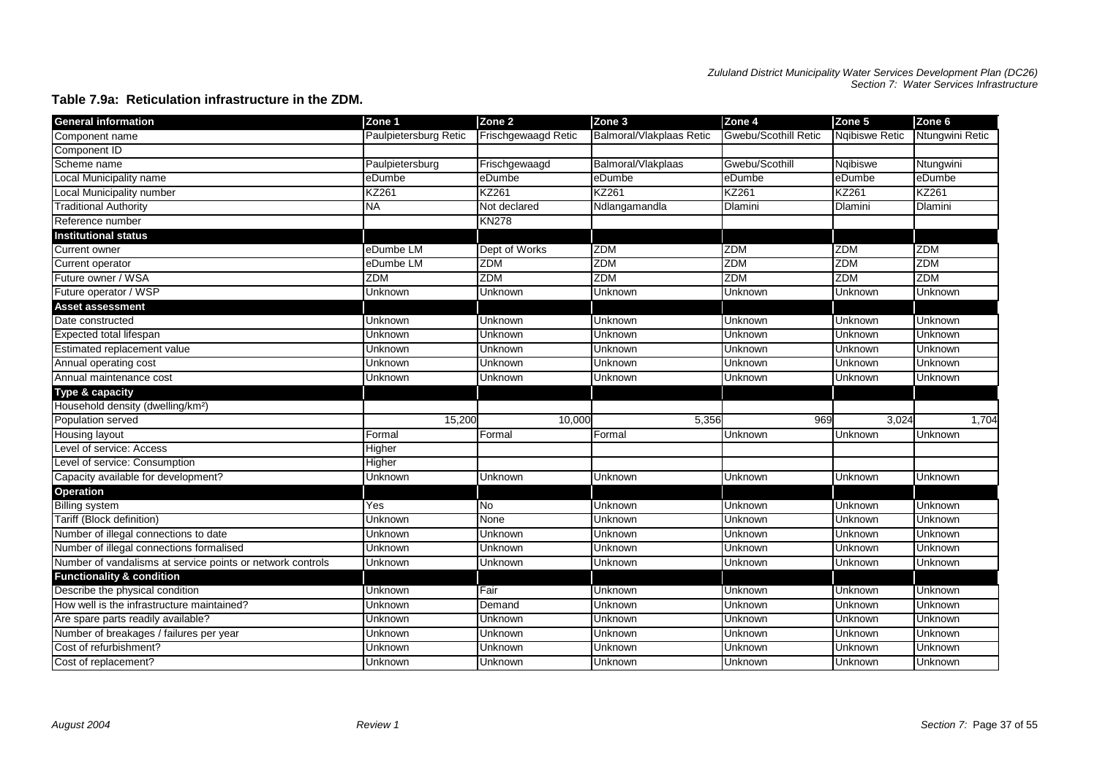### **Table 7.9a: Reticulation infrastructure in the ZDM.**

| <b>General information</b>                                 | Zone 1                | Zone <sub>2</sub>   | Zone 3                   | Zone 4               | Zone 5                | Zone 6          |
|------------------------------------------------------------|-----------------------|---------------------|--------------------------|----------------------|-----------------------|-----------------|
| Component name                                             | Paulpietersburg Retic | Frischgewaagd Retic | Balmoral/Vlakplaas Retic | Gwebu/Scothill Retic | <b>Ngibiswe Retic</b> | Ntungwini Retic |
| Component ID                                               |                       |                     |                          |                      |                       |                 |
| Scheme name                                                | Paulpietersburg       | Frischgewaagd       | Balmoral/Vlakplaas       | Gwebu/Scothill       | Ngibiswe              | Ntungwini       |
| Local Municipality name                                    | eDumbe                | eDumbe              | eDumbe                   | eDumbe               | eDumbe                | eDumbe          |
| Local Municipality number                                  | <b>KZ261</b>          | <b>KZ261</b>        | <b>KZ261</b>             | KZ261                | KZ261                 | <b>KZ261</b>    |
| <b>Traditional Authority</b>                               | <b>NA</b>             | Not declared        | Ndlangamandla            | Dlamini              | <b>Dlamini</b>        | Dlamini         |
| Reference number                                           |                       | <b>KN278</b>        |                          |                      |                       |                 |
| <b>Institutional status</b>                                |                       |                     |                          |                      |                       |                 |
| Current owner                                              | eDumbe LM             | Dept of Works       | <b>ZDM</b>               | <b>ZDM</b>           | <b>ZDM</b>            | <b>ZDM</b>      |
| <b>Current operator</b>                                    | eDumbe LM             | <b>ZDM</b>          | <b>ZDM</b>               | <b>ZDM</b>           | <b>ZDM</b>            | <b>ZDM</b>      |
| Future owner / WSA                                         | <b>ZDM</b>            | <b>ZDM</b>          | <b>ZDM</b>               | <b>ZDM</b>           | <b>ZDM</b>            | <b>ZDM</b>      |
| Future operator / WSP                                      | Unknown               | Unknown             | Jnknown                  | Unknown              | Unknown               | Unknown         |
| <b>Asset assessment</b>                                    |                       |                     |                          |                      |                       |                 |
| Date constructed                                           | Unknown               | Unknown             | Unknown                  | Unknown              | Unknown               | Unknown         |
| Expected total lifespan                                    | Unknown               | Unknown             | Unknown                  | Unknown              | Unknown               | Unknown         |
| Estimated replacement value                                | Unknown               | Unknown             | Unknown                  | Unknown              | <b>Unknown</b>        | Unknown         |
| Annual operating cost                                      | Unknown               | Unknown             | <b>Unknown</b>           | Unknown              | Unknown               | <b>Unknown</b>  |
| Annual maintenance cost                                    | Unknown               | Unknown             | Jnknown                  | Unknown              | Unknown               | Unknown         |
| Type & capacity                                            |                       |                     |                          |                      |                       |                 |
| Household density (dwelling/km <sup>2</sup> )              |                       |                     |                          |                      |                       |                 |
| Population served                                          | 15,200                | 10,000              | 5,356                    | 969                  | 3,024                 | 1,704           |
| Housing layout                                             | Formal                | Formal              | Formal                   | Unknown              | Unknown               | Unknown         |
| Level of service: Access                                   | Higher                |                     |                          |                      |                       |                 |
| Level of service: Consumption                              | Higher                |                     |                          |                      |                       |                 |
| Capacity available for development?                        | Unknown               | Unknown             | Unknown                  | Unknown              | Unknown               | Unknown         |
| <b>Operation</b>                                           |                       |                     |                          |                      |                       |                 |
| <b>Billing</b> system                                      | Yes                   | <b>No</b>           | Unknown                  | Unknown              | Unknown               | Unknown         |
| Tariff (Block definition)                                  | Unknown               | None                | Jnknown                  | Unknown              | Unknown               | Unknown         |
| Number of illegal connections to date                      | Unknown               | Unknown             | Unknown                  | Unknown              | Unknown               | <b>Unknown</b>  |
| Number of illegal connections formalised                   | Unknown               | Unknown             | Unknown                  | Unknown              | Unknown               | Unknown         |
| Number of vandalisms at service points or network controls | Unknown               | Unknown             | Unknown                  | Unknown              | Unknown               | Unknown         |
| <b>Functionality &amp; condition</b>                       |                       |                     |                          |                      |                       |                 |
| Describe the physical condition                            | Unknown               | Fair                | Unknown                  | Unknown              | Unknown               | Unknown         |
| How well is the infrastructure maintained?                 | Jnknown               | Demand              | Unknown                  | Unknown              | Unknown               | Unknown         |
| Are spare parts readily available?                         | Unknown               | Unknown             | Unknown                  | Unknown              | Unknown               | Unknown         |
| Number of breakages / failures per year                    | Unknown               | Unknown             | Unknown                  | Unknown              | Unknown               | Unknown         |
| Cost of refurbishment?                                     | Unknown               | Unknown             | Unknown                  | Unknown              | Unknown               | Unknown         |
| Cost of replacement?                                       | Unknown               | Unknown             | Unknown                  | Unknown              | Unknown               | Unknown         |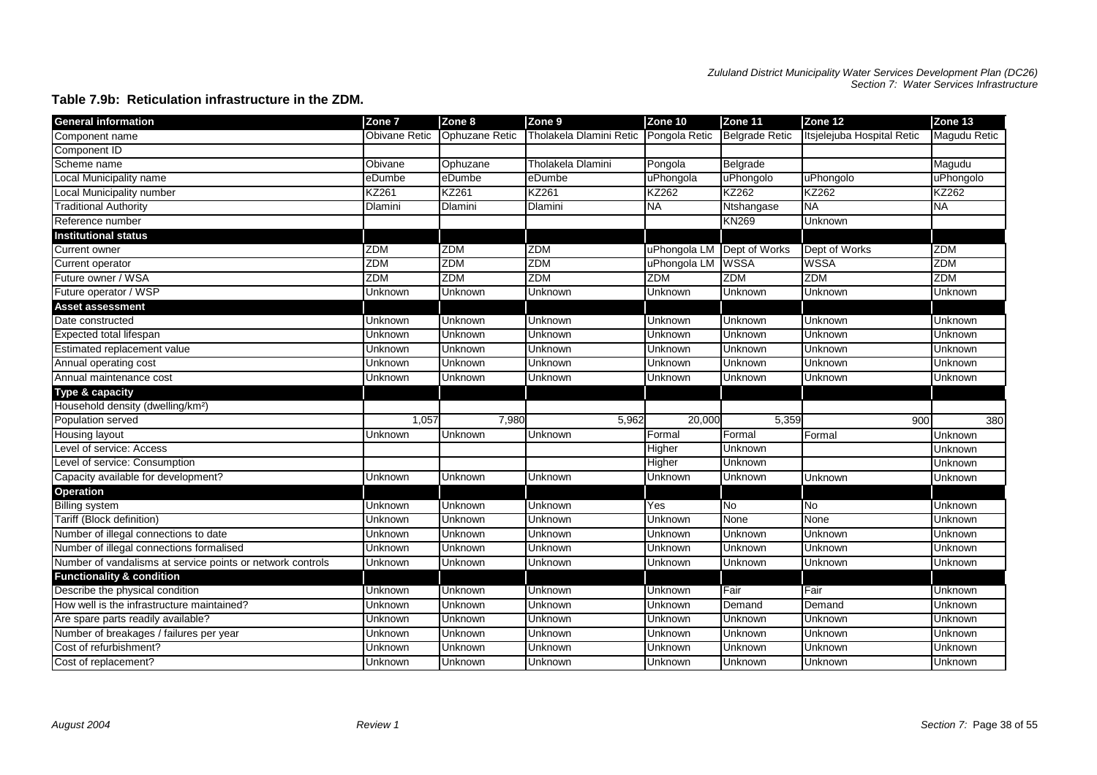#### **Table 7.9b: Reticulation infrastructure in the ZDM.**

| <b>General information</b>                                 | Zone 7               | Zone 8         | Zone <sub>9</sub>       | Zone 10        | Zone 11                    | Zone 12                    | Zone 13      |
|------------------------------------------------------------|----------------------|----------------|-------------------------|----------------|----------------------------|----------------------------|--------------|
| Component name                                             | <b>Obivane Retic</b> | Ophuzane Retic | Tholakela Dlamini Retic | Pongola Retic  | <b>Belgrade Retic</b>      | Itsjelejuba Hospital Retic | Magudu Retic |
| Component ID                                               |                      |                |                         |                |                            |                            |              |
| Scheme name                                                | Obivane              | Ophuzane       | Tholakela Dlamini       | Pongola        | Belgrade                   |                            | Magudu       |
| Local Municipality name                                    | eDumbe               | eDumbe         | eDumbe                  | uPhongola      | uPhongolo                  | uPhongolo                  | uPhongolo    |
| Local Municipality number                                  | KZ261                | KZ261          | <b>KZ261</b>            | KZ262          | KZ262                      | KZ262                      | KZ262        |
| <b>Traditional Authority</b>                               | Dlamini              | Dlamini        | <b>Dlamini</b>          | <b>NA</b>      | Ntshangase                 | <b>NA</b>                  | <b>NA</b>    |
| Reference number                                           |                      |                |                         |                | <b>KN269</b>               | Unknown                    |              |
| Institutional status                                       |                      |                |                         |                |                            |                            |              |
| Current owner                                              | <b>ZDM</b>           | <b>ZDM</b>     | <b>ZDM</b>              |                | uPhongola LM Dept of Works | Dept of Works              | <b>ZDM</b>   |
| Current operator                                           | <b>ZDM</b>           | <b>ZDM</b>     | <b>ZDM</b>              | uPhongola LM   | <b>WSSA</b>                | <b>WSSA</b>                | <b>ZDM</b>   |
| Future owner / WSA                                         | ZDM                  | <b>ZDM</b>     | <b>ZDM</b>              | <b>ZDM</b>     | <b>ZDM</b>                 | <b>ZDM</b>                 | ZDM          |
| Future operator / WSP                                      | Unknown              | Unknown        | Unknown                 | Unknown        | Unknown                    | Unknown                    | Unknown      |
| <b>Asset assessment</b>                                    |                      |                |                         |                |                            |                            |              |
| Date constructed                                           | Unknown              | Unknown        | Unknown                 | Unknown        | Unknown                    | <b>Unknown</b>             | Unknown      |
| Expected total lifespan                                    | Unknown              | Unknown        | <b>Unknown</b>          | Unknown        | <b>Unknown</b>             | Unknown                    | Unknown      |
| Estimated replacement value                                | Unknown              | Unknown        | Unknown                 | Unknown        | Unknown                    | Unknown                    | Unknown      |
| Annual operating cost                                      | Unknown              | Unknown        | Unknown                 | Unknown        | Unknown                    | Unknown                    | Unknown      |
| Annual maintenance cost                                    | Unknown              | Unknown        | Unknown                 | Unknown        | Unknown                    | Unknown                    | Unknown      |
| Type & capacity                                            |                      |                |                         |                |                            |                            |              |
| Household density (dwelling/km <sup>2</sup> )              |                      |                |                         |                |                            |                            |              |
| Population served                                          | 1,057                | 7,980          | 5,962                   | 20,000         | 5,359                      | 900                        | 380          |
| Housing layout                                             | Unknown              | Unknown        | Unknown                 | Formal         | Formal                     | Formal                     | Unknown      |
| Level of service: Access                                   |                      |                |                         | Higher         | Unknown                    |                            | Unknown      |
| Level of service: Consumption                              |                      |                |                         | Higher         | Unknown                    |                            | Unknown      |
| Capacity available for development?                        | Unknown              | Unknown        | Unknown                 | Unknown        | Unknown                    | Unknown                    | Unknown      |
| <b>Operation</b>                                           |                      |                |                         |                |                            |                            |              |
| <b>Billing system</b>                                      | Unknown              | Unknown        | Unknown                 | Yes            | <b>No</b>                  | <b>No</b>                  | Unknown      |
| Tariff (Block definition)                                  | Unknown              | Unknown        | <b>Unknown</b>          | Unknown        | <b>None</b>                | None                       | Unknown      |
| Number of illegal connections to date                      | Unknown              | Unknown        | Unknown                 | Unknown        | Unknown                    | Unknown                    | Unknown      |
| Number of illegal connections formalised                   | Unknown              | Unknown        | Unknown                 | Unknown        | Unknown                    | Unknown                    | Unknown      |
| Number of vandalisms at service points or network controls | Unknown              | Unknown        | Unknown                 | Unknown        | Unknown                    | Unknown                    | Unknown      |
| <b>Functionality &amp; condition</b>                       |                      |                |                         |                |                            |                            |              |
| Describe the physical condition                            | Unknown              | Unknown        | Unknown                 | Unknown        | Fair                       | Fair                       | Unknown      |
| How well is the infrastructure maintained?                 | Unknown              | Unknown        | <b>Unknown</b>          | <b>Unknown</b> | Demand                     | Demand                     | Unknown      |
| Are spare parts readily available?                         | Unknown              | Unknown        | Unknown                 | Unknown        | Unknown                    | Unknown                    | Unknown      |
| Number of breakages / failures per year                    | Unknown              | Unknown        | <b>Unknown</b>          | Unknown        | Unknown                    | Unknown                    | Unknown      |
| Cost of refurbishment?                                     | Unknown              | Unknown        | Unknown                 | Unknown        | Unknown                    | Unknown                    | Unknown      |
| Cost of replacement?                                       | Unknown              | Unknown        | Unknown                 | Unknown        | Unknown                    | Unknown                    | Unknown      |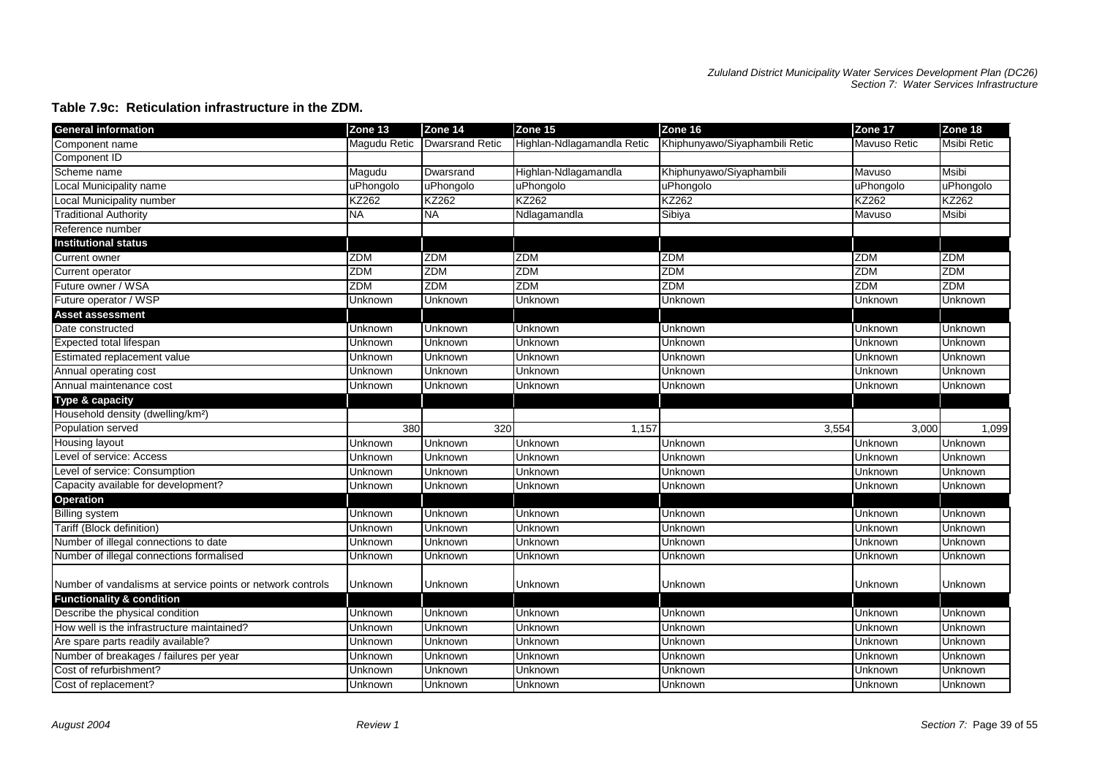#### **Table 7.9c: Reticulation infrastructure in the ZDM.**

| <b>General information</b>                                 | Zone 13             | Zone 14                | Zone 15                    | Zone 16                        | Zone 17      | Zone 18            |
|------------------------------------------------------------|---------------------|------------------------|----------------------------|--------------------------------|--------------|--------------------|
| Component name                                             | <b>Magudu Retic</b> | <b>Dwarsrand Retic</b> | Highlan-Ndlagamandla Retic | Khiphunyawo/Siyaphambili Retic | Mavuso Retic | <b>Msibi Retic</b> |
| Component ID                                               |                     |                        |                            |                                |              |                    |
| Scheme name                                                | Magudu              | Dwarsrand              | Highlan-Ndlagamandla       | Khiphunyawo/Siyaphambili       | Mavuso       | <b>Msibi</b>       |
| Local Municipality name                                    | uPhongolo           | uPhongolo              | uPhongolo                  | uPhongolo                      | uPhongolo    | uPhongolo          |
| Local Municipality number                                  | KZ262               | KZ262                  | KZ262                      | KZ262                          | KZ262        | KZ262              |
| <b>Traditional Authority</b>                               | <b>NA</b>           | <b>NA</b>              | Ndlagamandla               | Sibiya                         | Mavuso       | <b>Msibi</b>       |
| Reference number                                           |                     |                        |                            |                                |              |                    |
| <b>Institutional status</b>                                |                     |                        |                            |                                |              |                    |
| Current owner                                              | <b>ZDM</b>          | <b>ZDM</b>             | <b>ZDM</b>                 | ZDM                            | <b>ZDM</b>   | <b>ZDM</b>         |
| Current operator                                           | <b>ZDM</b>          | <b>ZDM</b>             | ZDM                        | <b>ZDM</b>                     | <b>ZDM</b>   | <b>ZDM</b>         |
| Future owner / WSA                                         | <b>ZDM</b>          | <b>ZDM</b>             | <b>ZDM</b>                 | <b>ZDM</b>                     | <b>ZDM</b>   | ZDM                |
| Future operator / WSP                                      | Unknown             | Unknown                | Unknown                    | Unknown                        | Unknown      | Unknown            |
| Asset assessment                                           |                     |                        |                            |                                |              |                    |
| Date constructed                                           | Unknown             | Unknown                | Unknown                    | Unknown                        | Unknown      | Unknown            |
| Expected total lifespan                                    | Unknown             | Unknown                | Unknown                    | Unknown                        | Unknown      | Unknown            |
| Estimated replacement value                                | Unknown             | Unknown                | Unknown                    | Unknown                        | Unknown      | Unknown            |
| Annual operating cost                                      | Unknown             | Unknown                | Unknown                    | Unknown                        | Unknown      | Unknown            |
| Annual maintenance cost                                    | Unknown             | Unknown                | Unknown                    | Unknown                        | Unknown      | Unknown            |
| Type & capacity                                            |                     |                        |                            |                                |              |                    |
| Household density (dwelling/km <sup>2</sup> )              |                     |                        |                            |                                |              |                    |
| Population served                                          | 380                 | 320                    | 1,157                      | 3,554                          | 3,000        | 1,099              |
| Housing layout                                             | Unknown             | Unknown                | Unknown                    | Unknown                        | Unknown      | Unknown            |
| Level of service: Access                                   | Unknown             | <b>Unknown</b>         | Unknown                    | Unknown                        | Unknown      | Unknown            |
| Level of service: Consumption                              | Unknown             | Unknown                | Unknown                    | Unknown                        | Unknown      | Unknown            |
| Capacity available for development?                        | Unknown             | Unknown                | Unknown                    | Unknown                        | Unknown      | Unknown            |
| <b>Operation</b>                                           |                     |                        |                            |                                |              |                    |
| <b>Billing system</b>                                      | Unknown             | Unknown                | Unknown                    | Unknown                        | Unknown      | Unknown            |
| Tariff (Block definition)                                  | Unknown             | Unknown                | Unknown                    | Unknown                        | Unknown      | Unknown            |
| Number of illegal connections to date                      | Unknown             | Unknown                | Unknown                    | Unknown                        | Unknown      | Unknown            |
| Number of illegal connections formalised                   | Unknown             | Unknown                | Unknown                    | Unknown                        | Unknown      | Unknown            |
|                                                            |                     |                        |                            |                                |              |                    |
| Number of vandalisms at service points or network controls | Unknown             | Unknown                | Unknown                    | Unknown                        | Unknown      | Unknown            |
| <b>Functionality &amp; condition</b>                       |                     |                        |                            |                                |              |                    |
| Describe the physical condition                            | Unknown             | Unknown                | Unknown                    | Unknown                        | Unknown      | Unknown            |
| How well is the infrastructure maintained?                 | Unknown             | Unknown                | Unknown                    | Unknown                        | Unknown      | Unknown            |
| Are spare parts readily available?                         | Unknown             | Unknown                | Unknown                    | Unknown                        | Unknown      | Unknown            |
| Number of breakages / failures per year                    | Unknown             | Unknown                | Unknown                    | Unknown                        | Unknown      | Unknown            |
| Cost of refurbishment?                                     | Unknown             | Unknown                | Unknown                    | Unknown                        | Unknown      | Unknown            |
| Cost of replacement?                                       | Unknown             | Unknown                | Unknown                    | Unknown                        | Unknown      | Unknown            |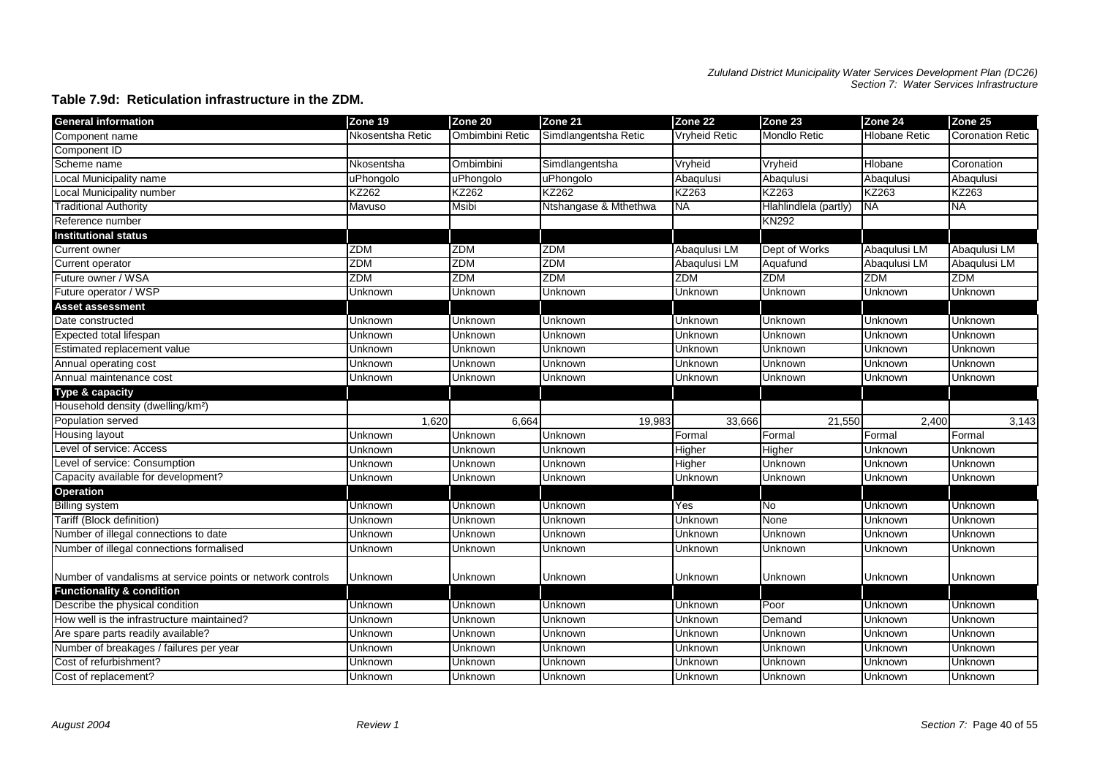### **Table 7.9d: Reticulation infrastructure in the ZDM.**

| <b>General information</b>                                 | Zone 19          | Zone 20         | Zone 21               | Zone 22              | Zone 23               | Zone 24              | Zone 25                 |
|------------------------------------------------------------|------------------|-----------------|-----------------------|----------------------|-----------------------|----------------------|-------------------------|
| Component name                                             | Nkosentsha Retic | Ombimbini Retic | Simdlangentsha Retic  | <b>Vryheid Retic</b> | <b>Mondlo Retic</b>   | <b>Hlobane Retic</b> | <b>Coronation Retic</b> |
| Component ID                                               |                  |                 |                       |                      |                       |                      |                         |
| Scheme name                                                | Nkosentsha       | Ombimbini       | Simdlangentsha        | Vryheid              | Vryheid               | <b>Hlobane</b>       | Coronation              |
| Local Municipality name                                    | uPhongolo        | uPhongolo       | uPhongolo             | Abaqulusi            | Abaqulusi             | Abaqulusi            | Abaqulusi               |
| Local Municipality number                                  | KZ262            | KZ262           | <b>KZ262</b>          | KZ263                | KZ263                 | KZ263                | KZ263                   |
| <b>Traditional Authority</b>                               | Mavuso           | Msibi           | Ntshangase & Mthethwa | <b>NA</b>            | Hlahlindlela (partly) | <b>NA</b>            | <b>NA</b>               |
| Reference number                                           |                  |                 |                       |                      | <b>KN292</b>          |                      |                         |
| <b>Institutional status</b>                                |                  |                 |                       |                      |                       |                      |                         |
| Current owner                                              | <b>ZDM</b>       | <b>ZDM</b>      | <b>ZDM</b>            | Abaqulusi LM         | Dept of Works         | Abaqulusi LM         | Abaqulusi LM            |
| Current operator                                           | <b>ZDM</b>       | ZDM             | <b>ZDM</b>            | Abaqulusi LM         | Aquafund              | Abaqulusi LM         | Abaqulusi LM            |
| Future owner / WSA                                         | ZDM              | ZDM             | <b>ZDM</b>            | <b>ZDM</b>           | <b>ZDM</b>            | <b>ZDM</b>           | <b>ZDM</b>              |
| Future operator / WSP                                      | Unknown          | Unknown         | Unknown               | Unknown              | Unknown               | Unknown              | Unknown                 |
| <b>Asset assessment</b>                                    |                  |                 |                       |                      |                       |                      |                         |
| Date constructed                                           | Unknown          | Unknown         | Unknown               | Unknown              | Unknown               | Unknown              | Unknown                 |
| Expected total lifespan                                    | Unknown          | Jnknown         | Unknown               | Unknown              | Unknown               | Unknown              | Jnknown                 |
| Estimated replacement value                                | Unknown          | <b>Unknown</b>  | Unknown               | Unknown              | Unknown               | Unknown              | Unknown                 |
| Annual operating cost                                      | Unknown          | Unknown         | Unknown               | Unknown              | Unknown               | Unknown              | Unknown                 |
| Annual maintenance cost                                    | Unknown          | Unknown         | Unknown               | Unknown              | Unknown               | Unknown              | Unknown                 |
| Type & capacity                                            |                  |                 |                       |                      |                       |                      |                         |
| Household density (dwelling/km <sup>2</sup> )              |                  |                 |                       |                      |                       |                      |                         |
| Population served                                          | 1,620            | 6,664           | 19,983                | 33,666               | 21,550                | 2,400                | 3,143                   |
| Housing layout                                             | Unknown          | Unknown         | Unknown               | Formal               | Formal                | Formal               | Formal                  |
| Level of service: Access                                   | Unknown          | Unknown         | Unknown               | Higher               | Higher                | Unknown              | Jnknown                 |
| Level of service: Consumption                              | Unknown          | Unknown         | Unknown               | Higher               | Unknown               | Unknown              | Unknown                 |
| Capacity available for development?                        | Unknown          | Unknown         | Unknown               | Unknown              | Unknown               | Unknown              | Unknown                 |
| <b>Operation</b>                                           |                  |                 |                       |                      |                       |                      |                         |
| <b>Billing system</b>                                      | Unknown          | Unknown         | Unknown               | Yes                  | <b>No</b>             | Unknown              | Unknown                 |
| Tariff (Block definition)                                  | Unknown          | Jnknown         | Unknown               | Unknown              | None                  | Unknown              | Jnknown                 |
| Number of illegal connections to date                      | Unknown          | Jnknown         | Unknown               | Unknown              | Unknown               | Unknown              | <b>Jnknown</b>          |
| Number of illegal connections formalised                   | Unknown          | Unknown         | Unknown               | Unknown              | Unknown               | Unknown              | Jnknown                 |
|                                                            |                  |                 |                       |                      |                       |                      |                         |
| Number of vandalisms at service points or network controls | Unknown          | Jnknown         | Unknown               | Unknown              | Unknown               | Unknown              | Unknown                 |
| <b>Functionality &amp; condition</b>                       |                  |                 |                       |                      |                       |                      |                         |
| Describe the physical condition                            | Unknown          | Unknown         | Unknown               | Unknown              | Poor                  | Unknown              | Unknown                 |
| How well is the infrastructure maintained?                 | Jnknown          | Unknown         | Unknown               | Unknown              | Demand                | Unknown              | Jnknown                 |
| Are spare parts readily available?                         | Unknown          | Unknown         | Unknown               | Unknown              | Unknown               | Unknown              | Jnknown                 |
| Number of breakages / failures per year                    | Unknown          | Unknown         | Unknown               | <b>Unknown</b>       | Unknown               | Unknown              | <b>Unknown</b>          |
| Cost of refurbishment?                                     | Unknown          | Unknown         | Unknown               | Unknown              | Unknown               | Unknown              | <b>Unknown</b>          |
| Cost of replacement?                                       | Unknown          | Unknown         | Unknown               | Unknown              | Unknown               | Unknown              | Unknown                 |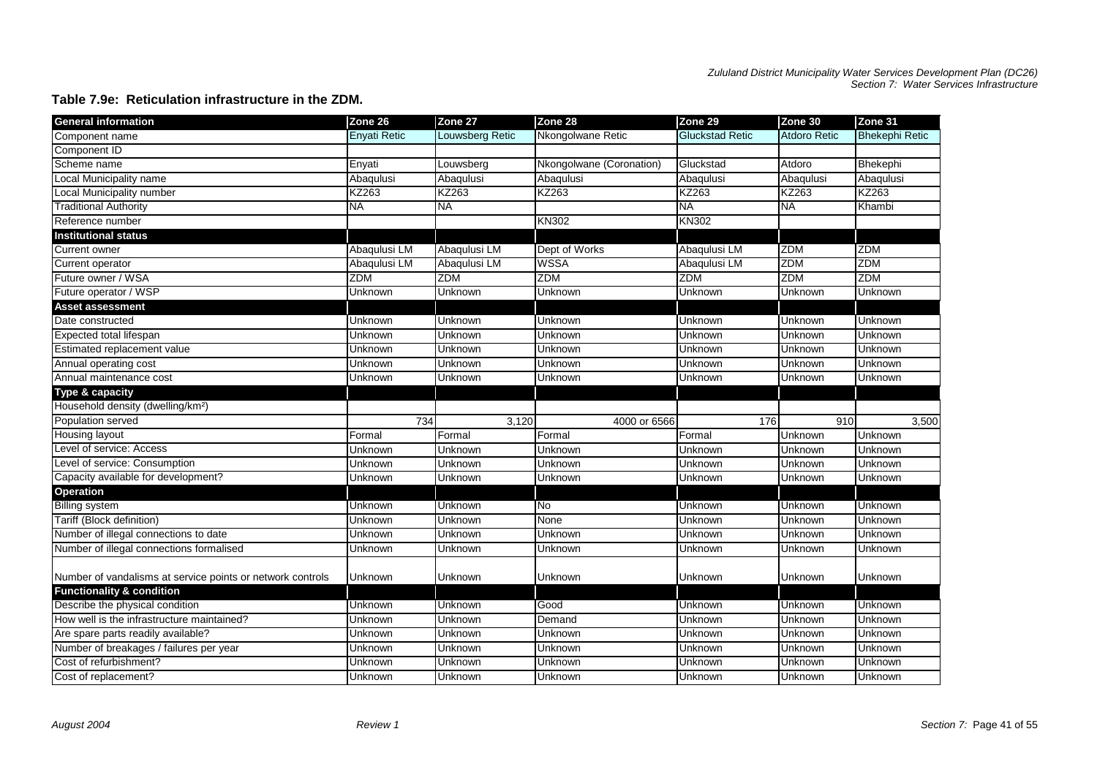#### **Table 7.9e: Reticulation infrastructure in the ZDM.**

| <b>General information</b>                                 | Zone 26             | Zone 27         | Zone 28                  | Zone 29                | Zone 30             | Zone 31               |
|------------------------------------------------------------|---------------------|-----------------|--------------------------|------------------------|---------------------|-----------------------|
| Component name                                             | <b>Envati Retic</b> | Louwsberg Retic | Nkongolwane Retic        | <b>Gluckstad Retic</b> | <b>Atdoro Retic</b> | <b>Bhekephi Retic</b> |
| Component ID                                               |                     |                 |                          |                        |                     |                       |
| Scheme name                                                | Enyati              | Louwsberg       | Nkongolwane (Coronation) | Gluckstad              | Atdoro              | Bhekephi              |
| Local Municipality name                                    | Abaqulusi           | Abaqulusi       | Abaqulusi                | Abaqulusi              | Abaqulusi           | Abaqulusi             |
| Local Municipality number                                  | KZ263               | KZ263           | KZ263                    | KZ263                  | KZ263               | KZ263                 |
| <b>Traditional Authority</b>                               | <b>NA</b>           | <b>NA</b>       |                          | <b>NA</b>              | <b>NA</b>           | Khambi                |
| Reference number                                           |                     |                 | <b>KN302</b>             | <b>KN302</b>           |                     |                       |
| <b>Institutional status</b>                                |                     |                 |                          |                        |                     |                       |
| Current owner                                              | Abaqulusi LM        | Abaqulusi LM    | Dept of Works            | Abaqulusi LM           | <b>ZDM</b>          | <b>ZDM</b>            |
| Current operator                                           | Abaqulusi LM        | Abaqulusi LM    | <b>WSSA</b>              | Abaqulusi LM           | <b>ZDM</b>          | <b>ZDM</b>            |
| Future owner / WSA                                         | <b>ZDM</b>          | <b>ZDM</b>      | <b>ZDM</b>               | <b>ZDM</b>             | <b>ZDM</b>          | <b>ZDM</b>            |
| Future operator / WSP                                      | <b>Unknown</b>      | Unknown         | Unknown                  | Unknown                | Unknown             | Unknown               |
| <b>Asset assessment</b>                                    |                     |                 |                          |                        |                     |                       |
| Date constructed                                           | Unknown             | Unknown         | Unknown                  | Unknown                | Unknown             | Unknown               |
| Expected total lifespan                                    | Unknown             | Unknown         | Unknown                  | Unknown                | Unknown             | Unknown               |
| Estimated replacement value                                | Unknown             | Unknown         | Unknown                  | Unknown                | Unknown             | Unknown               |
| Annual operating cost                                      | Unknown             | Unknown         | Unknown                  | Unknown                | Unknown             | Unknown               |
| Annual maintenance cost                                    | Unknown             | Unknown         | Unknown                  | Unknown                | Unknown             | Unknown               |
| Type & capacity                                            |                     |                 |                          |                        |                     |                       |
| Household density (dwelling/km <sup>2</sup> )              |                     |                 |                          |                        |                     |                       |
| Population served                                          | 734                 | 3.120           | 4000 or 6566             | 176                    | 910                 | 3.500                 |
| Housing layout                                             | Formal              | Formal          | Formal                   | Formal                 | Unknown             | Unknown               |
| Level of service: Access                                   | Unknown             | Unknown         | Unknown                  | Unknown                | Unknown             | Unknown               |
| Level of service: Consumption                              | Unknown             | Unknown         | Unknown                  | Unknown                | Unknown             | Unknown               |
| Capacity available for development?                        | Unknown             | Unknown         | Unknown                  | Unknown                | Unknown             | Unknown               |
| Operation                                                  |                     |                 |                          |                        |                     |                       |
| <b>Billing system</b>                                      | Unknown             | Unknown         | <b>No</b>                | Unknown                | Unknown             | Unknown               |
| Tariff (Block definition)                                  | Unknown             | Unknown         | None                     | Unknown                | Unknown             | Unknown               |
| Number of illegal connections to date                      | Unknown             | Unknown         | Unknown                  | Unknown                | Unknown             | Unknown               |
| Number of illegal connections formalised                   | Unknown             | Unknown         | Unknown                  | Unknown                | Unknown             | Unknown               |
|                                                            |                     |                 |                          |                        |                     |                       |
| Number of vandalisms at service points or network controls | Unknown             | Unknown         | Unknown                  | Unknown                | Unknown             | Unknown               |
| <b>Functionality &amp; condition</b>                       |                     |                 |                          |                        |                     |                       |
| Describe the physical condition                            | Unknown             | Unknown         | Good                     | Unknown                | Unknown             | Unknown               |
| How well is the infrastructure maintained?                 | Unknown             | Unknown         | Demand                   | Unknown                | Unknown             | Unknown               |
| Are spare parts readily available?                         | Unknown             | Unknown         | Unknown                  | Unknown                | Unknown             | Unknown               |
| Number of breakages / failures per year                    | Unknown             | Unknown         | Unknown                  | Unknown                | Unknown             | Unknown               |
| Cost of refurbishment?                                     | Unknown             | Unknown         | Unknown                  | Unknown                | Unknown             | Unknown               |
| Cost of replacement?                                       | Unknown             | Unknown         | Unknown                  | Unknown                | Unknown             | Unknown               |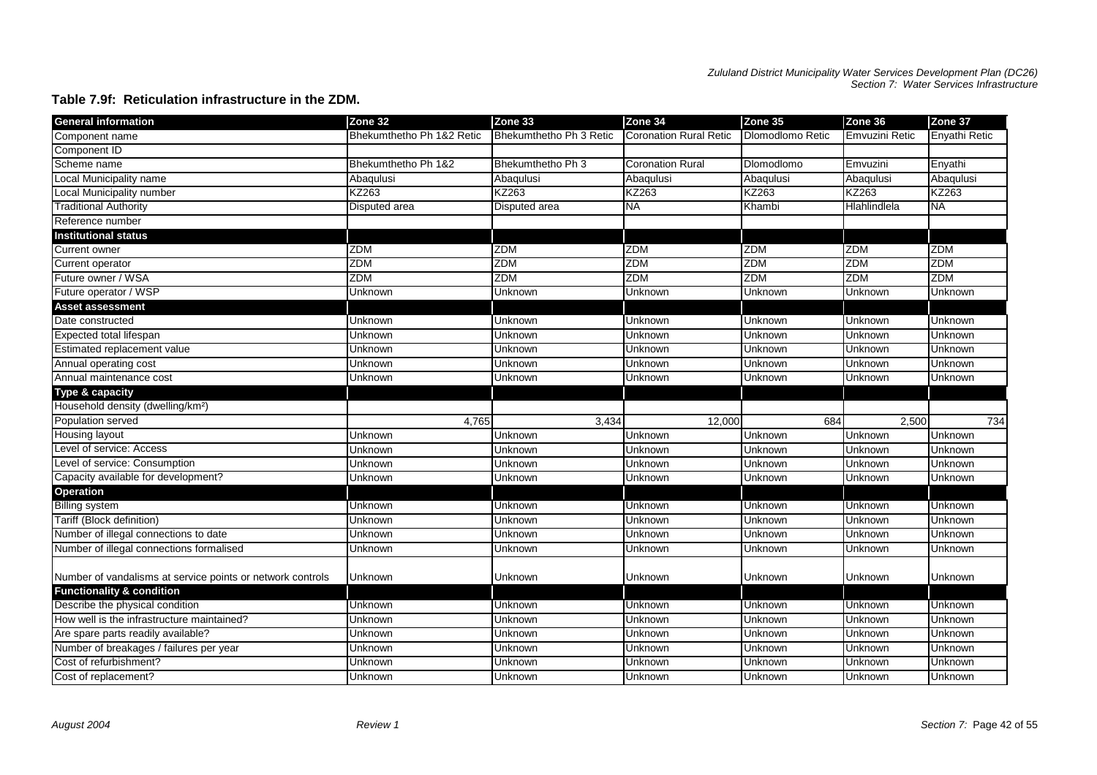### **Table 7.9f: Reticulation infrastructure in the ZDM.**

| <b>General information</b>                                 | Zone 32                   | Zone 33                 | Zone 34                 | Zone 35                 | Zone 36        | Zone 37       |
|------------------------------------------------------------|---------------------------|-------------------------|-------------------------|-------------------------|----------------|---------------|
| Component name                                             | Bhekumthetho Ph 1&2 Retic | Bhekumthetho Ph 3 Retic | Coronation Rural Retic  | <b>Dlomodlomo Retic</b> | Emvuzini Retic | Envathi Retic |
| Component ID                                               |                           |                         |                         |                         |                |               |
| Scheme name                                                | Bhekumthetho Ph 1&2       | Bhekumthetho Ph 3       | <b>Coronation Rural</b> | <b>Dlomodlomo</b>       | Emvuzini       | Enyathi       |
| Local Municipality name                                    | Abaqulusi                 | Abaqulusi               | Abaqulusi               | Abaqulusi               | Abaqulusi      | Abaqulusi     |
| Local Municipality number                                  | KZ263                     | KZ263                   | KZ263                   | KZ263                   | KZ263          | KZ263         |
| <b>Traditional Authority</b>                               | Disputed area             | Disputed area           | <b>NA</b>               | Khambi                  | Hlahlindlela   | <b>NA</b>     |
| Reference number                                           |                           |                         |                         |                         |                |               |
| <b>Institutional status</b>                                |                           |                         |                         |                         |                |               |
| Current owner                                              | <b>ZDM</b>                | <b>ZDM</b>              | <b>ZDM</b>              | <b>ZDM</b>              | <b>ZDM</b>     | <b>ZDM</b>    |
| Current operator                                           | <b>ZDM</b>                | <b>ZDM</b>              | <b>ZDM</b>              | <b>ZDM</b>              | ZDM            | <b>ZDM</b>    |
| Future owner / WSA                                         | <b>ZDM</b>                | <b>ZDM</b>              | <b>ZDM</b>              | ZDM                     | <b>ZDM</b>     | <b>ZDM</b>    |
| Future operator / WSP                                      | Unknown                   | Unknown                 | Unknown                 | Unknown                 | Unknown        | Unknown       |
| <b>Asset assessment</b>                                    |                           |                         |                         |                         |                |               |
| Date constructed                                           | Unknown                   | Unknown                 | Unknown                 | Unknown                 | Unknown        | Unknown       |
| Expected total lifespan                                    | Unknown                   | Unknown                 | Unknown                 | Unknown                 | Unknown        | Unknown       |
| Estimated replacement value                                | Unknown                   | Unknown                 | Unknown                 | Unknown                 | Unknown        | Unknown       |
| Annual operating cost                                      | Unknown                   | Unknown                 | Unknown                 | Unknown                 | Unknown        | Unknown       |
| Annual maintenance cost                                    | Unknown                   | Unknown                 | Unknown                 | Unknown                 | Unknown        | Unknown       |
| Type & capacity                                            |                           |                         |                         |                         |                |               |
| Household density (dwelling/km <sup>2</sup> )              |                           |                         |                         |                         |                |               |
| Population served                                          | 4,765                     | 3,434                   | 12,000                  | 684                     | 2,500          | 734           |
| Housing layout                                             | Unknown                   | Unknown                 | Unknown                 | Unknown                 | Unknown        | Unknown       |
| Level of service: Access                                   | Unknown                   | Unknown                 | Unknown                 | Unknown                 | Unknown        | Unknown       |
| Level of service: Consumption                              | Unknown                   | Unknown                 | Unknown                 | Unknown                 | Unknown        | Unknown       |
| Capacity available for development?                        | Unknown                   | Unknown                 | Unknown                 | Unknown                 | Unknown        | Unknown       |
| <b>Operation</b>                                           |                           |                         |                         |                         |                |               |
| <b>Billing system</b>                                      | Unknown                   | Unknown                 | Unknown                 | Unknown                 | Unknown        | Unknown       |
| Tariff (Block definition)                                  | Unknown                   | Unknown                 | Unknown                 | Unknown                 | Unknown        | Unknown       |
| Number of illegal connections to date                      | Unknown                   | Unknown                 | Unknown                 | Unknown                 | Unknown        | Unknown       |
| Number of illegal connections formalised                   | Unknown                   | Unknown                 | Unknown                 | Unknown                 | Unknown        | Unknown       |
|                                                            |                           |                         |                         |                         |                |               |
| Number of vandalisms at service points or network controls | Unknown                   | Unknown                 | Unknown                 | Unknown                 | Unknown        | Unknown       |
| <b>Functionality &amp; condition</b>                       |                           |                         |                         |                         |                |               |
| Describe the physical condition                            | Unknown                   | Unknown                 | Unknown                 | Unknown                 | Unknown        | Unknown       |
| How well is the infrastructure maintained?                 | Unknown                   | Unknown                 | Unknown                 | Unknown                 | Unknown        | Unknown       |
| Are spare parts readily available?                         | Unknown                   | Unknown                 | Unknown                 | Unknown                 | Unknown        | Unknown       |
| Number of breakages / failures per year                    | Unknown                   | Unknown                 | Unknown                 | Unknown                 | Unknown        | Unknown       |
| Cost of refurbishment?                                     | Unknown                   | Unknown                 | Unknown                 | Unknown                 | Unknown        | Unknown       |
| Cost of replacement?                                       | Unknown                   | Unknown                 | Unknown                 | Unknown                 | Unknown        | Unknown       |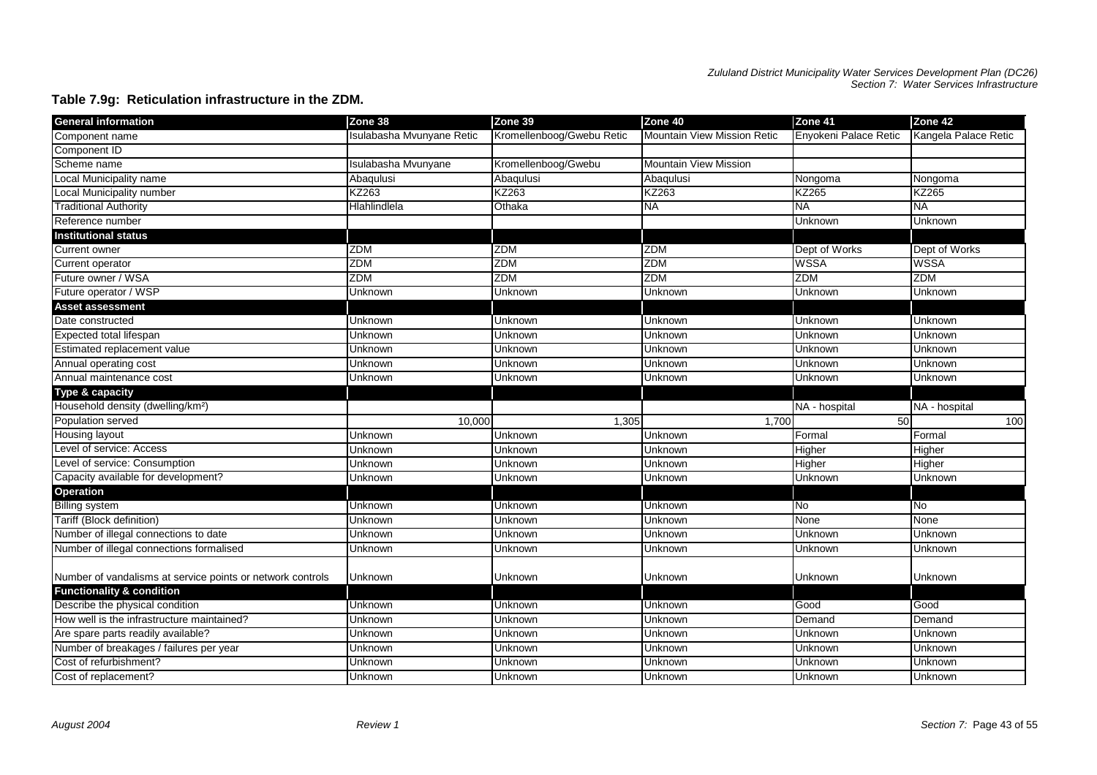## **Table 7.9g: Reticulation infrastructure in the ZDM.**

| <b>General information</b>                                 | Zone 38                   | Zone 39                   | Zone 40                      | Zone 41               | Zone 42              |
|------------------------------------------------------------|---------------------------|---------------------------|------------------------------|-----------------------|----------------------|
| Component name                                             | Isulabasha Mvunyane Retic | Kromellenboog/Gwebu Retic | Mountain View Mission Retic  | Enyokeni Palace Retic | Kangela Palace Retic |
| <b>Component ID</b>                                        |                           |                           |                              |                       |                      |
| Scheme name                                                | Isulabasha Mvunyane       | Kromellenboog/Gwebu       | <b>Mountain View Mission</b> |                       |                      |
| Local Municipality name                                    | Abaqulusi                 | Abaqulusi                 | Abaqulusi                    | Nongoma               | Nongoma              |
| Local Municipality number                                  | <b>KZ263</b>              | KZ263                     | <b>KZ263</b>                 | <b>KZ265</b>          | KZ265                |
| <b>Traditional Authority</b>                               | Hlahlindlela              | Othaka                    | <b>NA</b>                    | <b>NA</b>             | <b>NA</b>            |
| Reference number                                           |                           |                           |                              | <b>Unknown</b>        | Unknown              |
| <b>Institutional status</b>                                |                           |                           |                              |                       |                      |
| Current owner                                              | ZDM                       | <b>ZDM</b>                | <b>ZDM</b>                   | Dept of Works         | Dept of Works        |
| Current operator                                           | <b>ZDM</b>                | <b>ZDM</b>                | <b>ZDM</b>                   | <b>WSSA</b>           | <b>WSSA</b>          |
| Future owner / WSA                                         | <b>ZDM</b>                | <b>ZDM</b>                | <b>ZDM</b>                   | <b>ZDM</b>            | <b>ZDM</b>           |
| Future operator / WSP                                      | Unknown                   | Unknown                   | Unknown                      | Unknown               | Unknown              |
| <b>Asset assessment</b>                                    |                           |                           |                              |                       |                      |
| Date constructed                                           | Unknown                   | Unknown                   | Unknown                      | Unknown               | Unknown              |
| Expected total lifespan                                    | Unknown                   | Unknown                   | Unknown                      | Unknown               | Unknown              |
| Estimated replacement value                                | <b>Unknown</b>            | Unknown                   | Unknown                      | Unknown               | Unknown              |
| Annual operating cost                                      | Unknown                   | Unknown                   | Unknown                      | Unknown               | Unknown              |
| Annual maintenance cost                                    | Unknown                   | Unknown                   | <b>Unknown</b>               | Unknown               | Unknown              |
| Type & capacity                                            |                           |                           |                              |                       |                      |
| Household density (dwelling/km <sup>2</sup> )              |                           |                           |                              | NA - hospital         | NA - hospital        |
| Population served                                          | 10,000                    | 1,305                     | 1,700                        | 50                    | 100                  |
| Housing layout                                             | Unknown                   | <b>Unknown</b>            | Unknown                      | Formal                | Formal               |
| Level of service: Access                                   | Unknown                   | Unknown                   | Unknown                      | Higher                | Higher               |
| Level of service: Consumption                              | Unknown                   | Unknown                   | Unknown                      | Higher                | Higher               |
| Capacity available for development?                        | Unknown                   | Unknown                   | Unknown                      | Unknown               | Unknown              |
| <b>Operation</b>                                           |                           |                           |                              |                       |                      |
| <b>Billing system</b>                                      | Unknown                   | Unknown                   | Unknown                      | <b>No</b>             | No                   |
| Tariff (Block definition)                                  | Unknown                   | Unknown                   | Unknown                      | None                  | None                 |
| Number of illegal connections to date                      | Unknown                   | Unknown                   | Unknown                      | Unknown               | Unknown              |
| Number of illegal connections formalised                   | Unknown                   | Unknown                   | Unknown                      | Unknown               | Unknown              |
|                                                            |                           |                           |                              |                       |                      |
| Number of vandalisms at service points or network controls | Unknown                   | Unknown                   | Unknown                      | Unknown               | Unknown              |
| <b>Functionality &amp; condition</b>                       |                           |                           |                              |                       |                      |
| Describe the physical condition                            | Unknown                   | Unknown                   | Unknown                      | Good                  | Good                 |
| How well is the infrastructure maintained?                 | Unknown                   | Unknown                   | Unknown                      | Demand                | Demand               |
| Are spare parts readily available?                         | Unknown                   | Unknown                   | Unknown                      | Unknown               | Unknown              |
| Number of breakages / failures per year                    | Unknown                   | <b>Unknown</b>            | Unknown                      | Unknown               | Unknown              |
| Cost of refurbishment?                                     | <b>Unknown</b>            | Unknown                   | Unknown                      | Unknown               | Unknown              |
| Cost of replacement?                                       | Unknown                   | Unknown                   | Unknown                      | Unknown               | <b>Unknown</b>       |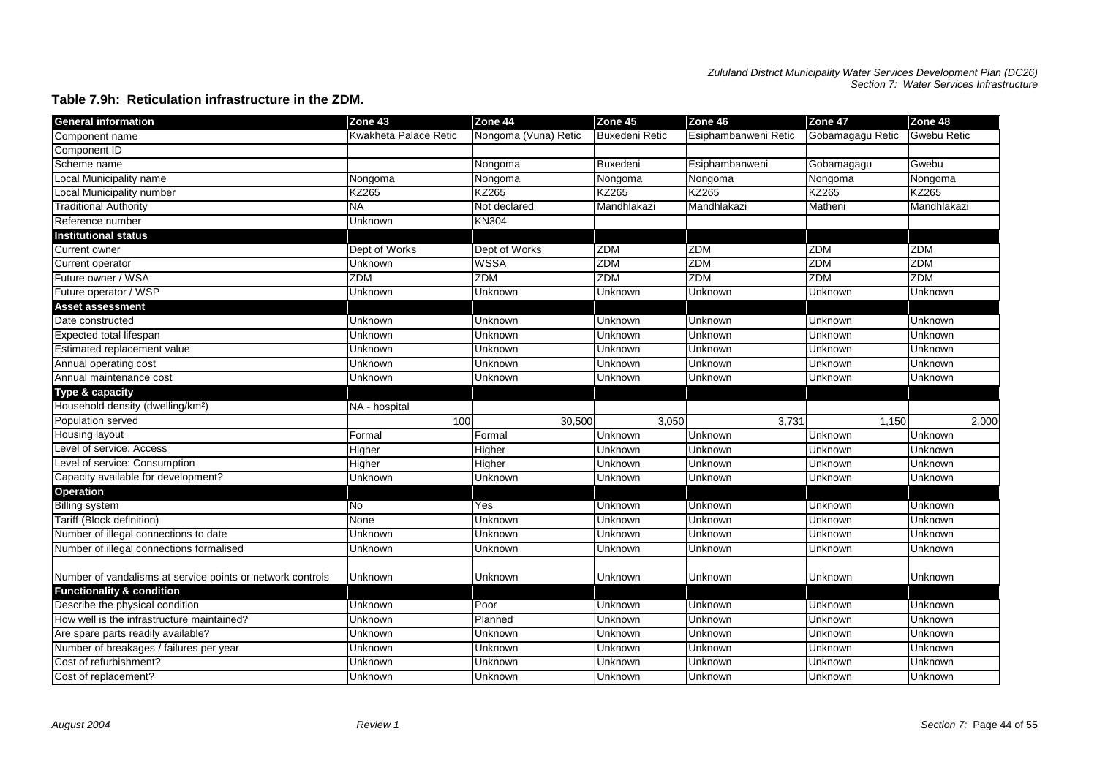#### **Table 7.9h: Reticulation infrastructure in the ZDM.**

| <b>General information</b>                                 | Zone 43               | Zone 44              | Zone 45               | Zone 46              | Zone 47          | Zone 48            |
|------------------------------------------------------------|-----------------------|----------------------|-----------------------|----------------------|------------------|--------------------|
| Component name                                             | Kwakheta Palace Retic | Nongoma (Vuna) Retic | <b>Buxedeni Retic</b> | Esiphambanweni Retic | Gobamagagu Retic | <b>Gwebu Retic</b> |
| Component ID                                               |                       |                      |                       |                      |                  |                    |
| Scheme name                                                |                       | Nongoma              | <b>Buxedeni</b>       | Esiphambanweni       | Gobamagagu       | Gwebu              |
| Local Municipality name                                    | Nongoma               | Nongoma              | Nongoma               | Nongoma              | Nongoma          | Nongoma            |
| Local Municipality number                                  | KZ265                 | KZ265                | KZ265                 | KZ265                | <b>KZ265</b>     | <b>KZ265</b>       |
| <b>Traditional Authority</b>                               | NĀ                    | Not declared         | Mandhlakazi           | Mandhlakazi          | Matheni          | Mandhlakazi        |
| Reference number                                           | Unknown               | <b>KN304</b>         |                       |                      |                  |                    |
| <b>Institutional status</b>                                |                       |                      |                       |                      |                  |                    |
| Current owner                                              | Dept of Works         | Dept of Works        | <b>ZDM</b>            | <b>ZDM</b>           | <b>ZDM</b>       | <b>ZDM</b>         |
| Current operator                                           | Unknown               | <b>WSSA</b>          | <b>ZDM</b>            | ZDM                  | <b>ZDM</b>       | <b>ZDM</b>         |
| Future owner / WSA                                         | <b>ZDM</b>            | ZDM                  | <b>ZDM</b>            | ZDM                  | <b>ZDM</b>       | <b>ZDM</b>         |
| Future operator / WSP                                      | Unknown               | Unknown              | Unknown               | <b>Unknown</b>       | Unknown          | Unknown            |
| <b>Asset assessment</b>                                    |                       |                      |                       |                      |                  |                    |
| Date constructed                                           | Unknown               | Unknown              | Unknown               | Unknown              | Unknown          | Unknown            |
| Expected total lifespan                                    | Unknown               | Unknown              | Unknown               | Unknown              | Unknown          | Unknown            |
| Estimated replacement value                                | Unknown               | Unknown              | Unknown               | Unknown              | Unknown          | Unknown            |
| Annual operating cost                                      | Unknown               | Unknown              | Unknown               | Unknown              | Unknown          | Unknown            |
| Annual maintenance cost                                    | Unknown               | Unknown              | Unknown               | Unknown              | Unknown          | Unknown            |
| Type & capacity                                            |                       |                      |                       |                      |                  |                    |
| Household density (dwelling/km <sup>2</sup> )              | NA - hospital         |                      |                       |                      |                  |                    |
| Population served                                          | 100                   | 30,500               | 3,050                 | 3,731                | 1,150            | 2,000              |
| Housing layout                                             | Formal                | Formal               | Unknown               | Unknown              | Unknown          | Unknown            |
| Level of service: Access                                   | Higher                | Higher               | Unknown               | Unknown              | Unknown          | Unknown            |
| Level of service: Consumption                              | Higher                | Higher               | Unknown               | Unknown              | Unknown          | Unknown            |
| Capacity available for development?                        | Unknown               | Unknown              | Unknown               | Unknown              | Unknown          | Unknown            |
| <b>Operation</b>                                           |                       |                      |                       |                      |                  |                    |
| <b>Billing system</b>                                      | <b>No</b>             | Yes                  | Unknown               | Unknown              | Unknown          | Unknown            |
| Tariff (Block definition)                                  | None                  | Unknown              | Unknown               | Unknown              | Unknown          | Unknown            |
| Number of illegal connections to date                      | Unknown               | Unknown              | Unknown               | Unknown              | Unknown          | Unknown            |
| Number of illegal connections formalised                   | Unknown               | Unknown              | Unknown               | Unknown              | Unknown          | Unknown            |
|                                                            |                       |                      |                       |                      |                  |                    |
| Number of vandalisms at service points or network controls | Unknown               | Unknown              | Unknown               | Unknown              | Unknown          | Unknown            |
| <b>Functionality &amp; condition</b>                       |                       |                      |                       |                      |                  |                    |
| Describe the physical condition                            | Unknown               | Poor                 | Unknown               | Unknown              | Unknown          | Unknown            |
| How well is the infrastructure maintained?                 | Unknown               | Planned              | Unknown               | Unknown              | Unknown          | Unknown            |
| Are spare parts readily available?                         | Unknown               | Unknown              | Unknown               | Unknown              | Unknown          | Unknown            |
| Number of breakages / failures per year                    | Unknown               | Unknown              | Unknown               | Unknown              | Unknown          | Unknown            |
| Cost of refurbishment?                                     | Unknown               | Unknown              | Unknown               | Unknown              | Unknown          | Unknown            |
| Cost of replacement?                                       | Unknown               | Unknown              | Unknown               | Unknown              | Unknown          | Unknown            |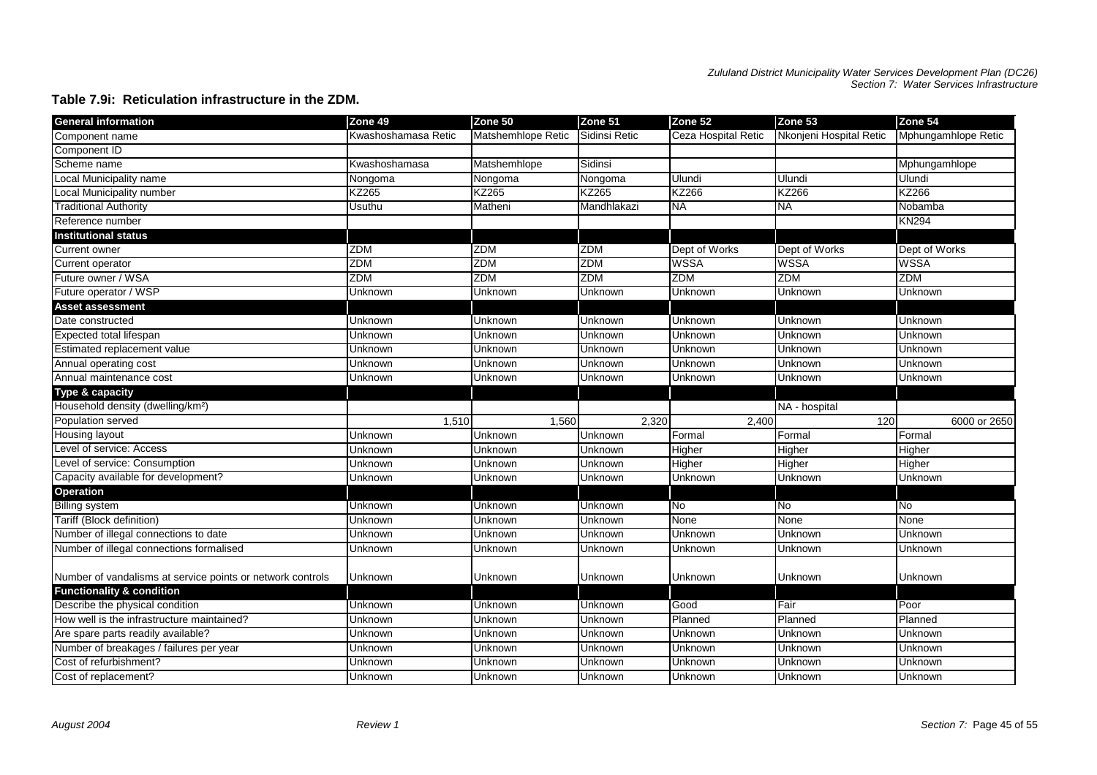#### **Table 7.9i: Reticulation infrastructure in the ZDM.**

| <b>General information</b>                                 | Zone 49             | Zone 50            | Zone 51       | Zone 52             | Zone 53                 | Zone 54             |
|------------------------------------------------------------|---------------------|--------------------|---------------|---------------------|-------------------------|---------------------|
| Component name                                             | Kwashoshamasa Retic | Matshemhlope Retic | Sidinsi Retic | Ceza Hospital Retic | Nkonjeni Hospital Retic | Mphungamhlope Retic |
| Component ID                                               |                     |                    |               |                     |                         |                     |
| Scheme name                                                | Kwashoshamasa       | Matshemhlope       | Sidinsi       |                     |                         | Mphungamhlope       |
| Local Municipality name                                    | Nongoma             | Nongoma            | Nongoma       | Ulundi              | Ulundi                  | Ulundi              |
| Local Municipality number                                  | <b>KZ265</b>        | KZ265              | <b>KZ265</b>  | <b>KZ266</b>        | <b>KZ266</b>            | KZ266               |
| <b>Traditional Authority</b>                               | Usuthu              | Matheni            | Mandhlakazi   | <b>NA</b>           | <b>NA</b>               | Nobamba             |
| Reference number                                           |                     |                    |               |                     |                         | <b>KN294</b>        |
| <b>Institutional status</b>                                |                     |                    |               |                     |                         |                     |
| Current owner                                              | <b>ZDM</b>          | <b>ZDM</b>         | <b>ZDM</b>    | Dept of Works       | Dept of Works           | Dept of Works       |
| <b>Current operator</b>                                    | <b>ZDM</b>          | <b>ZDM</b>         | <b>ZDM</b>    | <b>WSSA</b>         | <b>WSSA</b>             | <b>WSSA</b>         |
| Future owner / WSA                                         | <b>ZDM</b>          | <b>ZDM</b>         | <b>ZDM</b>    | ZDM                 | <b>ZDM</b>              | <b>ZDM</b>          |
| Future operator / WSP                                      | Unknown             | Unknown            | Unknown       | Unknown             | Unknown                 | Unknown             |
| <b>Asset assessment</b>                                    |                     |                    |               |                     |                         |                     |
| Date constructed                                           | Unknown             | Unknown            | Unknown       | Unknown             | Unknown                 | Unknown             |
| Expected total lifespan                                    | Unknown             | Unknown            | Unknown       | Unknown             | Unknown                 | Unknown             |
| Estimated replacement value                                | Unknown             | Unknown            | Unknown       | Unknown             | Unknown                 | Unknown             |
| Annual operating cost                                      | Unknown             | Unknown            | Unknown       | Unknown             | Unknown                 | Unknown             |
| Annual maintenance cost                                    | Unknown             | Unknown            | Unknown       | Unknown             | Unknown                 | Unknown             |
| Type & capacity                                            |                     |                    |               |                     |                         |                     |
| Household density (dwelling/km <sup>2</sup> )              |                     |                    |               |                     | NA - hospital           |                     |
| Population served                                          | 1,510               | 1.560              | 2,320         | 2,400               | 120                     | 6000 or 2650        |
| Housing layout                                             | Unknown             | Unknown            | Unknown       | Formal              | Formal                  | Formal              |
| Level of service: Access                                   | Unknown             | <b>Unknown</b>     | Unknown       | Higher              | Higher                  | Higher              |
| Level of service: Consumption                              | Unknown             | Unknown            | Unknown       | Higher              | Higher                  | Higher              |
| Capacity available for development?                        | Unknown             | Unknown            | Unknown       | Unknown             | Unknown                 | Unknown             |
| <b>Operation</b>                                           |                     |                    |               |                     |                         |                     |
| <b>Billing system</b>                                      | Unknown             | Unknown            | Unknown       | No                  | No                      | Ю                   |
| Tariff (Block definition)                                  | Unknown             | Jnknown            | Unknown       | None                | None                    | None                |
| Number of illegal connections to date                      | Unknown             | Unknown            | Unknown       | Unknown             | Unknown                 | Unknown             |
| Number of illegal connections formalised                   | Unknown             | Unknown            | Unknown       | Unknown             | Unknown                 | Unknown             |
|                                                            |                     |                    |               |                     |                         |                     |
| Number of vandalisms at service points or network controls | Unknown             | Unknown            | Unknown       | Unknown             | Unknown                 | Unknown             |
| <b>Functionality &amp; condition</b>                       |                     |                    |               |                     |                         |                     |
| Describe the physical condition                            | Unknown             | Unknown            | Unknown       | Good                | Fair                    | Poor                |
| How well is the infrastructure maintained?                 | Jnknown             | Jnknown            | Unknown       | Planned             | Planned                 | Planned             |
| Are spare parts readily available?                         | Unknown             | Unknown            | Unknown       | Unknown             | Unknown                 | Unknown             |
| Number of breakages / failures per year                    | Unknown             | Unknown            | Unknown       | Unknown             | Unknown                 | Unknown             |
| Cost of refurbishment?                                     | Unknown             | <b>Unknown</b>     | Unknown       | Unknown             | Unknown                 | Unknown             |
| Cost of replacement?                                       | Unknown             | Unknown            | Unknown       | Unknown             | Unknown                 | Unknown             |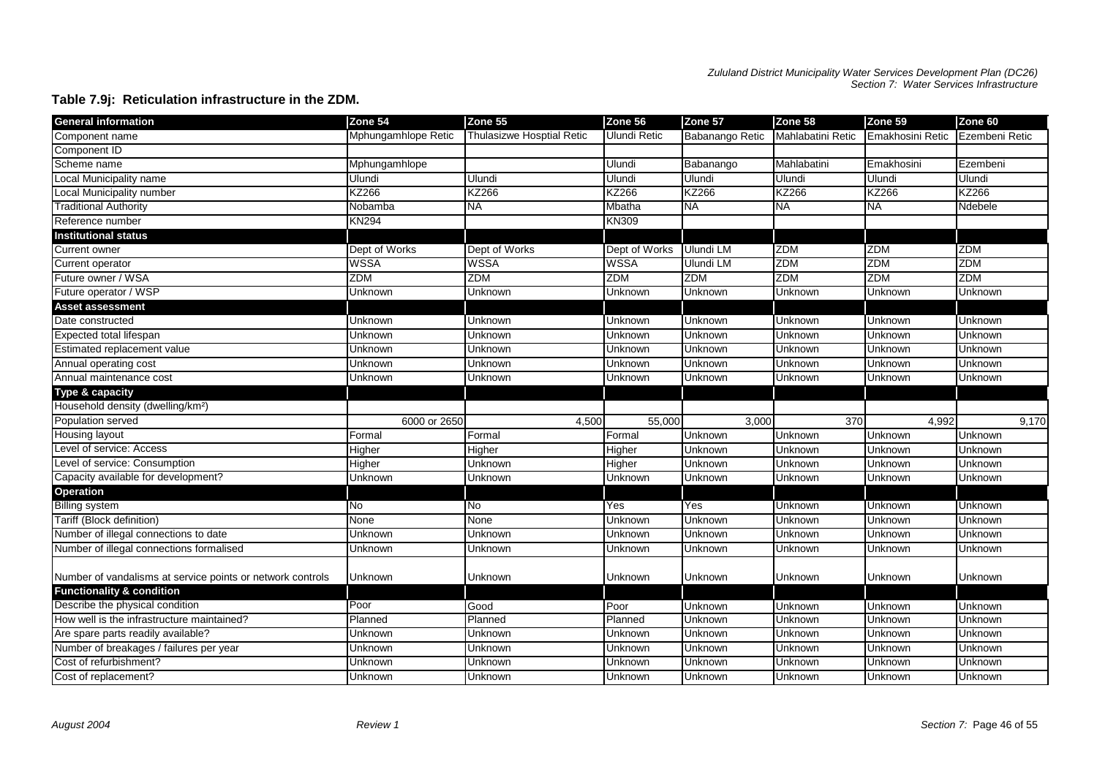#### **Table 7.9j: Reticulation infrastructure in the ZDM.**

| <b>General information</b>                                 | Zone 54             | Zone 55                          | Zone 56             | Zone 57         | Zone 58           | Zone 59          | Zone 60        |
|------------------------------------------------------------|---------------------|----------------------------------|---------------------|-----------------|-------------------|------------------|----------------|
| Component name                                             | Mphungamhlope Retic | <b>Thulasizwe Hosptial Retic</b> | <b>Ulundi Retic</b> | Babanango Retic | Mahlabatini Retic | Emakhosini Retic | Ezembeni Retic |
| Component ID                                               |                     |                                  |                     |                 |                   |                  |                |
| Scheme name                                                | Mphungamhlope       |                                  | Ulundi              | Babanango       | Mahlabatini       | Emakhosini       | Ezembeni       |
| Local Municipality name                                    | Ulundi              | Ulundi                           | Ulundi              | Ulundi          | Ulundi            | Ulundi           | Ulundi         |
| Local Municipality number                                  | <b>KZ266</b>        | KZ266                            | <b>KZ266</b>        | <b>KZ266</b>    | <b>KZ266</b>      | KZ266            | KZ266          |
| <b>Traditional Authority</b>                               | Nobamba             | <b>NA</b>                        | Mbatha              | <b>NA</b>       | <b>NA</b>         | NΑ               | Ndebele        |
| Reference number                                           | <b>KN294</b>        |                                  | <b>KN309</b>        |                 |                   |                  |                |
| <b>Institutional status</b>                                |                     |                                  |                     |                 |                   |                  |                |
| Current owner                                              | Dept of Works       | Dept of Works                    | Dept of Works       | Ulundi LM       | <b>ZDM</b>        | <b>ZDM</b>       | <b>ZDM</b>     |
| Current operator                                           | <b>WSSA</b>         | <b>WSSA</b>                      | <b>WSSA</b>         | Ulundi LM       | <b>ZDM</b>        | ZDM              | <b>ZDM</b>     |
| Future owner / WSA                                         | <b>ZDM</b>          | <b>ZDM</b>                       | <b>ZDM</b>          | <b>ZDM</b>      | <b>ZDM</b>        | <b>ZDM</b>       | <b>ZDM</b>     |
| Future operator / WSP                                      | Unknown             | Unknown                          | Unknown             | Unknown         | Unknown           | Unknown          | Unknown        |
| <b>Asset assessment</b>                                    |                     |                                  |                     |                 |                   |                  |                |
| Date constructed                                           | Unknown             | Unknown                          | Unknown             | Unknown         | Unknown           | Unknown          | Unknown        |
| Expected total lifespan                                    | Unknown             | Unknown                          | Unknown             | Unknown         | Unknown           | Unknown          | Unknown        |
| Estimated replacement value                                | Unknown             | Unknown                          | Unknown             | Unknown         | Unknown           | Unknown          | Unknown        |
| Annual operating cost                                      | Unknown             | Unknown                          | Unknown             | Unknown         | Unknown           | Unknown          | Unknown        |
| Annual maintenance cost                                    | Unknown             | Unknown                          | Unknown             | Unknown         | Unknown           | Unknown          | Unknown        |
| Type & capacity                                            |                     |                                  |                     |                 |                   |                  |                |
| Household density (dwelling/km <sup>2</sup> )              |                     |                                  |                     |                 |                   |                  |                |
| Population served                                          | 6000 or 2650        | 4,500                            | 55,000              | 3,000           | 370               | 4,992            | 9,170          |
| Housing layout                                             | Formal              | Formal                           | Formal              | <b>Unknown</b>  | Unknown           | Unknown          | Unknown        |
| Level of service: Access                                   | Higher              | Higher                           | Higher              | Unknown         | Unknown           | Unknown          | Unknown        |
| Level of service: Consumption                              | Higher              | Unknown                          | Higher              | Unknown         | Unknown           | Unknown          | Unknown        |
| Capacity available for development?                        | Unknown             | Unknown                          | Unknown             | Unknown         | Unknown           | Unknown          | Unknown        |
| <b>Operation</b>                                           |                     |                                  |                     |                 |                   |                  |                |
| <b>Billing system</b>                                      | Ю                   | No                               | Yes                 | Yes             | Unknown           | Unknown          | Unknown        |
| Tariff (Block definition)                                  | None                | None                             | Unknown             | Unknown         | Unknown           | Unknown          | Unknown        |
| Number of illegal connections to date                      | Unknown             | Unknown                          | Unknown             | Unknown         | Unknown           | Unknown          | Unknown        |
| Number of illegal connections formalised                   | Unknown             | Unknown                          | Unknown             | Unknown         | Unknown           | Unknown          | Unknown        |
|                                                            |                     |                                  |                     |                 |                   |                  |                |
| Number of vandalisms at service points or network controls | Unknown             | Unknown                          | Unknown             | Unknown         | Unknown           | Unknown          | Unknown        |
| <b>Functionality &amp; condition</b>                       |                     |                                  |                     |                 |                   |                  |                |
| Describe the physical condition                            | Poor                | Good                             | Poor                | Unknown         | Unknown           | Unknown          | Unknown        |
| How well is the infrastructure maintained?                 | Planned             | Planned                          | Planned             | Unknown         | Unknown           | Unknown          | Unknown        |
| Are spare parts readily available?                         | Unknown             | Unknown                          | Unknown             | Unknown         | Unknown           | Unknown          | Unknown        |
| Number of breakages / failures per year                    | Unknown             | Unknown                          | Unknown             | Unknown         | Unknown           | Unknown          | Unknown        |
| Cost of refurbishment?                                     | Unknown             | Unknown                          | Unknown             | Unknown         | Unknown           | Unknown          | Unknown        |
| Cost of replacement?                                       | Unknown             | Unknown                          | Unknown             | <b>Unknown</b>  | Unknown           | Unknown          | Unknown        |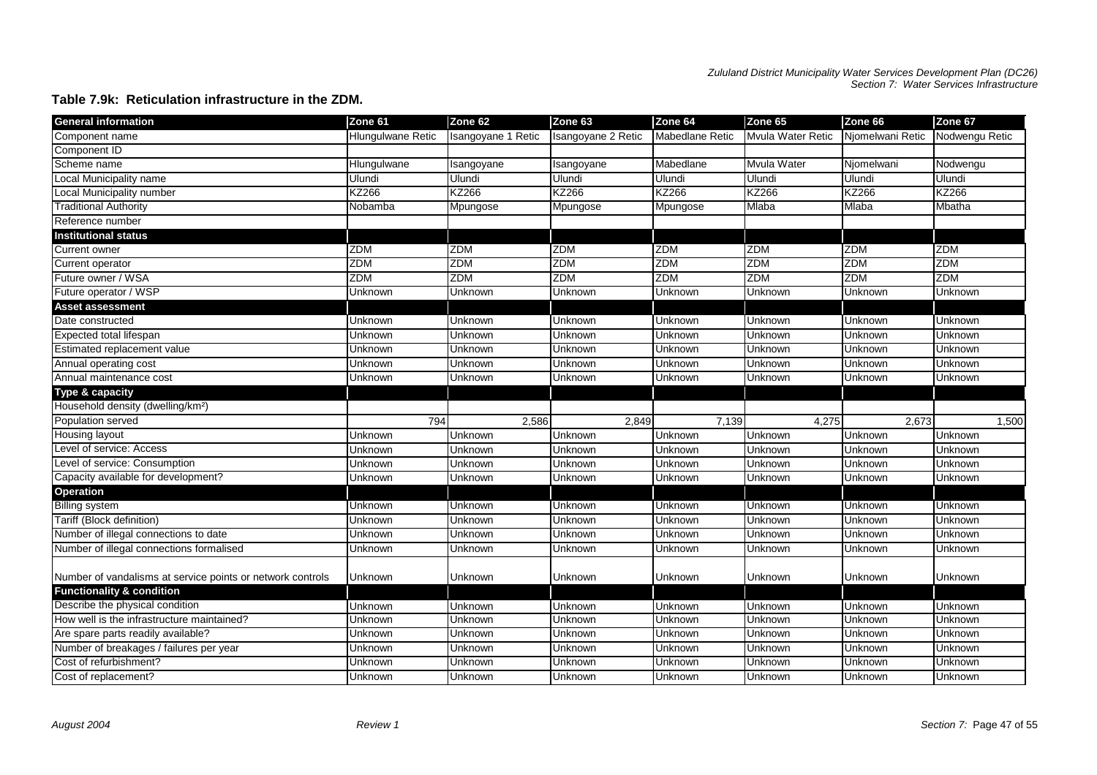#### **Table 7.9k: Reticulation infrastructure in the ZDM.**

| <b>General information</b>                                 | Zone 61                  | Zone 62            | Zone 63            | Zone 64         | Zone 65           | Zone 66          | Zone 67        |
|------------------------------------------------------------|--------------------------|--------------------|--------------------|-----------------|-------------------|------------------|----------------|
| Component name                                             | <b>Hlungulwane Retic</b> | Isangoyane 1 Retic | Isangoyane 2 Retic | Mabedlane Retic | Mvula Water Retic | Njomelwani Retic | Nodwengu Retic |
| Component ID                                               |                          |                    |                    |                 |                   |                  |                |
| Scheme name                                                | Hlungulwane              | Isangoyane         | Isangoyane         | Mabedlane       | Mvula Water       | Njomelwani       | Nodwengu       |
| <b>Local Municipality name</b>                             | Ulundi                   | Ulundi             | Ulundi             | Ulundi          | Ulundi            | Ulundi           | Ulundi         |
| Local Municipality number                                  | KZ266                    | KZ266              | KZ266              | <b>KZ266</b>    | KZ266             | <b>KZ266</b>     | <b>KZ266</b>   |
| <b>Traditional Authority</b>                               | Nobamba                  | Mpungose           | Mpungose           | Mpungose        | Mlaba             | Mlaba            | Mbatha         |
| Reference number                                           |                          |                    |                    |                 |                   |                  |                |
| <b>Institutional status</b>                                |                          |                    |                    |                 |                   |                  |                |
| Current owner                                              | <b>ZDM</b>               | ZDM                | <b>ZDM</b>         | <b>ZDM</b>      | <b>ZDM</b>        | <b>ZDM</b>       | <b>ZDM</b>     |
| Current operator                                           | <b>ZDM</b>               | <b>ZDM</b>         | <b>ZDM</b>         | <b>ZDM</b>      | <b>ZDM</b>        | <b>ZDM</b>       | <b>ZDM</b>     |
| Future owner / WSA                                         | <b>ZDM</b>               | <b>ZDM</b>         | <b>ZDM</b>         | ZDM             | <b>ZDM</b>        | <b>ZDM</b>       | <b>ZDM</b>     |
| Future operator / WSP                                      | Unknown                  | Unknown            | Unknown            | Unknown         | Unknown           | Unknown          | Unknown        |
| <b>Asset assessment</b>                                    |                          |                    |                    |                 |                   |                  |                |
| Date constructed                                           | Unknown                  | Unknown            | Unknown            | Unknown         | Unknown           | Unknown          | Unknown        |
| Expected total lifespan                                    | Unknown                  | Unknown            | Unknown            | Unknown         | Unknown           | Unknown          | Unknown        |
| Estimated replacement value                                | Unknown                  | Unknown            | Unknown            | Unknown         | Unknown           | Unknown          | Unknown        |
| Annual operating cost                                      | Unknown                  | Unknown            | Unknown            | Unknown         | Unknown           | Unknown          | <b>Unknown</b> |
| Annual maintenance cost                                    | Unknown                  | Unknown            | Unknown            | Unknown         | Unknown           | Unknown          | Unknown        |
| Type & capacity                                            |                          |                    |                    |                 |                   |                  |                |
| Household density (dwelling/km <sup>2</sup> )              |                          |                    |                    |                 |                   |                  |                |
| Population served                                          | 794                      | 2,586              | 2,849              | 7,139           | 4,275             | 2,673            | 1,500          |
| Housing layout                                             | Unknown                  | Unknown            | Unknown            | Unknown         | Unknown           | Unknown          | <b>Unknown</b> |
| Level of service: Access                                   | Unknown                  | Unknown            | Unknown            | Unknown         | Unknown           | Unknown          | Unknown        |
| Level of service: Consumption                              | Unknown                  | Unknown            | Unknown            | Unknown         | Unknown           | Unknown          | Unknown        |
| Capacity available for development?                        | Unknown                  | Unknown            | Unknown            | Unknown         | Unknown           | Unknown          | Unknown        |
| <b>Operation</b>                                           |                          |                    |                    |                 |                   |                  |                |
| <b>Billing system</b>                                      | Unknown                  | Unknown            | Unknown            | Unknown         | Unknown           | Unknown          | <b>Unknown</b> |
| Tariff (Block definition)                                  | Unknown                  | Unknown            | Unknown            | Unknown         | Unknown           | Unknown          | Unknown        |
| Number of illegal connections to date                      | Jnknown                  | Unknown            | Unknown            | Unknown         | Unknown           | Unknown          | Unknown        |
| Number of illegal connections formalised                   | Unknown                  | Unknown            | Unknown            | Unknown         | Unknown           | Unknown          | Unknown        |
|                                                            |                          |                    |                    |                 |                   |                  |                |
| Number of vandalisms at service points or network controls | Unknown                  | Unknown            | Unknown            | Unknown         | Unknown           | Unknown          | Unknown        |
| <b>Functionality &amp; condition</b>                       |                          |                    |                    |                 |                   |                  |                |
| Describe the physical condition                            | Unknown                  | Unknown            | Unknown            | Unknown         | Unknown           | Unknown          | <b>Unknown</b> |
| How well is the infrastructure maintained?                 | Jnknown                  | Jnknown            | Unknown            | Unknown         | Unknown           | Unknown          | Unknown        |
| Are spare parts readily available?                         | Jnknown                  | Unknown            | Unknown            | Unknown         | Unknown           | Unknown          | Unknown        |
| Number of breakages / failures per year                    | Unknown                  | Unknown            | Unknown            | Unknown         | Unknown           | Unknown          | Unknown        |
| Cost of refurbishment?                                     | Unknown                  | Jnknown            | Unknown            | Unknown         | Unknown           | Unknown          | Unknown        |
| Cost of replacement?                                       | Unknown                  | Unknown            | Unknown            | Unknown         | Unknown           | Unknown          | Unknown        |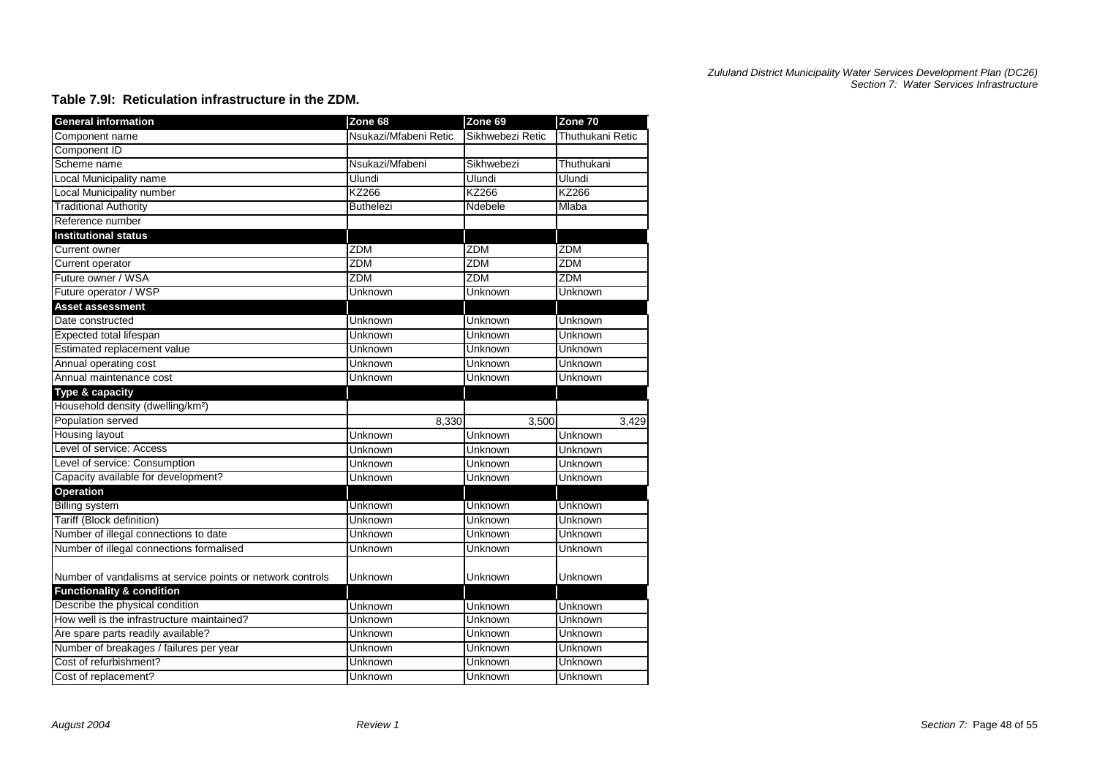### **Table 7.9l: Reticulation infrastructure in the ZDM.**

| <b>General information</b>                                 | Zone 68               | Zone 69          | Zone 70          |
|------------------------------------------------------------|-----------------------|------------------|------------------|
| Component name                                             | Nsukazi/Mfabeni Retic | Sikhwebezi Retic | Thuthukani Retic |
| Component ID                                               |                       |                  |                  |
| Scheme name                                                | Nsukazi/Mfabeni       | Sikhwebezi       | Thuthukani       |
| Local Municipality name                                    | Ulundi                | Ulundi           | Ulundi           |
| Local Municipality number                                  | <b>KZ266</b>          | <b>KZ266</b>     | <b>KZ266</b>     |
| <b>Traditional Authority</b>                               | <b>Buthelezi</b>      | Ndebele          | Mlaba            |
| Reference number                                           |                       |                  |                  |
| <b>Institutional status</b>                                |                       |                  |                  |
| Current owner                                              | <b>ZDM</b>            | <b>ZDM</b>       | <b>ZDM</b>       |
| Current operator                                           | <b>ZDM</b>            | <b>ZDM</b>       | <b>ZDM</b>       |
| Future owner / WSA                                         | <b>ZDM</b>            | ZDM              | <b>ZDM</b>       |
| Future operator / WSP                                      | Unknown               | Unknown          | Unknown          |
| Asset assessment                                           |                       |                  |                  |
| Date constructed                                           | Unknown               | Unknown          | Unknown          |
| Expected total lifespan                                    | Unknown               | Unknown          | Unknown          |
| Estimated replacement value                                | Unknown               | Unknown          | Unknown          |
| Annual operating cost                                      | Unknown               | Unknown          | Unknown          |
| Annual maintenance cost                                    | Unknown               | Unknown          | Unknown          |
| Type & capacity                                            |                       |                  |                  |
| Household density (dwelling/km <sup>2</sup> )              |                       |                  |                  |
| Population served                                          | 8.330                 | 3.500            | 3.429            |
| <b>Housing layout</b>                                      | Unknown               | Unknown          | Unknown          |
| Level of service: Access                                   | Unknown               | Unknown          | Unknown          |
| Level of service: Consumption                              | Unknown               | Unknown          | Unknown          |
| Capacity available for development?                        | Unknown               | Unknown          | Unknown          |
| <b>Operation</b>                                           |                       |                  |                  |
| <b>Billing system</b>                                      | <b>Unknown</b>        | Unknown          | Unknown          |
| Tariff (Block definition)                                  | Unknown               | Unknown          | Unknown          |
| Number of illegal connections to date                      | Unknown               | Unknown          | <b>Unknown</b>   |
| Number of illegal connections formalised                   | Unknown               | Unknown          | Unknown          |
|                                                            |                       |                  |                  |
| Number of vandalisms at service points or network controls | Unknown               | Unknown          | Unknown          |
| <b>Functionality &amp; condition</b>                       |                       |                  |                  |
| Describe the physical condition                            | Unknown               | Unknown          | Unknown          |
| How well is the infrastructure maintained?                 | Unknown               | Unknown          | Unknown          |
| Are spare parts readily available?                         | Unknown               | Unknown          | Unknown          |
| Number of breakages / failures per year                    | Unknown               | Unknown          | Unknown          |
| Cost of refurbishment?                                     | Unknown               | Unknown          | Unknown          |
| Cost of replacement?                                       | Unknown               | Unknown          | Unknown          |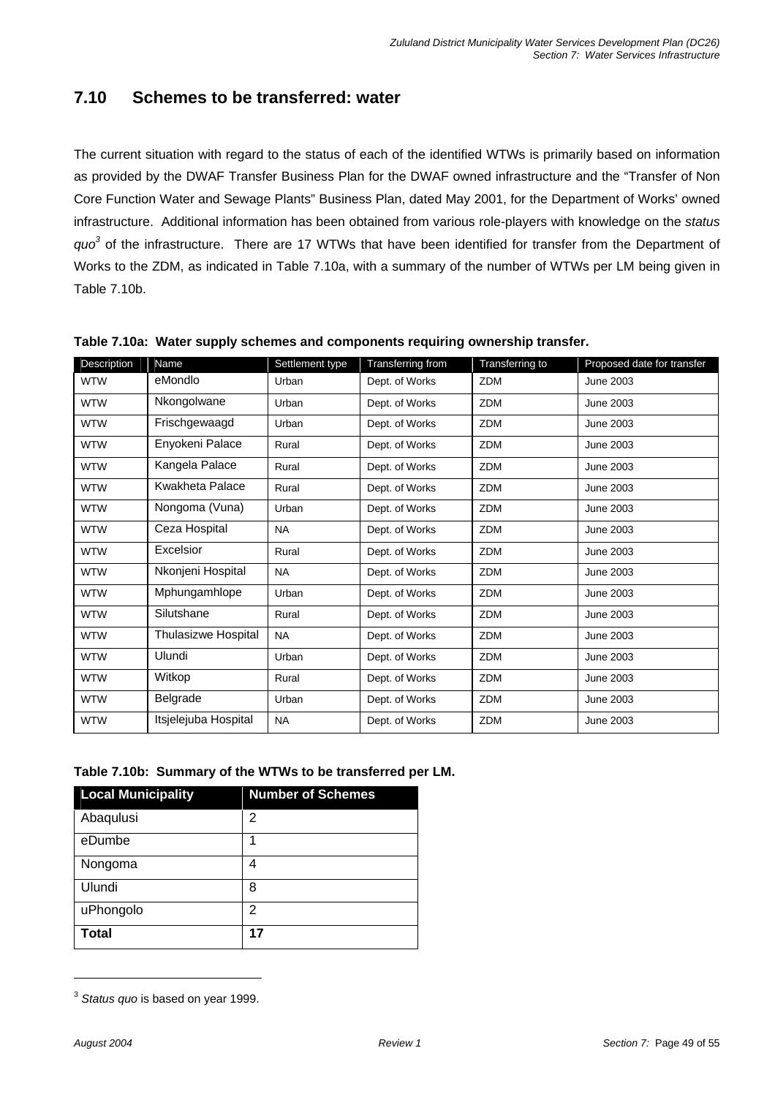## **7.10 Schemes to be transferred: water**

The current situation with regard to the status of each of the identified WTWs is primarily based on information as provided by the DWAF Transfer Business Plan for the DWAF owned infrastructure and the "Transfer of Non Core Function Water and Sewage Plants" Business Plan, dated May 2001, for the Department of Works' owned infrastructure. Additional information has been obtained from various role-players with knowledge on the *status quo3* of the infrastructure. There are 17 WTWs that have been identified for transfer from the Department of Works to the ZDM, as indicated in Table 7.10a, with a summary of the number of WTWs per LM being given in Table 7.10b.

| Description | Name                 | Settlement type | Transferring from | Transferring to | Proposed date for transfer |
|-------------|----------------------|-----------------|-------------------|-----------------|----------------------------|
| <b>WTW</b>  | eMondlo              | Urban           | Dept. of Works    | <b>ZDM</b>      | <b>June 2003</b>           |
| <b>WTW</b>  | Nkongolwane          | Urban           | Dept. of Works    | <b>ZDM</b>      | <b>June 2003</b>           |
| <b>WTW</b>  | Frischgewaagd        | Urban           | Dept. of Works    | <b>ZDM</b>      | <b>June 2003</b>           |
| <b>WTW</b>  | Enyokeni Palace      | Rural           | Dept. of Works    | <b>ZDM</b>      | <b>June 2003</b>           |
| <b>WTW</b>  | Kangela Palace       | Rural           | Dept. of Works    | <b>ZDM</b>      | June 2003                  |
| <b>WTW</b>  | Kwakheta Palace      | Rural           | Dept. of Works    | <b>ZDM</b>      | June 2003                  |
| <b>WTW</b>  | Nongoma (Vuna)       | Urban           | Dept. of Works    | <b>ZDM</b>      | June 2003                  |
| <b>WTW</b>  | Ceza Hospital        | <b>NA</b>       | Dept. of Works    | <b>ZDM</b>      | <b>June 2003</b>           |
| <b>WTW</b>  | Excelsior            | Rural           | Dept. of Works    | <b>ZDM</b>      | <b>June 2003</b>           |
| <b>WTW</b>  | Nkonjeni Hospital    | <b>NA</b>       | Dept. of Works    | <b>ZDM</b>      | <b>June 2003</b>           |
| <b>WTW</b>  | Mphungamhlope        | Urban           | Dept. of Works    | <b>ZDM</b>      | <b>June 2003</b>           |
| <b>WTW</b>  | Silutshane           | Rural           | Dept. of Works    | <b>ZDM</b>      | June 2003                  |
| <b>WTW</b>  | Thulasizwe Hospital  | <b>NA</b>       | Dept. of Works    | <b>ZDM</b>      | <b>June 2003</b>           |
| <b>WTW</b>  | Ulundi               | Urban           | Dept. of Works    | <b>ZDM</b>      | June 2003                  |
| <b>WTW</b>  | Witkop               | Rural           | Dept. of Works    | ZDM             | June 2003                  |
| <b>WTW</b>  | Belgrade             | Urban           | Dept. of Works    | <b>ZDM</b>      | June 2003                  |
| <b>WTW</b>  | Itsielejuba Hospital | <b>NA</b>       | Dept. of Works    | ZDM             | <b>June 2003</b>           |

**Table 7.10a: Water supply schemes and components requiring ownership transfer.** 

**Table 7.10b: Summary of the WTWs to be transferred per LM.** 

| <b>Local Municipality</b> | <b>Number of Schemes</b> |
|---------------------------|--------------------------|
| Abaqulusi                 | 2                        |
| eDumbe                    | 1                        |
| Nongoma                   | 4                        |
| Ulundi                    | 8                        |
| uPhongolo                 | 2                        |
| <b>Total</b>              | 17                       |

<sup>3</sup> *Status quo* is based on year 1999.

l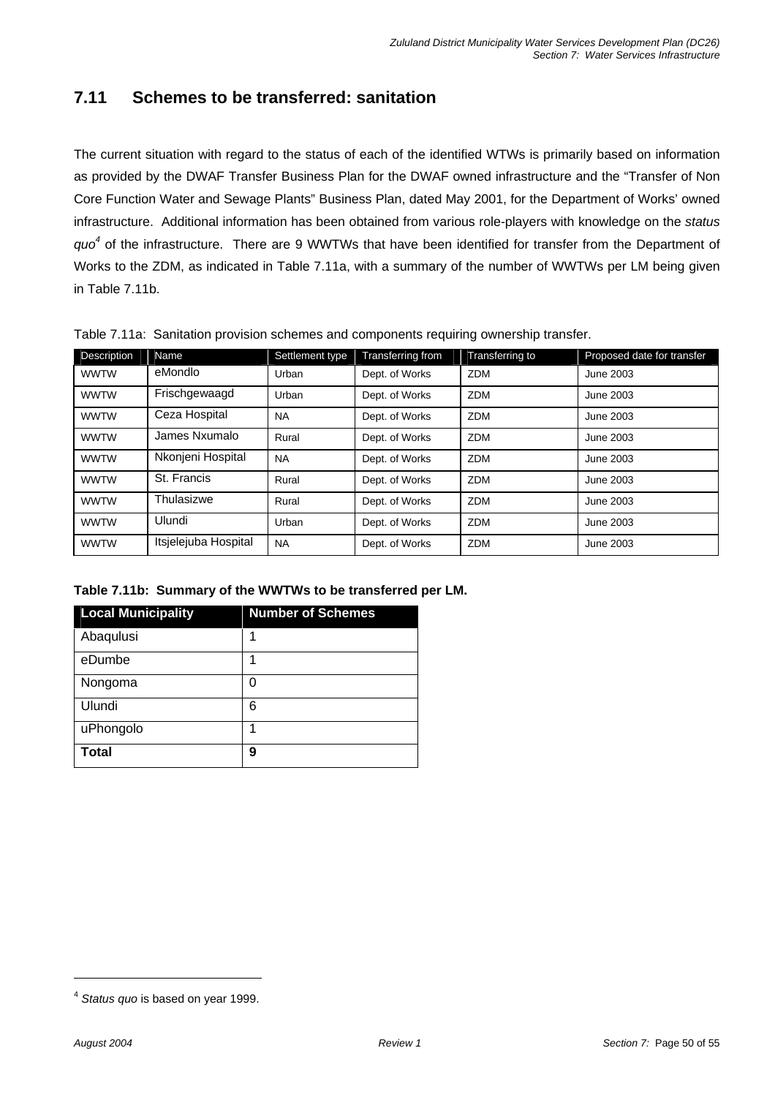# **7.11 Schemes to be transferred: sanitation**

The current situation with regard to the status of each of the identified WTWs is primarily based on information as provided by the DWAF Transfer Business Plan for the DWAF owned infrastructure and the "Transfer of Non Core Function Water and Sewage Plants" Business Plan, dated May 2001, for the Department of Works' owned infrastructure. Additional information has been obtained from various role-players with knowledge on the *status quo4* of the infrastructure. There are 9 WWTWs that have been identified for transfer from the Department of Works to the ZDM, as indicated in Table 7.11a, with a summary of the number of WWTWs per LM being given in Table 7.11b.

Table 7.11a: Sanitation provision schemes and components requiring ownership transfer.

| Description | Name                 | Settlement type | Transferring from | Transferring to | Proposed date for transfer |
|-------------|----------------------|-----------------|-------------------|-----------------|----------------------------|
| <b>WWTW</b> | eMondlo              | Urban           | Dept. of Works    | <b>ZDM</b>      | June 2003                  |
| <b>WWTW</b> | Frischgewaagd        | Urban           | Dept. of Works    | <b>ZDM</b>      | June 2003                  |
| <b>WWTW</b> | Ceza Hospital        | <b>NA</b>       | Dept. of Works    | <b>ZDM</b>      | June 2003                  |
| <b>WWTW</b> | James Nxumalo        | Rural           | Dept. of Works    | <b>ZDM</b>      | June 2003                  |
| <b>WWTW</b> | Nkonjeni Hospital    | <b>NA</b>       | Dept. of Works    | <b>ZDM</b>      | June 2003                  |
| <b>WWTW</b> | St. Francis          | Rural           | Dept. of Works    | <b>ZDM</b>      | June 2003                  |
| <b>WWTW</b> | Thulasizwe           | Rural           | Dept. of Works    | <b>ZDM</b>      | June 2003                  |
| <b>WWTW</b> | Ulundi               | Urban           | Dept. of Works    | <b>ZDM</b>      | June 2003                  |
| <b>WWTW</b> | Itsjelejuba Hospital | <b>NA</b>       | Dept. of Works    | <b>ZDM</b>      | June 2003                  |

**Table 7.11b: Summary of the WWTWs to be transferred per LM.** 

| <b>Local Municipality</b> | <b>Number of Schemes</b> |
|---------------------------|--------------------------|
| Abaqulusi                 | 1                        |
| eDumbe                    | 1                        |
| Nongoma                   | 0                        |
| Ulundi                    | 6                        |
| uPhongolo                 | 1                        |
| Total                     | 9                        |

l

<sup>4</sup> *Status quo* is based on year 1999.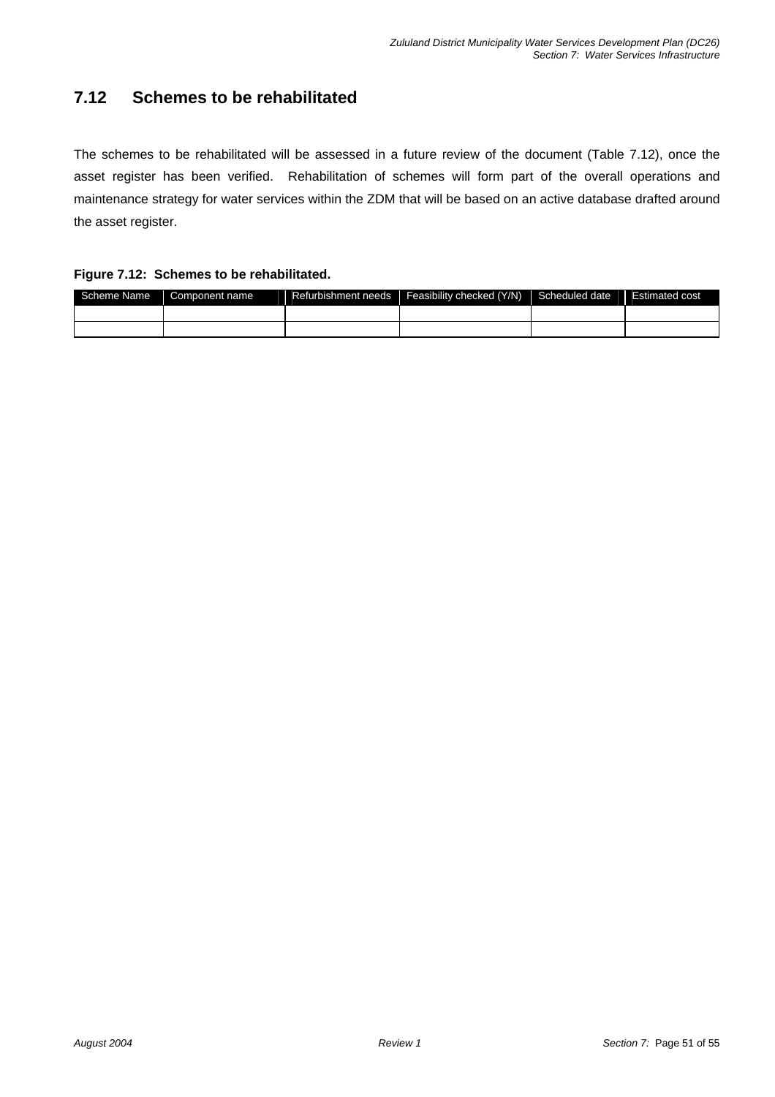# **7.12 Schemes to be rehabilitated**

The schemes to be rehabilitated will be assessed in a future review of the document (Table 7.12), once the asset register has been verified. Rehabilitation of schemes will form part of the overall operations and maintenance strategy for water services within the ZDM that will be based on an active database drafted around the asset register.

## **Figure 7.12: Schemes to be rehabilitated.**

| Scheme Name | Component name | Refurbishment needs   Feasibility checked (Y/N)   Scheduled date | <b>Estimated cost</b> |
|-------------|----------------|------------------------------------------------------------------|-----------------------|
|             |                |                                                                  |                       |
|             |                |                                                                  |                       |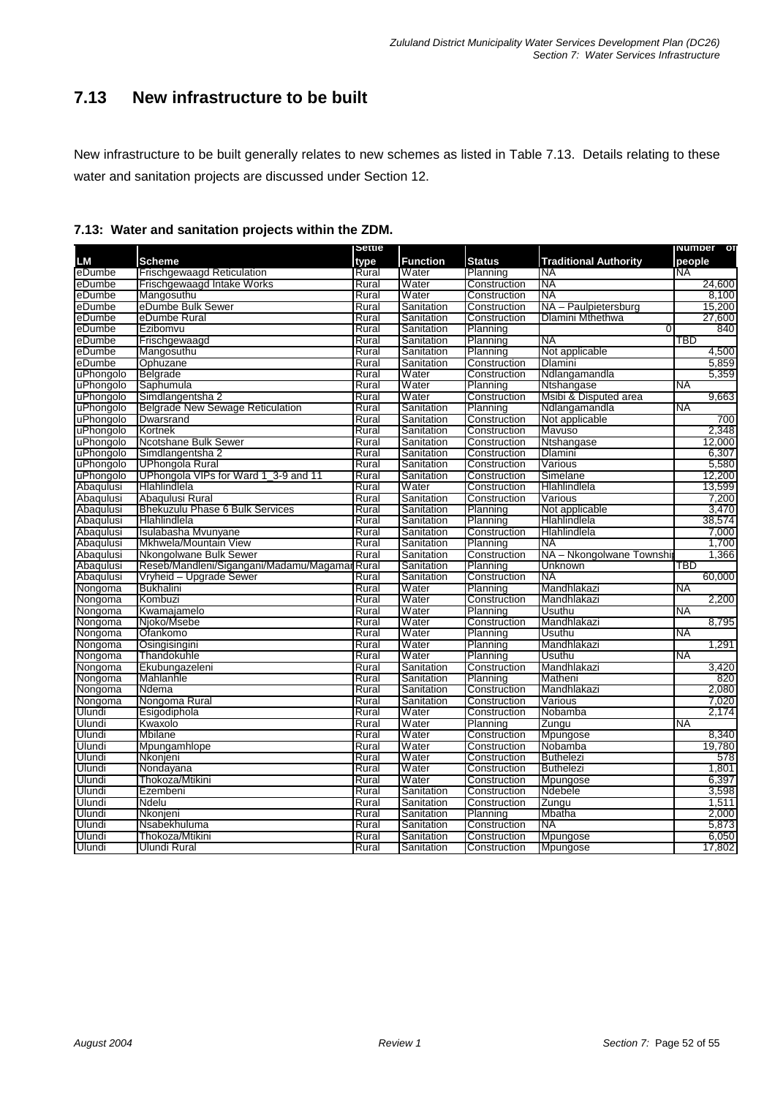# **7.13 New infrastructure to be built**

New infrastructure to be built generally relates to new schemes as listed in Table 7.13. Details relating to these water and sanitation projects are discussed under Section 12.

|           |                                              | Settle       |                 |               |                              | Number of |
|-----------|----------------------------------------------|--------------|-----------------|---------------|------------------------------|-----------|
| <b>LM</b> | <b>Scheme</b>                                | type         | <b>Function</b> | <b>Status</b> | <b>Traditional Authority</b> | people    |
| eDumbe    | <b>Frischgewaagd Reticulation</b>            | Rural        | Water           | Planning      | ΝA                           | <b>NA</b> |
| eDumbe    | Frischgewaagd Intake Works                   | Rural        | Water           | Construction  | <b>NA</b>                    | 24,600    |
| eDumbe    | Mangosuthu                                   | Rural        | Water           | Construction  | ΝA                           | 8,100     |
| eDumbe    | eDumbe Bulk Sewer                            | Rural        | Sanitation      | Construction  | NA - Paulpietersburg         | 15,200    |
| eDumbe    | eDumbe Rural                                 | Rural        | Sanitation      | Construction  | Dlamini Mthethwa             | 27,600    |
| eDumbe    | Ezibomvu                                     | Rural        | Sanitation      | Planning      | $\overline{0}$               | 840       |
| eDumbe    | Frischgewaagd                                | Rural        | Sanitation      | Planning      | ΝA                           | TBD       |
| eDumbe    | Mangosuthu                                   | Rural        | Sanitation      | Planning      | Not applicable               | 4,500     |
| eDumbe    | Ophuzane                                     | Rural        | Sanitation      | Construction  | <b>Dlamini</b>               | 5,859     |
| uPhongolo | Belgrade                                     | Rural        | Water           | Construction  | Ndlangamandla                | 5,359     |
| uPhongolo | Saphumula                                    | Rural        | Water           | Planning      | Ntshangase                   | NA        |
| uPhongolo | Simdlangentsha 2                             | Rural        | Water           | Construction  | Msibi & Disputed area        | 9,663     |
| uPhongolo | <b>Belgrade New Sewage Reticulation</b>      | Rural        | Sanitation      | Planning      | Ndlangamandla                | ΝA        |
| uPhongolo | Dwarsrand                                    | Rural        | Sanitation      | Construction  | Not applicable               | 700       |
| uPhongolo | Kortnek                                      | Rural        | Sanitation      | Construction  | Mavuso                       | 2,348     |
| uPhongolo | <b>Ncotshane Bulk Sewer</b>                  | Rural        | Sanitation      | Construction  | Ntshangase                   | 12.000    |
| uPhongolo | Simdlangentsha 2                             | Rural        | Sanitation      | Construction  | <b>Dlamini</b>               | 6,307     |
| uPhongolo | UPhongola Rural                              | Rural        | Sanitation      | Construction  | Various                      | 5,580     |
| uPhongolo | UPhongola VIPs for Ward 1_3-9 and 11         | Rural        | Sanitation      | Construction  | Simelane                     | 12,200    |
| Abaqulusi | Hlahlindlela                                 | Rural        | Water           | Construction  | Hlahlindlela                 | 13,599    |
| Abaqulusi | Abaqulusi Rural                              | Rural        | Sanitation      | Construction  | Various                      | 7,200     |
| Abaqulusi | Bhekuzulu Phase 6 Bulk Services              | Rural        | Sanitation      | Planning      | Not applicable               | 3,470     |
| Abaqulusi | Hlahlindlela                                 | Rural        | Sanitation      | Planning      | Hlahlindlela                 | 38,574    |
| Abaqulusi | Isulabasha Mvunyane                          | Rural        | Sanitation      | Construction  | Hlahlindlela                 | 7,000     |
| Abaqulusi | Mkhwela/Mountain View                        | Rural        | Sanitation      | Planning      | NA                           | 1,700     |
| Abaqulusi | Nkongolwane Bulk Sewer                       | Rural        | Sanitation      | Construction  | NA - Nkongolwane Township    | 1,366     |
| Abaqulusi | Reseb/Mandleni/Sigangani/Madamu/MagamarRural |              | Sanitation      | Planning      | Unknown                      | TBD       |
| Abaqulusi | Vryheid - Upgrade Sewer                      | Rural        | Sanitation      | Construction  | ΝA                           | 60,000    |
| Nongoma   | <b>Bukhalini</b>                             | Rural        | Water           | Planning      | Mandhlakazi                  | ΝA        |
| Nongoma   | Kombuzi                                      | Rural        | Water           | Construction  | Mandhlakazi                  | 2,200     |
| Nongoma   | Kwamajamelo                                  | Rural        | Water           | Planning      | Usuthu                       | NA        |
| Nongoma   | Nioko/Msebe                                  | Rural        | Water           | Construction  | Mandhlakazi                  | 8,795     |
| Nongoma   | Ofankomo                                     | Rural        | Water           | Planning      | Usuthu                       | ΝA        |
| Nongoma   | Osingisingini                                | Rural        | Water           | Planning      | Mandhlakazi                  | 1,291     |
| Nongoma   | Thandokuhle                                  | Rural        | Water           | Planning      | Usuthu                       | ΝA        |
| Nongoma   | Ekubungazeleni                               | Rural        | Sanitation      | Construction  | Mandhlakazi                  | 3,420     |
| Nongoma   | Mahlanhle                                    | Rural        | Sanitation      | Planning      | Matheni                      | 820       |
| Nongoma   | Ndema                                        | Rural        | Sanitation      | Construction  | Mandhlakazi                  | 2,080     |
| Nongoma   | Nongoma Rural                                | Rural        | Sanitation      | Construction  | Various                      | 7,020     |
| Ulundi    | Esigodiphola                                 | Rural        | Water           | Construction  | Nobamba                      | 2,174     |
| Ulundi    | Kwaxolo                                      | Rural        | Water           | Planning      | Zungu                        | <b>NA</b> |
| Ulundi    | Mbilane                                      | Rural        | Water           | Construction  | Mpungose                     | 8,340     |
| Ulundi    | Mpungamhlope                                 | Rural        | Water           | Construction  | Nobamba                      | 19,780    |
| Ulundi    | Nkonjeni                                     | Rural        | Water           | Construction  | <b>Buthelezi</b>             | 578       |
| Ulundi    | Nondayana                                    | Rural        | Water           | Construction  | <b>Buthelezi</b>             | 1,801     |
| Ulundi    | Thokoza/Mtikini                              | <b>Rural</b> | Water           | Construction  | Mpungose                     | 6,397     |
| Ulundi    | Ezembeni                                     | Rural        | Sanitation      | Construction  | Ndebele                      | 3,598     |
| Ulundi    | Ndelu                                        | Rural        | Sanitation      | Construction  | Zungu                        | 1,511     |
| Ulundi    | Nkonjeni                                     | Rural        | Sanitation      | Planning      | Mbatha                       | 2,000     |
| Ulundi    | Nsabekhuluma                                 | Rural        | Sanitation      | Construction  | NА                           | 5,873     |
| Ulundi    | Thokoza/Mtikini                              | Rural        | Sanitation      | Construction  | Mpungose                     | 6,050     |
| Ulundi    | Ulundi Rural                                 | Rural        | Sanitation      | Construction  | Mpungose                     | 17,802    |

**anitation projects within the ZDM. 7.13: Water and s**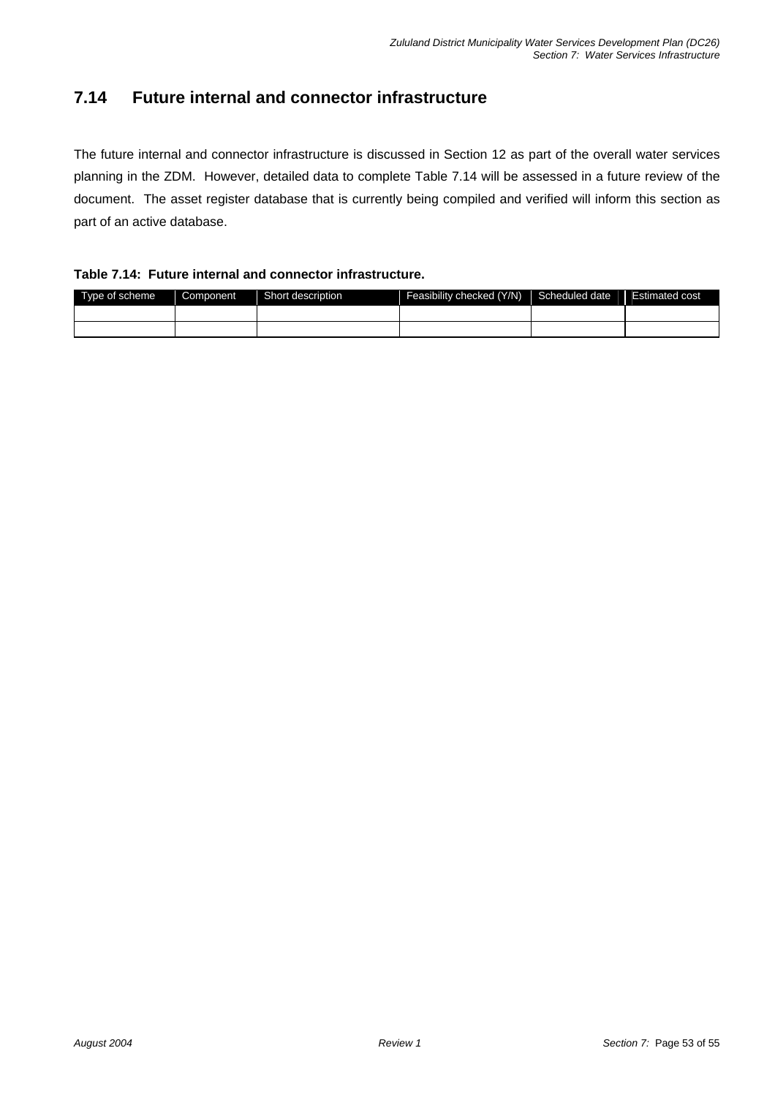# **7.14 Future internal and connector infrastructure**

planning in the ZDM. However, detailed data to complete Table 7.14 will be assessed in a future review of the document. The asset register database that is currently being compiled and verified will inform this section as The future internal and connector infrastructure is discussed in Section 12 as part of the overall water services part of an active database.

### **Table 7.14: Future internal and connector infrastructure.**

| Type of scheme | Component <sup>.</sup> | Short description | Feasibility checked (Y/N) Scheduled date | <b>Estimated cost</b> |
|----------------|------------------------|-------------------|------------------------------------------|-----------------------|
|                |                        |                   |                                          |                       |
|                |                        |                   |                                          |                       |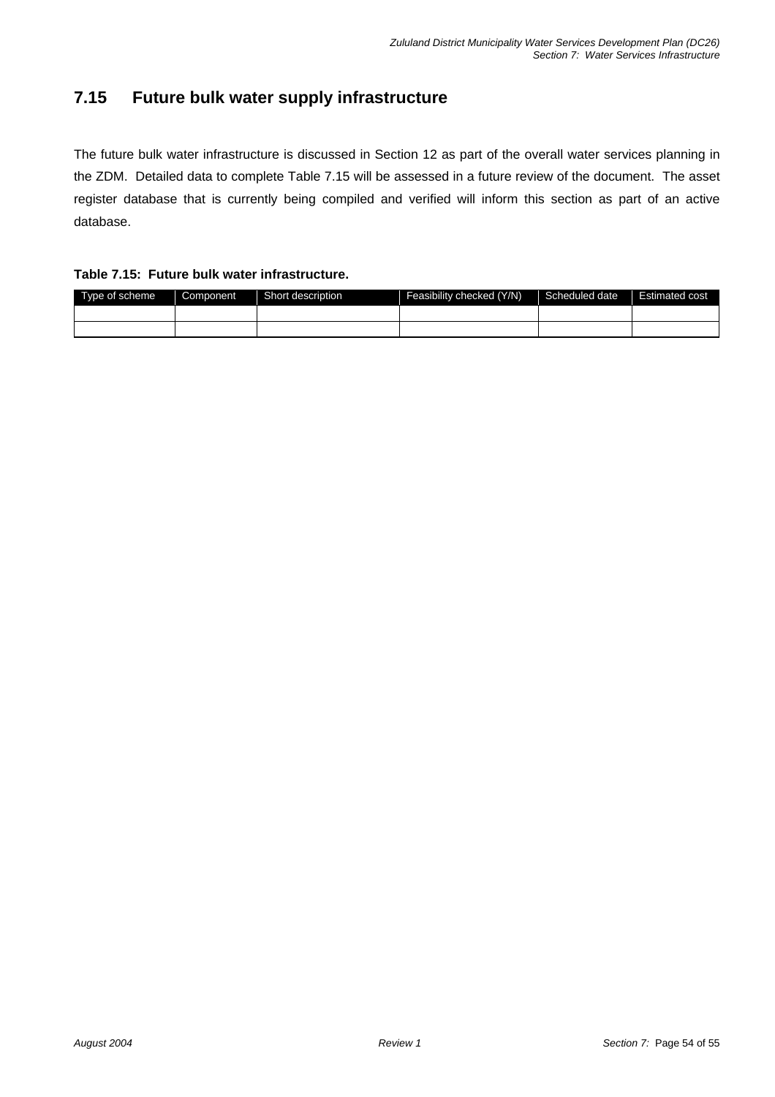# **7.15 Future bulk water supply infrastructure**

The future bulk water infrastructure is discussed in Section 12 as part of the overall water services planning in the ZDM. Detailed data to complete Table 7.15 will be assessed in a future review of the document. The asset register database that is currently being compiled and verified will inform this section as part of an active database.

### **Table 7.15: Future bulk water infrastructure.**

| Type of scheme | Component | Short description | Feasibility checked (Y/N) | Scheduled date | <b>Estimated cost</b> |
|----------------|-----------|-------------------|---------------------------|----------------|-----------------------|
|                |           |                   |                           |                |                       |
|                |           |                   |                           |                |                       |